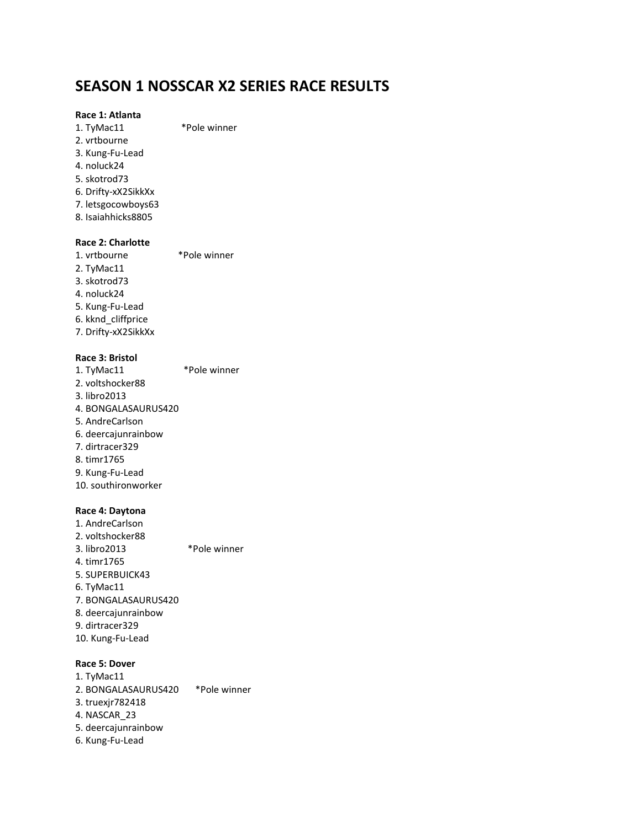### **SEASON 1 NOSSCAR X2 SERIES RACE RESULTS**

### **Race 1: Atlanta**

1. TyMac11 \*Pole winner 2. vrtbourne 3. Kung-Fu-Lead 4. noluck24 5. skotrod73 6. Drifty-xX2SikkXx 7. letsgocowboys63 8. Isaiahhicks8805

### **Race 2: Charlotte**

1. vrtbourne \*Pole winner 2. TyMac11 3. skotrod73 4. noluck24 5. Kung-Fu-Lead 6. kknd\_cliffprice 7. Drifty-xX2SikkXx

### **Race 3: Bristol**

1. TyMac11 \*Pole winner 2. voltshocker88 3. libro2013 4. BONGALASAURUS420 5. AndreCarlson 6. deercajunrainbow 7. dirtracer329 8. timr1765 9. Kung-Fu-Lead 10. southironworker

### **Race 4: Daytona**

1. AndreCarlson 2. voltshocker88 3. libro2013 \*Pole winner 4. timr1765 5. SUPERBUICK43 6. TyMac11 7. BONGALASAURUS420 8. deercajunrainbow 9. dirtracer329 10. Kung-Fu-Lead

### **Race 5: Dover**

1. TyMac11 2. BONGALASAURUS420 \*Pole winner 3. truexjr782418 4. NASCAR\_23 5. deercajunrainbow 6. Kung-Fu-Lead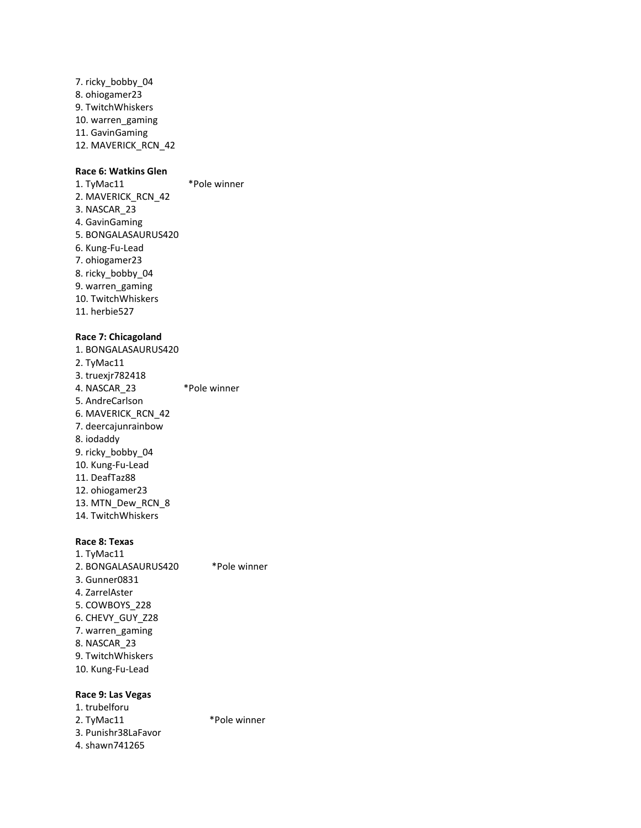7. ricky\_bobby\_04 8. ohiogamer23 9. TwitchWhiskers 10. warren\_gaming 11. GavinGaming 12. MAVERICK\_RCN\_42

### **Race 6: Watkins Glen**

1. TyMac11 \*Pole winner 2. MAVERICK\_RCN\_42 3. NASCAR\_23 4. GavinGaming 5. BONGALASAURUS420 6. Kung-Fu-Lead 7. ohiogamer23 8. ricky\_bobby\_04 9. warren\_gaming 10. TwitchWhiskers 11. herbie527

#### **Race 7: Chicagoland**

1. BONGALASAURUS420 2. TyMac11 3. truexjr782418 4. NASCAR 23 \*Pole winner 5. AndreCarlson 6. MAVERICK\_RCN\_42 7. deercajunrainbow 8. iodaddy 9. ricky\_bobby\_04 10. Kung-Fu-Lead 11. DeafTaz88 12. ohiogamer23 13. MTN\_Dew\_RCN\_8 14. TwitchWhiskers

### **Race 8: Texas**

1. TyMac11 2. BONGALASAURUS420 \*Pole winner 3. Gunner0831 4. ZarrelAster 5. COWBOYS\_228 6. CHEVY\_GUY\_Z28 7. warren\_gaming 8. NASCAR\_23 9. TwitchWhiskers 10. Kung-Fu-Lead

### **Race 9: Las Vegas**

1. trubelforu 2. TyMac11 \*Pole winner 3. Punishr38LaFavor 4. shawn741265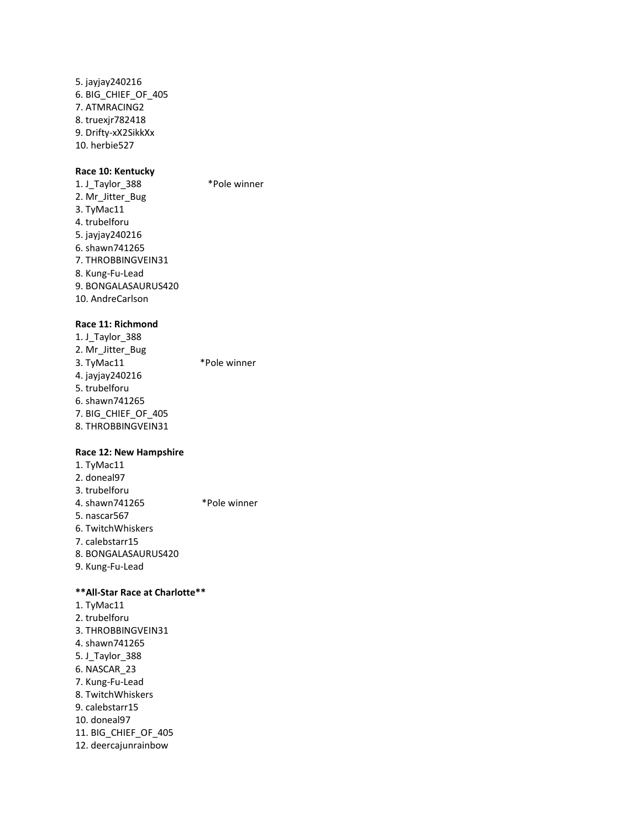5. jayjay240216 6. BIG\_CHIEF\_OF\_405 7. ATMRACING2 8. truexjr782418 9. Drifty-xX2SikkXx 10. herbie527

### **Race 10: Kentucky**

1. J\_Taylor\_388 \*Pole winner 2. Mr\_Jitter\_Bug 3. TyMac11 4. trubelforu 5. jayjay240216 6. shawn741265 7. THROBBINGVEIN31 8. Kung-Fu-Lead 9. BONGALASAURUS420 10. AndreCarlson

### **Race 11: Richmond**

1. J\_Taylor\_388 2. Mr\_Jitter\_Bug 3. TyMac11 \*Pole winner 4. jayjay240216 5. trubelforu 6. shawn741265 7. BIG\_CHIEF\_OF\_405 8. THROBBINGVEIN31

### **Race 12: New Hampshire**

1. TyMac11 2. doneal97 3. trubelforu 4. shawn741265 \*Pole winner 5. nascar567 6. TwitchWhiskers 7. calebstarr15 8. BONGALASAURUS420 9. Kung-Fu-Lead

### **\*\*All-Star Race at Charlotte\*\***

1. TyMac11 2. trubelforu 3. THROBBINGVEIN31 4. shawn741265 5. J\_Taylor\_388 6. NASCAR\_23 7. Kung-Fu-Lead 8. TwitchWhiskers 9. calebstarr15 10. doneal97 11. BIG\_CHIEF\_OF\_405 12. deercajunrainbow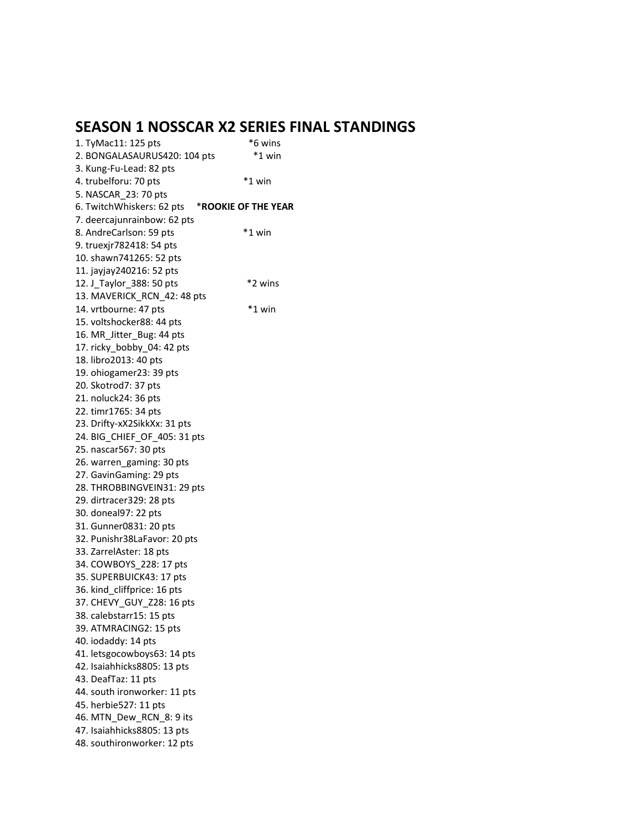## **SEASON 1 NOSSCAR X2 SERIES FINAL STANDINGS**

| 1. TyMac11: 125 pts          | *6 wins             |
|------------------------------|---------------------|
| 2. BONGALASAURUS420: 104 pts | *1 win              |
| 3. Kung-Fu-Lead: 82 pts      |                     |
| 4. trubelforu: 70 pts        | *1 win              |
| 5. NASCAR 23: 70 pts         |                     |
| 6. TwitchWhiskers: 62 pts    | *ROOKIE OF THE YEAR |
| 7. deercajunrainbow: 62 pts  |                     |
| 8. AndreCarlson: 59 pts      | *1 win              |
| 9. truexjr782418: 54 pts     |                     |
| 10. shawn741265: 52 pts      |                     |
| 11. jayjay240216: 52 pts     |                     |
| 12. J Taylor 388: 50 pts     | *2 wins             |
| 13. MAVERICK_RCN_42: 48 pts  |                     |
| 14. vrtbourne: 47 pts        | *1 win              |
| 15. voltshocker88: 44 pts    |                     |
| 16. MR_Jitter_Bug: 44 pts    |                     |
| 17. ricky_bobby_04: 42 pts   |                     |
| 18. libro2013: 40 pts        |                     |
| 19. ohiogamer23: 39 pts      |                     |
| 20. Skotrod7: 37 pts         |                     |
| 21. noluck24: 36 pts         |                     |
| 22. timr1765: 34 pts         |                     |
| 23. Drifty-xX2SikkXx: 31 pts |                     |
| 24. BIG_CHIEF_OF_405: 31 pts |                     |
| 25. nascar567: 30 pts        |                     |
| 26. warren_gaming: 30 pts    |                     |
| 27. GavinGaming: 29 pts      |                     |
| 28. THROBBINGVEIN31: 29 pts  |                     |
| 29. dirtracer 329: 28 pts    |                     |
| 30. doneal97: 22 pts         |                     |
| 31. Gunner0831: 20 pts       |                     |
| 32. Punishr38LaFavor: 20 pts |                     |
| 33. ZarrelAster: 18 pts      |                     |
| 34. COWBOYS_228: 17 pts      |                     |
| 35. SUPERBUICK43: 17 pts     |                     |
| 36. kind_cliffprice: 16 pts  |                     |
| 37. CHEVY_GUY_Z28: 16 pts    |                     |
| 38. calebstarr15: 15 pts     |                     |
| 39. ATMRACING2: 15 pts       |                     |
| 40. iodaddy: 14 pts          |                     |
| 41. letsgocowboys63: 14 pts  |                     |
| 42. Isaiahhicks8805: 13 pts  |                     |
| 43. DeafTaz: 11 pts          |                     |
| 44. south ironworker: 11 pts |                     |
| 45. herbie527: 11 pts        |                     |
| 46. MTN Dew RCN 8: 9 its     |                     |
| 47. Isaiahhicks8805: 13 pts  |                     |
| 48. southironworker: 12 pts  |                     |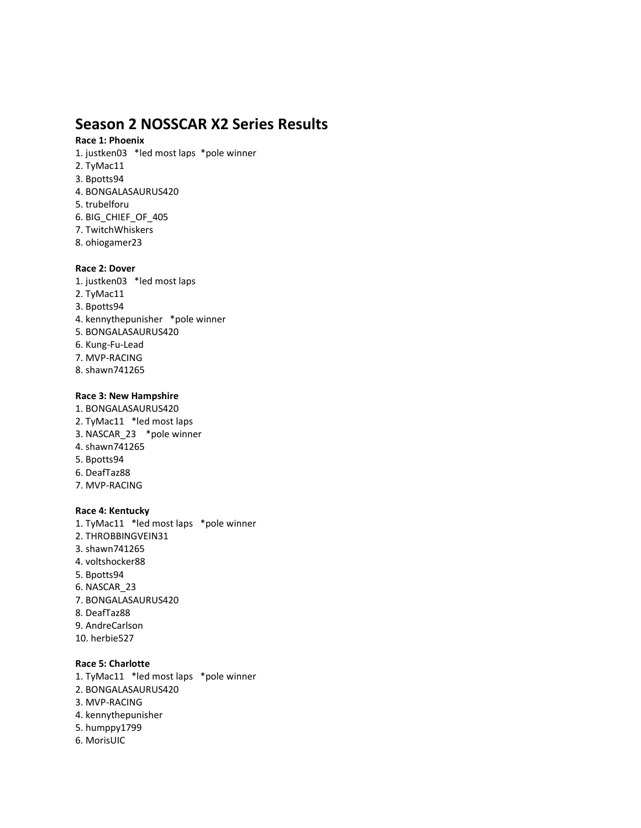## **Season 2 NOSSCAR X2 Series Results**

### **Race 1: Phoenix**

- 1. justken03 \*led most laps \*pole winner
- 2. TyMac11
- 3. Bpotts94
- 4. BONGALASAURUS420
- 5. trubelforu
- 6. BIG\_CHIEF\_OF\_405
- 7. TwitchWhiskers
- 8. ohiogamer23

### **Race 2: Dover**

- 1. justken03 \*led most laps
- 2. TyMac11
- 3. Bpotts94
- 4. kennythepunisher \*pole winner
- 5. BONGALASAURUS420
- 6. Kung-Fu-Lead
- 7. MVP-RACING
- 8. shawn741265

### **Race 3: New Hampshire**

- 1. BONGALASAURUS420
- 2. TyMac11 \*led most laps
- 3. NASCAR\_23 \*pole winner
- 4. shawn741265
- 5. Bpotts94
- 6. DeafTaz88
- 7. MVP-RACING

### **Race 4: Kentucky**

- 1. TyMac11 \*led most laps \*pole winner
- 2. THROBBINGVEIN31
- 3. shawn741265
- 4. voltshocker88
- 5. Bpotts94
- 6. NASCAR\_23
- 7. BONGALASAURUS420
- 8. DeafTaz88
- 9. AndreCarlson
- 10. herbie527

### **Race 5: Charlotte**

- 1. TyMac11 \*led most laps \*pole winner
- 2. BONGALASAURUS420
- 3. MVP-RACING
- 4. kennythepunisher
- 5. humppy1799
- 6. MorisUIC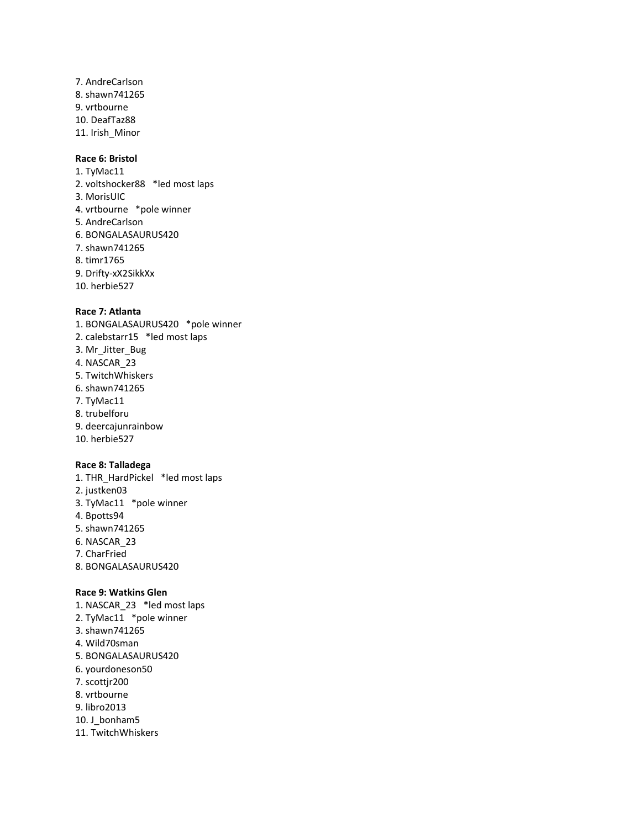7. AndreCarlson 8. shawn741265 9. vrtbourne 10. DeafTaz88 11. Irish\_Minor

### **Race 6: Bristol**

1. TyMac11 2. voltshocker88 \*led most laps 3. MorisUIC 4. vrtbourne \*pole winner 5. AndreCarlson 6. BONGALASAURUS420 7. shawn741265 8. timr1765 9. Drifty-xX2SikkXx 10. herbie527

### **Race 7: Atlanta**

1. BONGALASAURUS420 \*pole winner 2. calebstarr15 \*led most laps 3. Mr\_Jitter\_Bug 4. NASCAR\_23 5. TwitchWhiskers 6. shawn741265 7. TyMac11 8. trubelforu 9. deercajunrainbow 10. herbie527

### **Race 8: Talladega**

1. THR\_HardPickel \*led most laps 2. justken03 3. TyMac11 \*pole winner 4. Bpotts94 5. shawn741265 6. NASCAR\_23 7. CharFried 8. BONGALASAURUS420

### **Race 9: Watkins Glen**

- 1. NASCAR\_23 \*led most laps
- 2. TyMac11 \*pole winner
- 3. shawn741265
- 4. Wild70sman
- 5. BONGALASAURUS420
- 6. yourdoneson50
- 7. scottjr200
- 8. vrtbourne
- 9. libro2013
- 10. J bonham5
- 11. TwitchWhiskers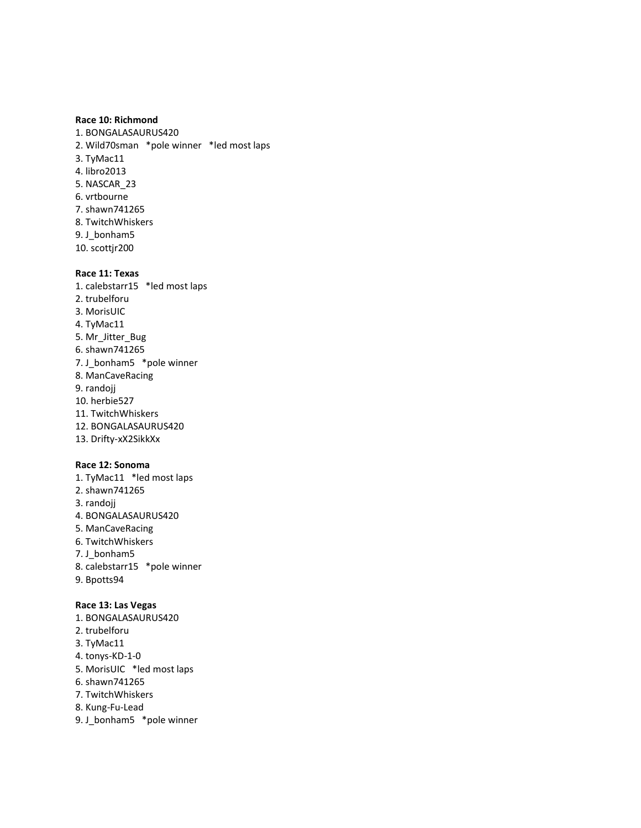### **Race 10: Richmond**

1. BONGALASAURUS420 2. Wild70sman \*pole winner \*led most laps 3. TyMac11 4. libro2013 5. NASCAR\_23 6. vrtbourne 7. shawn741265 8. TwitchWhiskers 9. J bonham5 10. scottjr200

### **Race 11: Texas**

1. calebstarr15 \*led most laps 2. trubelforu 3. MorisUIC 4. TyMac11 5. Mr\_Jitter\_Bug 6. shawn741265 7. J\_bonham5 \*pole winner 8. ManCaveRacing 9. randojj 10. herbie527 11. TwitchWhiskers 12. BONGALASAURUS420 13. Drifty-xX2SikkXx

### **Race 12: Sonoma**

1. TyMac11 \*led most laps 2. shawn741265 3. randojj 4. BONGALASAURUS420 5. ManCaveRacing 6. TwitchWhiskers 7. J bonham5 8. calebstarr15 \*pole winner 9. Bpotts94

### **Race 13: Las Vegas**

- 1. BONGALASAURUS420
- 2. trubelforu
- 3. TyMac11
- 4. tonys-KD-1-0
- 5. MorisUIC \*led most laps
- 6. shawn741265
- 7. TwitchWhiskers
- 8. Kung-Fu-Lead
- 9. J\_bonham5 \*pole winner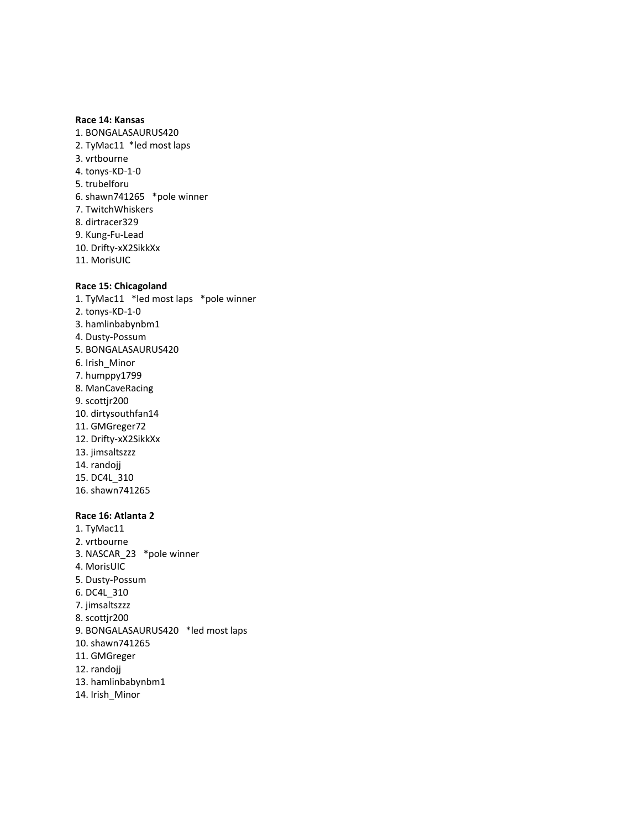### **Race 14: Kansas**

- 1. BONGALASAURUS420 2. TyMac11 \*led most laps 3. vrtbourne 4. tonys-KD-1-0 5. trubelforu 6. shawn741265 \*pole winner 7. TwitchWhiskers 8. dirtracer329 9. Kung-Fu-Lead 10. Drifty-xX2SikkXx
- 11. MorisUIC

### **Race 15: Chicagoland**

1. TyMac11 \*led most laps \*pole winner 2. tonys-KD-1-0 3. hamlinbabynbm1 4. Dusty-Possum 5. BONGALASAURUS420 6. Irish\_Minor 7. humppy1799 8. ManCaveRacing 9. scottjr200 10. dirtysouthfan14 11. GMGreger72 12. Drifty-xX2SikkXx 13. jimsaltszzz 14. randojj 15. DC4L\_310 16. shawn741265

### **Race 16: Atlanta 2**

1. TyMac11 2. vrtbourne 3. NASCAR\_23 \*pole winner 4. MorisUIC 5. Dusty-Possum 6. DC4L\_310 7. jimsaltszzz 8. scottjr200 9. BONGALASAURUS420 \*led most laps 10. shawn741265 11. GMGreger 12. randojj 13. hamlinbabynbm1 14. Irish\_Minor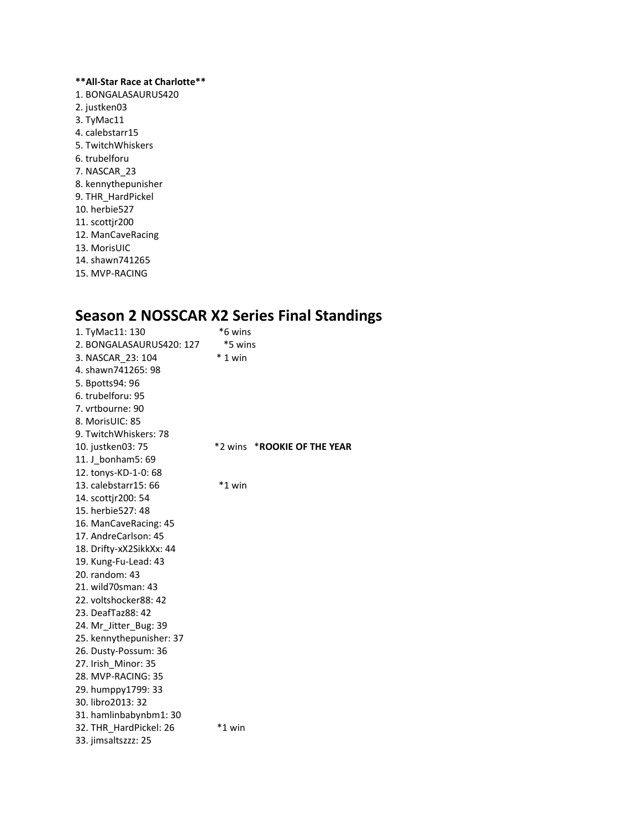**\*\*All-Star Race at Charlotte\*\*** 1. BONGALASAURUS420 2. justken03 3. TyMac11 4. calebstarr15 5. TwitchWhiskers 6. trubelforu 7. NASCAR\_23 8. kennythepunisher 9. THR\_HardPickel 10. herbie527 11. scottjr200 12. ManCaveRacing 13. MorisUIC 14. shawn741265 15. MVP-RACING

# **Season 2 NOSSCAR X2 Series Final Standings**

| 1. TyMac11: 130<br>2. BONGALASAURUS420: 127<br>3. NASCAR 23: 104<br>4. shawn741265: 98<br>5. Bpotts94: 96<br>6. trubelforu: 95<br>7. vrtbourne: 90<br>8. MorisUIC: 85 | *6 wins<br>*5 wins<br>$*1$ win |                             |
|-----------------------------------------------------------------------------------------------------------------------------------------------------------------------|--------------------------------|-----------------------------|
| 9. TwitchWhiskers: 78                                                                                                                                                 |                                |                             |
| 10. justken03: 75                                                                                                                                                     |                                | *2 wins *ROOKIE OF THE YEAR |
| 11. J bonham5: 69                                                                                                                                                     |                                |                             |
| 12. tonys-KD-1-0: 68                                                                                                                                                  |                                |                             |
| 13. calebstarr15: 66                                                                                                                                                  | *1 win                         |                             |
| 14. scottir200: 54                                                                                                                                                    |                                |                             |
| 15. herbie527: 48                                                                                                                                                     |                                |                             |
| 16. ManCaveRacing: 45                                                                                                                                                 |                                |                             |
| 17. AndreCarlson: 45                                                                                                                                                  |                                |                             |
| 18. Drifty-xX2SikkXx: 44                                                                                                                                              |                                |                             |
| 19. Kung-Fu-Lead: 43                                                                                                                                                  |                                |                             |
| 20. random: 43                                                                                                                                                        |                                |                             |
| 21. wild70sman: 43                                                                                                                                                    |                                |                             |
| 22. voltshocker88: 42                                                                                                                                                 |                                |                             |
| 23. DeafTaz88: 42                                                                                                                                                     |                                |                             |
| 24. Mr_Jitter_Bug: 39                                                                                                                                                 |                                |                             |
| 25. kennythepunisher: 37                                                                                                                                              |                                |                             |
| 26. Dusty-Possum: 36                                                                                                                                                  |                                |                             |
| 27. Irish_Minor: 35                                                                                                                                                   |                                |                             |
| 28. MVP-RACING: 35                                                                                                                                                    |                                |                             |
| 29. humppy1799: 33                                                                                                                                                    |                                |                             |
| 30. libro2013: 32                                                                                                                                                     |                                |                             |
| 31. hamlinbabynbm1: 30                                                                                                                                                |                                |                             |
| 32. THR HardPickel: 26                                                                                                                                                | *1 win                         |                             |
| 33. jimsaltszzz: 25                                                                                                                                                   |                                |                             |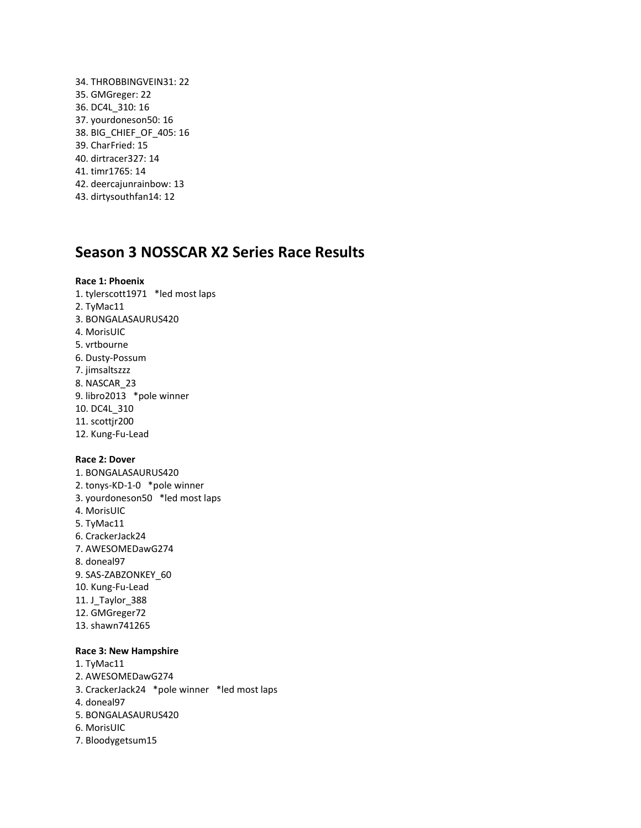34. THROBBINGVEIN31: 22 35. GMGreger: 22 36. DC4L\_310: 16 37. yourdoneson50: 16 38. BIG\_CHIEF\_OF\_405: 16 39. CharFried: 15 40. dirtracer327: 14 41. timr1765: 14 42. deercajunrainbow: 13 43. dirtysouthfan14: 12

### **Season 3 NOSSCAR X2 Series Race Results**

### **Race 1: Phoenix**

1. tylerscott1971 \*led most laps 2. TyMac11 3. BONGALASAURUS420 4. MorisUIC 5. vrtbourne 6. Dusty-Possum 7. jimsaltszzz 8. NASCAR\_23 9. libro2013 \*pole winner 10. DC4L\_310 11. scottjr200 12. Kung-Fu-Lead

### **Race 2: Dover**

1. BONGALASAURUS420 2. tonys-KD-1-0 \*pole winner 3. yourdoneson50 \*led most laps 4. MorisUIC 5. TyMac11 6. CrackerJack24 7. AWESOMEDawG274 8. doneal97 9. SAS-ZABZONKEY\_60 10. Kung-Fu-Lead 11. J\_Taylor\_388 12. GMGreger72 13. shawn741265

### **Race 3: New Hampshire**

1. TyMac11 2. AWESOMEDawG274 3. CrackerJack24 \*pole winner \*led most laps 4. doneal97 5. BONGALASAURUS420 6. MorisUIC 7. Bloodygetsum15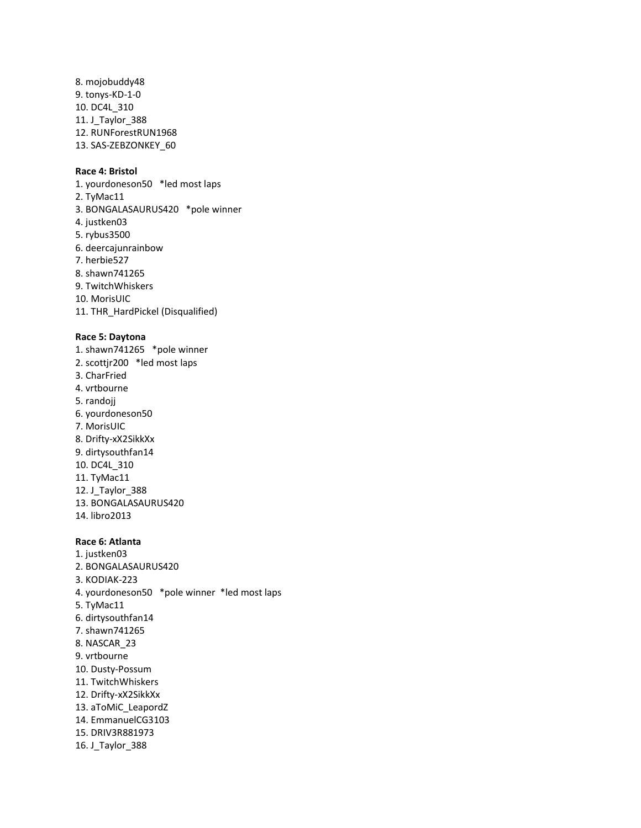8. mojobuddy48 9. tonys-KD-1-0 10. DC4L\_310 11. J\_Taylor\_388 12. RUNForestRUN1968 13. SAS-ZEBZONKEY\_60

### **Race 4: Bristol**

1. yourdoneson50 \*led most laps 2. TyMac11 3. BONGALASAURUS420 \*pole winner 4. justken03 5. rybus3500 6. deercajunrainbow 7. herbie527 8. shawn741265 9. TwitchWhiskers 10. MorisUIC 11. THR\_HardPickel (Disqualified)

#### **Race 5: Daytona**

1. shawn741265 \*pole winner 2. scottjr200 \*led most laps 3. CharFried 4. vrtbourne 5. randojj 6. yourdoneson50 7. MorisUIC 8. Drifty-xX2SikkXx 9. dirtysouthfan14 10. DC4L\_310 11. TyMac11 12. J\_Taylor\_388 13. BONGALASAURUS420 14. libro2013

### **Race 6: Atlanta**

1. justken03 2. BONGALASAURUS420 3. KODIAK-223 4. yourdoneson50 \*pole winner \*led most laps 5. TyMac11 6. dirtysouthfan14 7. shawn741265 8. NASCAR\_23 9. vrtbourne 10. Dusty-Possum 11. TwitchWhiskers 12. Drifty-xX2SikkXx 13. aToMiC\_LeapordZ 14. EmmanuelCG3103 15. DRIV3R881973 16. J\_Taylor\_388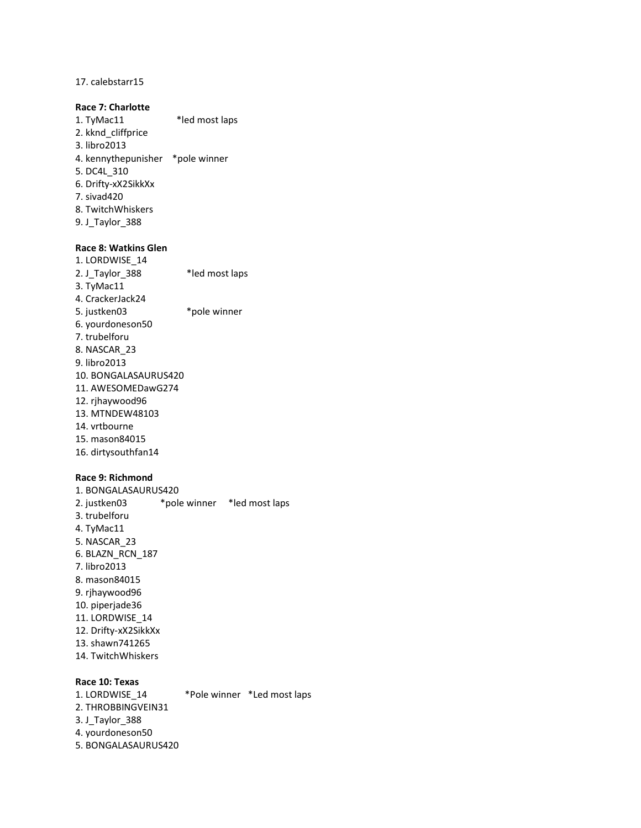17. calebstarr15

### **Race 7: Charlotte**

1. TyMac11 \*led most laps 2. kknd\_cliffprice 3. libro2013 4. kennythepunisher \*pole winner 5. DC4L\_310 6. Drifty-xX2SikkXx 7. sivad420 8. TwitchWhiskers 9. J\_Taylor\_388

### **Race 8: Watkins Glen**

1. LORDWISE\_14 2. J\_Taylor\_388 \*led most laps 3. TyMac11 4. CrackerJack24 5. justken03 \*pole winner 6. yourdoneson50 7. trubelforu 8. NASCAR\_23 9. libro2013 10. BONGALASAURUS420 11. AWESOMEDawG274 12. rjhaywood96 13. MTNDEW48103 14. vrtbourne 15. mason84015 16. dirtysouthfan14

### **Race 9: Richmond**

1. BONGALASAURUS420 2. justken03 \*pole winner \*led most laps 3. trubelforu 4. TyMac11 5. NASCAR\_23 6. BLAZN\_RCN\_187 7. libro2013 8. mason84015 9. rjhaywood96 10. piperjade36 11. LORDWISE\_14 12. Drifty-xX2SikkXx 13. shawn741265 14. TwitchWhiskers

**Race 10: Texas** \*Pole winner \*Led most laps 2. THROBBINGVEIN31 3. J\_Taylor\_388 4. yourdoneson50 5. BONGALASAURUS420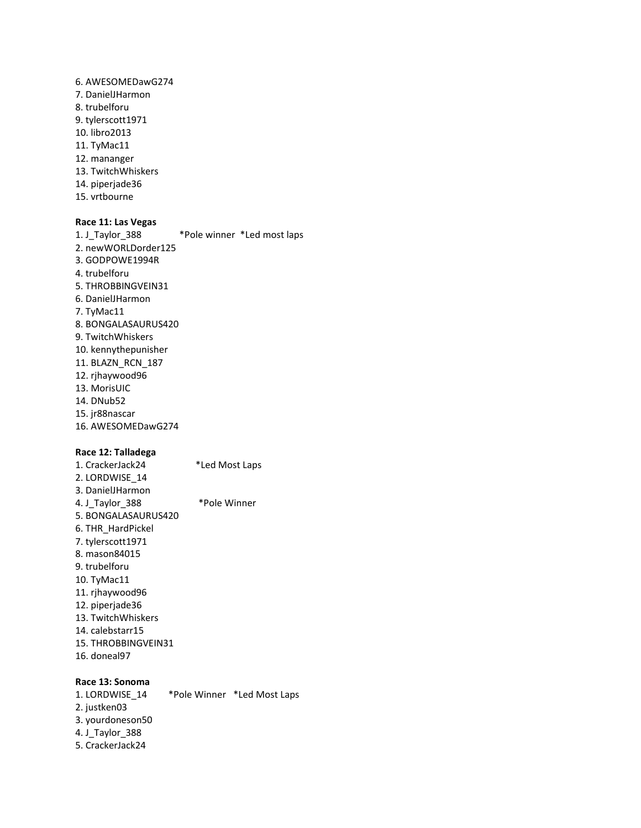6. AWESOMEDawG274 7. DanielJHarmon 8. trubelforu 9. tylerscott1971 10. libro2013 11. TyMac11 12. mananger 13. TwitchWhiskers 14. piperjade36 15. vrtbourne

### **Race 11: Las Vegas**

1. J\_Taylor\_388 \*Pole winner \*Led most laps 2. newWORLDorder125 3. GODPOWE1994R 4. trubelforu 5. THROBBINGVEIN31 6. DanielJHarmon 7. TyMac11 8. BONGALASAURUS420 9. TwitchWhiskers 10. kennythepunisher 11. BLAZN\_RCN\_187 12. rjhaywood96 13. MorisUIC 14. DNub52 15. jr88nascar 16. AWESOMEDawG274

### **Race 12: Talladega**

1. CrackerJack24 \*Led Most Laps 2. LORDWISE\_14 3. DanielJHarmon 4. J\_Taylor\_388 \*Pole Winner 5. BONGALASAURUS420 6. THR\_HardPickel 7. tylerscott1971 8. mason84015 9. trubelforu 10. TyMac11 11. rjhaywood96 12. piperjade36 13. TwitchWhiskers 14. calebstarr15 15. THROBBINGVEIN31 16. doneal97

#### **Race 13: Sonoma**

1. LORDWISE\_14 \*Pole Winner \*Led Most Laps 2. justken03 3. yourdoneson50 4. J\_Taylor\_388 5. CrackerJack24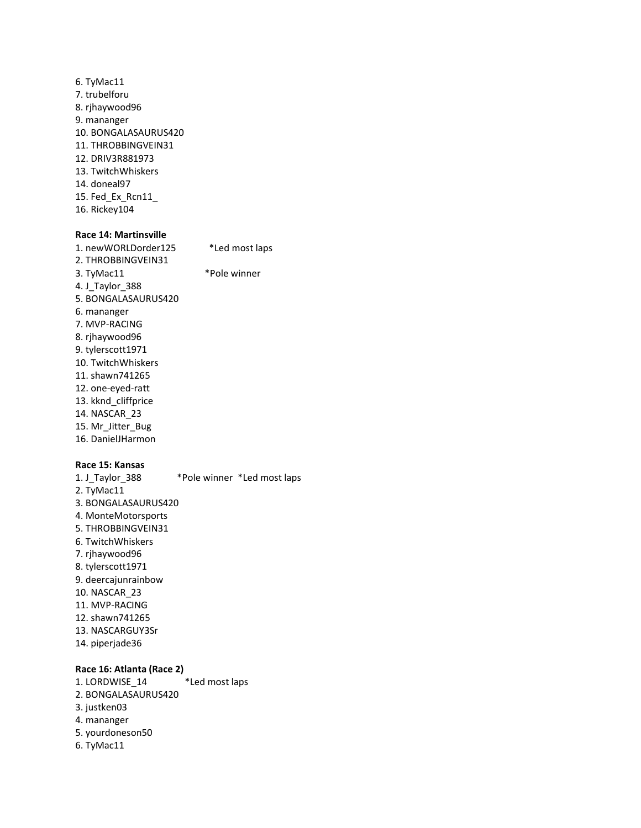6. TyMac11 7. trubelforu 8. rjhaywood96 9. mananger 10. BONGALASAURUS420 11. THROBBINGVEIN31 12. DRIV3R881973 13. TwitchWhiskers 14. doneal97 15. Fed\_Ex\_Rcn11\_ 16. Rickey104

### **Race 14: Martinsville**

| 1. newWORLDorder125 | *Led most laps |
|---------------------|----------------|
| 2. THROBBINGVEIN31  |                |
| 3. TyMac11          | *Pole winner   |
| 4. J Taylor 388     |                |
| 5. BONGALASAURUS420 |                |
| 6. mananger         |                |
| 7. MVP-RACING       |                |
| 8. rihaywood96      |                |
| 9. tylerscott 1971  |                |
| 10. TwitchWhiskers  |                |
| 11. shawn741265     |                |
| 12. one-eyed-ratt   |                |
| 13. kknd cliffprice |                |
| 14. NASCAR 23       |                |
| 15. Mr Jitter Bug   |                |
| 16. DanielJHarmon   |                |

### **Race 15: Kansas**

1. J\_Taylor\_388 \*Pole winner \*Led most laps 2. TyMac11 3. BONGALASAURUS420 4. MonteMotorsports 5. THROBBINGVEIN31 6. TwitchWhiskers 7. rjhaywood96 8. tylerscott1971 9. deercajunrainbow 10. NASCAR\_23 11. MVP-RACING 12. shawn741265 13. NASCARGUY3Sr 14. piperjade36

### **Race 16: Atlanta (Race 2)**

1. LORDWISE\_14 \*Led most laps 2. BONGALASAURUS420 3. justken03 4. mananger 5. yourdoneson50 6. TyMac11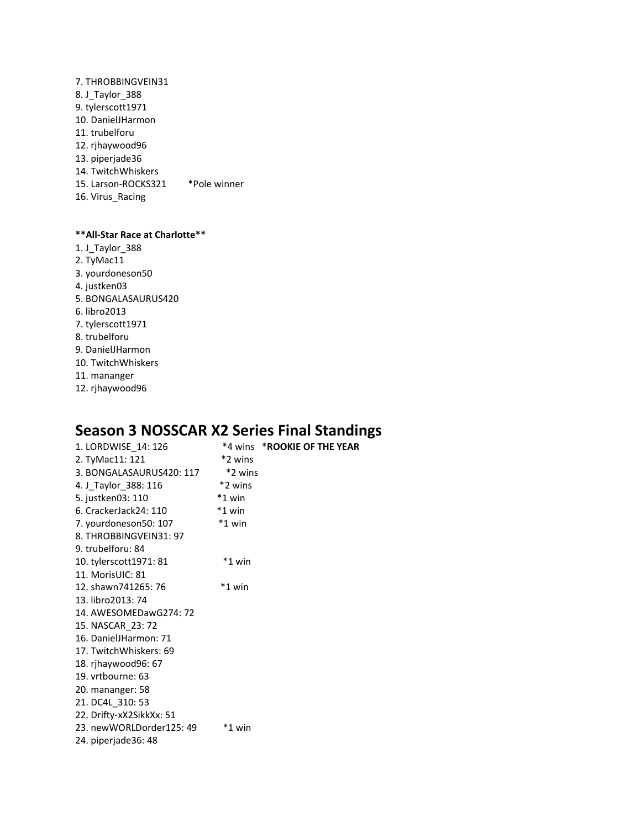7. THROBBINGVEIN31 8. J\_Taylor\_388 9. tylerscott1971 10. DanielJHarmon 11. trubelforu 12. rjhaywood96 13. piperjade36 14. TwitchWhiskers 15. Larson-ROCKS321 \*Pole winner 16. Virus\_Racing

### **\*\*All-Star Race at Charlotte\*\***

1. J\_Taylor\_388 2. TyMac11 3. yourdoneson50 4. justken03 5. BONGALASAURUS420 6. libro2013 7. tylerscott1971 8. trubelforu 9. DanielJHarmon 10. TwitchWhiskers 11. mananger 12. rjhaywood96

### **Season 3 NOSSCAR X2 Series Final Standings**

| 1. LORDWISE_14: 126      |          | *4 wins *ROOKIE OF THE YEAR |
|--------------------------|----------|-----------------------------|
| 2. TyMac11: 121          | *2 wins  |                             |
| 3. BONGALASAURUS420: 117 | *2 wins  |                             |
| 4. J_Taylor_388: 116     | *2 wins  |                             |
| 5. justken03: 110        | $*1$ win |                             |
| 6. CrackerJack24: 110    | *1 win   |                             |
| 7. yourdoneson50: 107    | $*1$ win |                             |
| 8. THROBBINGVEIN31: 97   |          |                             |
| 9. trubelforu: 84        |          |                             |
| 10. tylerscott1971: 81   | $*1$ win |                             |
| 11. MorisUIC: 81         |          |                             |
| 12. shawn741265: 76      | $*1$ win |                             |
| 13. libro2013: 74        |          |                             |
| 14. AWESOMEDawG274: 72   |          |                             |
| 15. NASCAR 23: 72        |          |                             |
| 16. DanielJHarmon: 71    |          |                             |
| 17. TwitchWhiskers: 69   |          |                             |
| 18. rjhaywood96: 67      |          |                             |
| 19. vrtbourne: 63        |          |                             |
| 20. mananger: 58         |          |                             |
| 21. DC4L_310: 53         |          |                             |
| 22. Drifty-xX2SikkXx: 51 |          |                             |
| 23. newWORLDorder125: 49 | *1 win   |                             |
| 24. piperjade36: 48      |          |                             |
|                          |          |                             |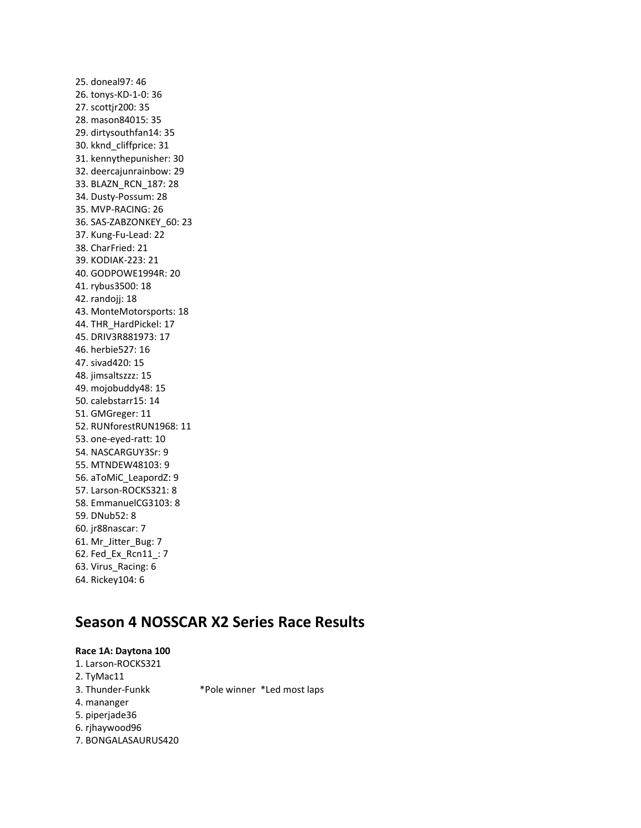25. doneal97: 46 26. tonys-KD-1-0: 36 27. scottjr200: 35 28. mason84015: 35 29. dirtysouthfan14: 35 30. kknd\_cliffprice: 31 31. kennythepunisher: 30 32. deercajunrainbow: 29 33. BLAZN\_RCN\_187: 28 34. Dusty-Possum: 28 35. MVP-RACING: 26 36. SAS-ZABZONKEY\_60: 23 37. Kung-Fu-Lead: 22 38. CharFried: 21 39. KODIAK-223: 21 40. GODPOWE1994R: 20 41. rybus3500: 18 42. randojj: 18 43. MonteMotorsports: 18 44. THR\_HardPickel: 17 45. DRIV3R881973: 17 46. herbie527: 16 47. sivad420: 15 48. jimsaltszzz: 15 49. mojobuddy48: 15 50. calebstarr15: 14 51. GMGreger: 11 52. RUNforestRUN1968: 11 53. one-eyed-ratt: 10 54. NASCARGUY3Sr: 9 55. MTNDEW48103: 9 56. aToMiC\_LeapordZ: 9 57. Larson-ROCKS321: 8 58. EmmanuelCG3103: 8 59. DNub52: 8 60. jr88nascar: 7 61. Mr\_Jitter\_Bug: 7 62. Fed\_Ex\_Rcn11\_: 7 63. Virus\_Racing: 6 64. Rickey104: 6

### **Season 4 NOSSCAR X2 Series Race Results**

### **Race 1A: Daytona 100** 1. Larson-ROCKS321 2. TyMac11 3. Thunder-Funkk \*Pole winner \*Led most laps 4. mananger 5. piperjade36 6. rjhaywood96 7. BONGALASAURUS420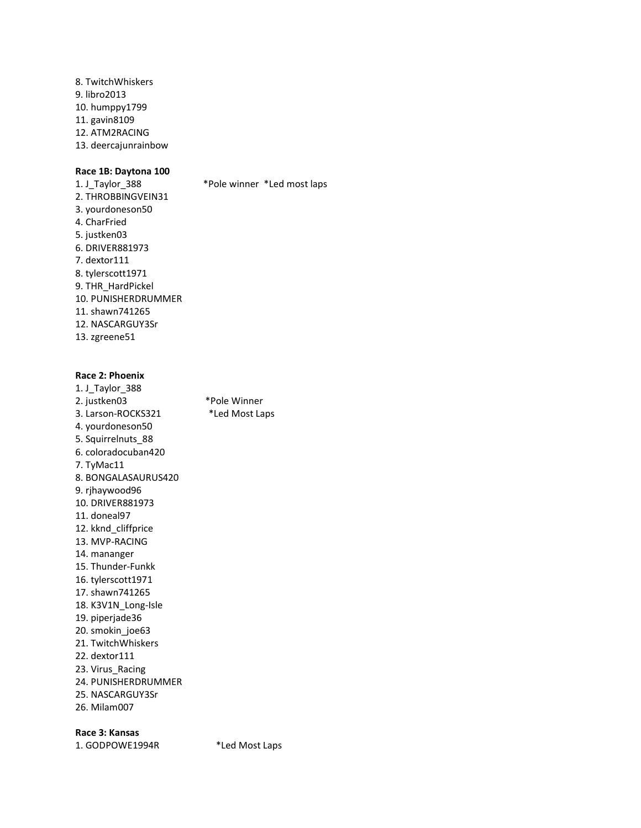8. TwitchWhiskers 9. libro2013 10. humppy1799 11. gavin8109 12. ATM2RACING 13. deercajunrainbow

**Race 1B: Daytona 100** \*Pole winner \*Led most laps 2. THROBBINGVEIN31 3. yourdoneson50 4. CharFried 5. justken03 6. DRIVER881973 7. dextor111 8. tylerscott1971 9. THR\_HardPickel 10. PUNISHERDRUMMER 11. shawn741265 12. NASCARGUY3Sr 13. zgreene51

### **Race 2: Phoenix**

| 1. J_Taylor_388     |                |
|---------------------|----------------|
| 2. justken03        | *Pole Winner   |
| 3. Larson-ROCKS321  | *Led Most Laps |
| 4. yourdoneson50    |                |
| 5. Squirrelnuts_88  |                |
| 6. coloradocuban420 |                |
| 7. TyMac11          |                |
| 8. BONGALASAURUS420 |                |
| 9. rihaywood96      |                |
| 10. DRIVER881973    |                |
| 11. doneal97        |                |
| 12. kknd cliffprice |                |
| 13. MVP-RACING      |                |
| 14. mananger        |                |
| 15. Thunder-Funkk   |                |
| 16. tylerscott1971  |                |
| 17. shawn741265     |                |
| 18. K3V1N Long-Isle |                |
| 19. piperjade36     |                |
| 20. smokin joe63    |                |
| 21. TwitchWhiskers  |                |
| 22. dextor 111      |                |
| 23. Virus Racing    |                |
| 24. PUNISHERDRUMMER |                |
| 25. NASCARGUY3Sr    |                |
| 26. Milam007        |                |

**Race 3: Kansas**

1. GODPOWE1994R \*Led Most Laps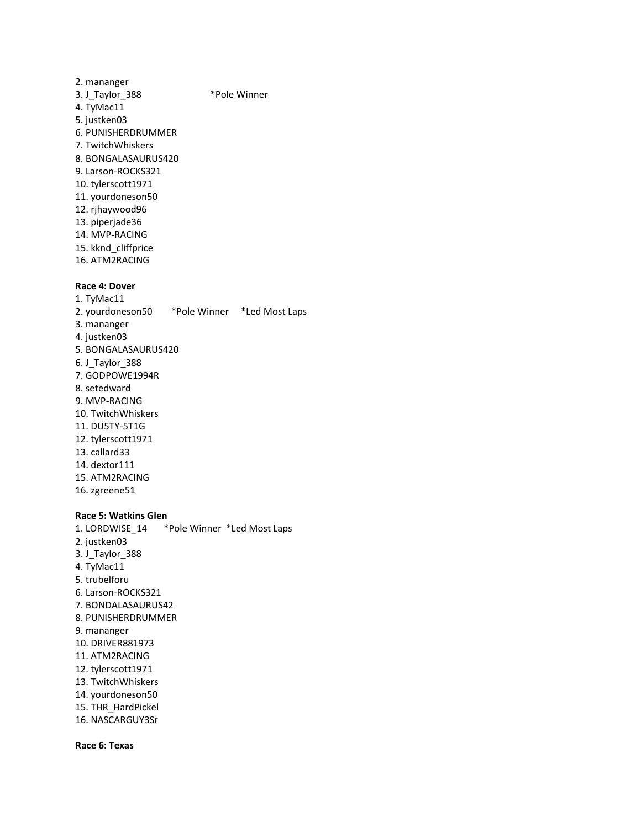2. mananger 3. J\_Taylor\_388 \*Pole Winner 4. TyMac11 5. justken03 6. PUNISHERDRUMMER 7. TwitchWhiskers 8. BONGALASAURUS420 9. Larson-ROCKS321 10. tylerscott1971 11. yourdoneson50 12. rjhaywood96 13. piperjade36 14. MVP-RACING 15. kknd\_cliffprice 16. ATM2RACING

### **Race 4: Dover**

1. TyMac11 2. yourdoneson50 \*Pole Winner \*Led Most Laps 3. mananger 4. justken03 5. BONGALASAURUS420 6. J\_Taylor\_388 7. GODPOWE1994R 8. setedward 9. MVP-RACING 10. TwitchWhiskers 11. DU5TY-5T1G 12. tylerscott1971 13. callard33 14. dextor111 15. ATM2RACING 16. zgreene51

#### **Race 5: Watkins Glen**

1. LORDWISE\_14 \*Pole Winner \*Led Most Laps 2. justken03 3. J\_Taylor\_388 4. TyMac11 5. trubelforu 6. Larson-ROCKS321 7. BONDALASAURUS42 8. PUNISHERDRUMMER 9. mananger 10. DRIVER881973 11. ATM2RACING 12. tylerscott1971 13. TwitchWhiskers 14. yourdoneson50 15. THR\_HardPickel 16. NASCARGUY3Sr

**Race 6: Texas**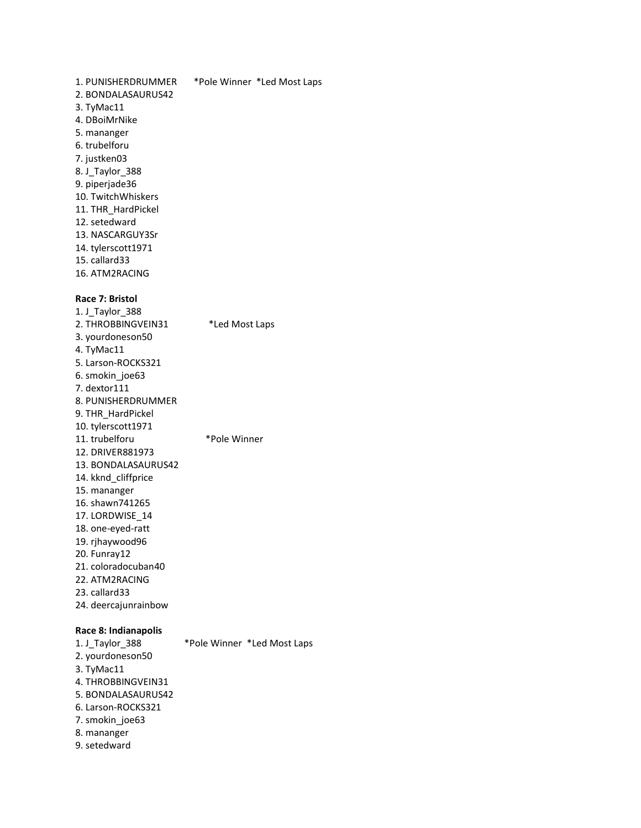1. PUNISHERDRUMMER \*Pole Winner \*Led Most Laps 2. BONDALASAURUS42 3. TyMac11 4. DBoiMrNike 5. mananger 6. trubelforu 7. justken03 8. J\_Taylor\_388 9. piperjade36 10. TwitchWhiskers 11. THR\_HardPickel 12. setedward 13. NASCARGUY3Sr 14. tylerscott1971 15. callard33 16. ATM2RACING

### **Race 7: Bristol**

1. J\_Taylor\_388 2. THROBBINGVEIN31 \*Led Most Laps 3. yourdoneson50 4. TyMac11 5. Larson-ROCKS321 6. smokin\_joe63 7. dextor111 8. PUNISHERDRUMMER 9. THR\_HardPickel 10. tylerscott1971 11. trubelforu \*Pole Winner 12. DRIVER881973 13. BONDALASAURUS42 14. kknd\_cliffprice 15. mananger 16. shawn741265 17. LORDWISE\_14 18. one-eyed-ratt 19. rjhaywood96 20. Funray12 21. coloradocuban40 22. ATM2RACING 23. callard33 24. deercajunrainbow

### **Race 8: Indianapolis**

1. J\_Taylor\_388 \*Pole Winner \*Led Most Laps 2. yourdoneson50 3. TyMac11 4. THROBBINGVEIN31 5. BONDALASAURUS42 6. Larson-ROCKS321 7. smokin\_joe63 8. mananger 9. setedward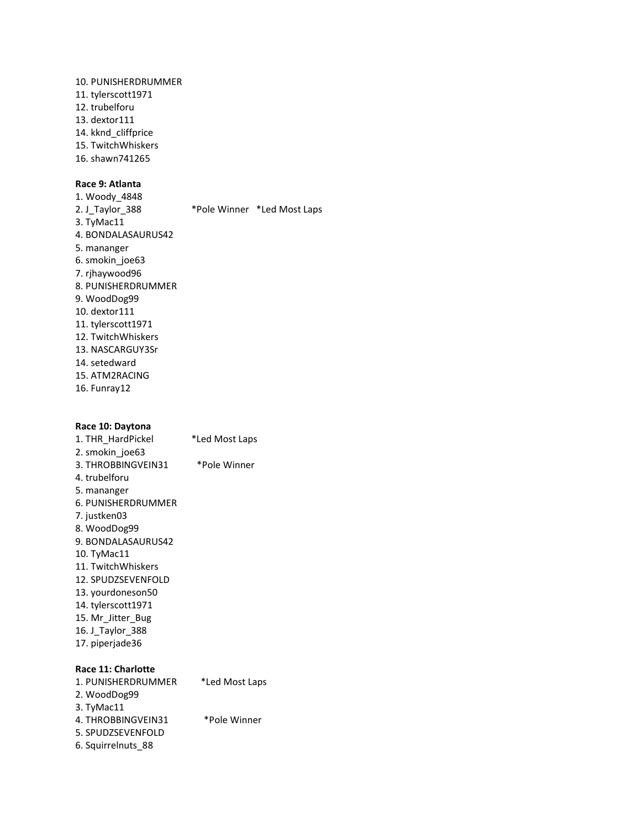10. PUNISHERDRUMMER 11. tylerscott1971 12. trubelforu 13. dextor111 14. kknd\_cliffprice 15. TwitchWhiskers 16. shawn741265

### **Race 9: Atlanta**

1. Woody\_4848 2. J\_Taylor\_388 \*Pole Winner \*Led Most Laps 3. TyMac11 4. BONDALASAURUS42 5. mananger 6. smokin\_joe63 7. rjhaywood96 8. PUNISHERDRUMMER 9. WoodDog99 10. dextor111 11. tylerscott1971 12. TwitchWhiskers 13. NASCARGUY3Sr 14. setedward 15. ATM2RACING 16. Funray12

### **Race 10: Daytona**

| 1. THR_HardPickel  | *Led Most Laps |
|--------------------|----------------|
| 2. smokin joe63    |                |
| 3. THROBBINGVEIN31 | *Pole Winner   |
| 4. trubelforu      |                |
| 5. mananger        |                |
| 6. PUNISHERDRUMMER |                |
| 7. justken03       |                |
| 8. WoodDog99       |                |
| 9. BONDALASAURUS42 |                |
| 10. TyMac11        |                |
| 11. TwitchWhiskers |                |
| 12. SPUDZSEVENFOLD |                |
| 13. yourdoneson50  |                |
| 14. tylerscott1971 |                |
| 15. Mr Jitter Bug  |                |
| 16. J Taylor 388   |                |
| 17. piperjade36    |                |
|                    |                |
| Race 11: Charlotte |                |
| 1. PUNISHERDRUMMER | *Led Most Laps |
| 2. WoodDog99       |                |
|                    |                |

| 2. WoodDog99       |              |
|--------------------|--------------|
| 3. TyMac11         |              |
| 4. THROBBINGVEIN31 | *Pole Winner |
| 5. SPUDZSEVENFOLD  |              |
| 6. Squirrelnuts 88 |              |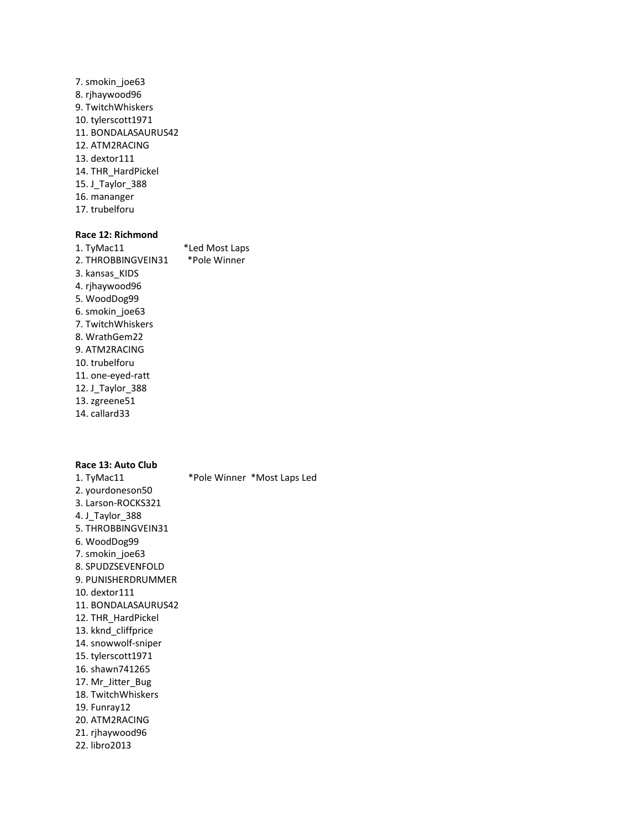7. smokin\_joe63 8. rjhaywood96 9. TwitchWhiskers 10. tylerscott1971 11. BONDALASAURUS42 12. ATM2RACING 13. dextor111 14. THR\_HardPickel 15. J\_Taylor\_388 16. mananger 17. trubelforu

### **Race 12: Richmond**

1. TyMac11 \*Led Most Laps 2. THROBBINGVEIN31 \*Pole Winner 3. kansas\_KIDS 4. rjhaywood96 5. WoodDog99 6. smokin\_joe63 7. TwitchWhiskers 8. WrathGem22 9. ATM2RACING 10. trubelforu 11. one-eyed-ratt 12. J\_Taylor\_388 13. zgreene51 14. callard33

### **Race 13: Auto Club**

1. TyMac11 \*Pole Winner \*Most Laps Led 2. yourdoneson50 3. Larson-ROCKS321 4. J\_Taylor\_388 5. THROBBINGVEIN31 6. WoodDog99 7. smokin\_joe63 8. SPUDZSEVENFOLD 9. PUNISHERDRUMMER 10. dextor111 11. BONDALASAURUS42 12. THR\_HardPickel 13. kknd\_cliffprice 14. snowwolf-sniper 15. tylerscott1971 16. shawn741265 17. Mr\_Jitter\_Bug 18. TwitchWhiskers 19. Funray12 20. ATM2RACING 21. rjhaywood96 22. libro2013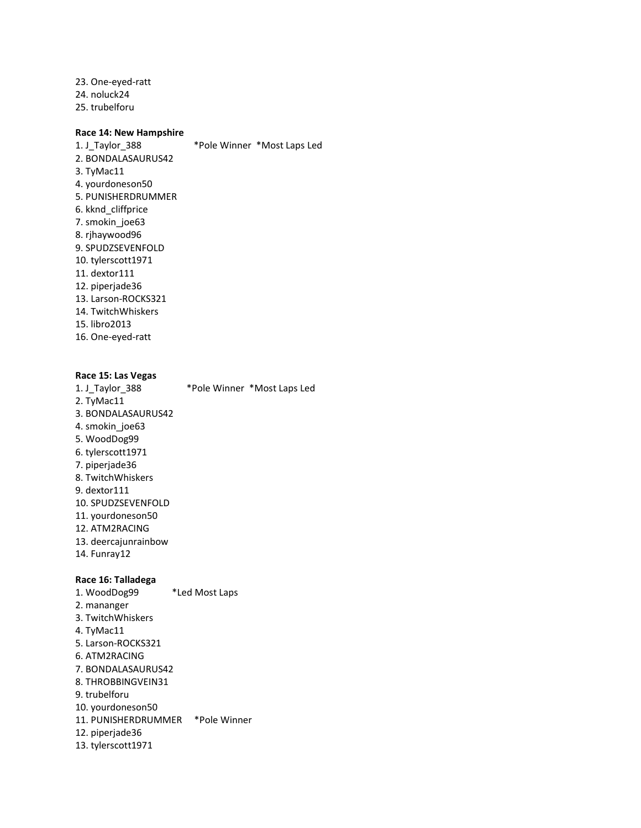23. One-eyed-ratt 24. noluck24 25. trubelforu

### **Race 14: New Hampshire**

1. J Taylor\_388 \*Pole Winner \*Most Laps Led 2. BONDALASAURUS42 3. TyMac11 4. yourdoneson50 5. PUNISHERDRUMMER 6. kknd\_cliffprice 7. smokin\_joe63 8. rjhaywood96 9. SPUDZSEVENFOLD 10. tylerscott1971 11. dextor111 12. piperjade36 13. Larson-ROCKS321 14. TwitchWhiskers 15. libro2013 16. One-eyed-ratt

### **Race 15: Las Vegas**

1. J Taylor 388 \*Pole Winner \*Most Laps Led 2. TyMac11 3. BONDALASAURUS42 4. smokin\_joe63 5. WoodDog99 6. tylerscott1971 7. piperjade36 8. TwitchWhiskers 9. dextor111 10. SPUDZSEVENFOLD 11. yourdoneson50 12. ATM2RACING 13. deercajunrainbow 14. Funray12

### **Race 16: Talladega**

1. WoodDog99 \*Led Most Laps 2. mananger 3. TwitchWhiskers 4. TyMac11 5. Larson-ROCKS321 6. ATM2RACING 7. BONDALASAURUS42 8. THROBBINGVEIN31 9. trubelforu 10. yourdoneson50 11. PUNISHERDRUMMER \*Pole Winner 12. piperjade36 13. tylerscott1971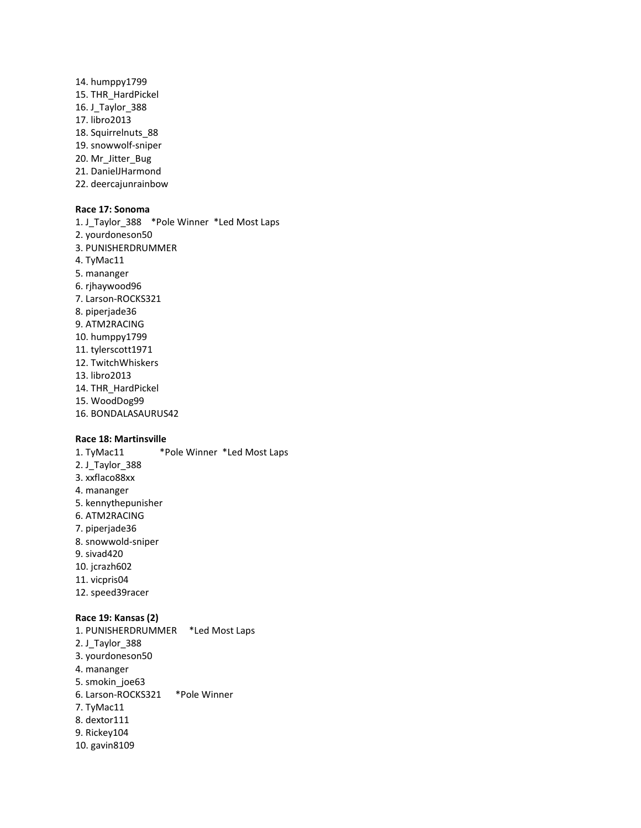- 14. humppy1799 15. THR\_HardPickel 16. J\_Taylor\_388 17. libro2013 18. Squirrelnuts\_88 19. snowwolf-sniper 20. Mr\_Jitter\_Bug
- 21. DanielJHarmond
- 22. deercajunrainbow

### **Race 17: Sonoma**

1. J\_Taylor\_388 \*Pole Winner \*Led Most Laps 2. yourdoneson50 3. PUNISHERDRUMMER 4. TyMac11 5. mananger 6. rjhaywood96 7. Larson-ROCKS321 8. piperjade36 9. ATM2RACING 10. humppy1799 11. tylerscott1971 12. TwitchWhiskers 13. libro2013 14. THR\_HardPickel 15. WoodDog99 16. BONDALASAURUS42

### **Race 18: Martinsville**

1. TyMac11 \*Pole Winner \*Led Most Laps 2. J\_Taylor\_388 3. xxflaco88xx 4. mananger 5. kennythepunisher 6. ATM2RACING 7. piperjade36 8. snowwold-sniper 9. sivad420

- 10. jcrazh602
- 11. vicpris04
- 12. speed39racer

#### **Race 19: Kansas (2)**

1. PUNISHERDRUMMER \*Led Most Laps 2. J\_Taylor\_388 3. yourdoneson50 4. mananger 5. smokin\_joe63 6. Larson-ROCKS321 \*Pole Winner 7. TyMac11 8. dextor111 9. Rickey104 10. gavin8109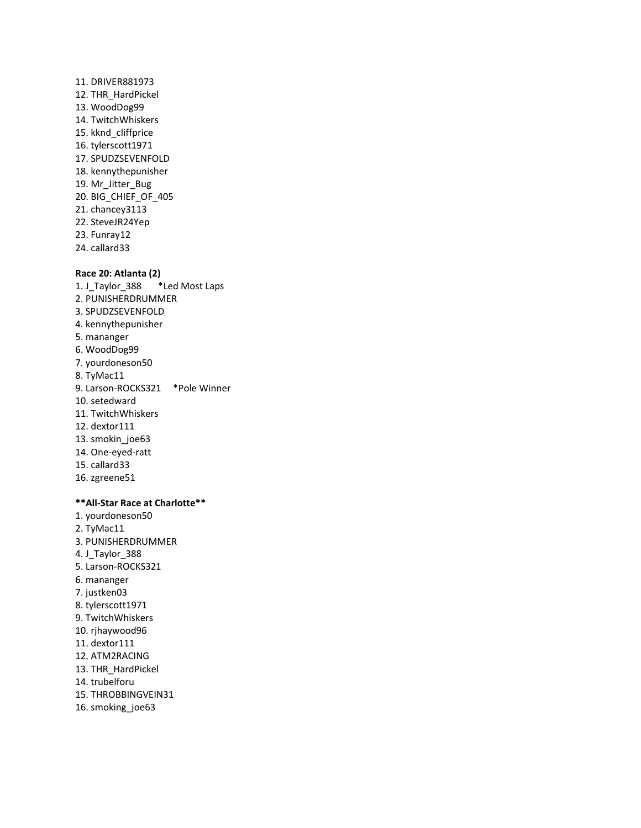11. DRIVER881973 12. THR\_HardPickel 13. WoodDog99 14. TwitchWhiskers 15. kknd\_cliffprice 16. tylerscott1971 17. SPUDZSEVENFOLD 18. kennythepunisher 19. Mr\_Jitter\_Bug 20. BIG\_CHIEF\_OF\_405 21. chancey3113 22. SteveJR24Yep 23. Funray12 24. callard33

### **Race 20: Atlanta (2)**

1. J\_Taylor\_388 \*Led Most Laps 2. PUNISHERDRUMMER 3. SPUDZSEVENFOLD 4. kennythepunisher 5. mananger 6. WoodDog99 7. yourdoneson50 8. TyMac11 9. Larson-ROCKS321 \*Pole Winner 10. setedward 11. TwitchWhiskers 12. dextor111 13. smokin\_joe63 14. One-eyed-ratt 15. callard33 16. zgreene51

### **\*\*All-Star Race at Charlotte\*\***

- 1. yourdoneson50 2. TyMac11 3. PUNISHERDRUMMER 4. J Taylor 388 5. Larson-ROCKS321 6. mananger 7. justken03 8. tylerscott1971 9. TwitchWhiskers 10. rjhaywood96 11. dextor111 12. ATM2RACING 13. THR\_HardPickel 14. trubelforu 15. THROBBINGVEIN31
- 16. smoking\_joe63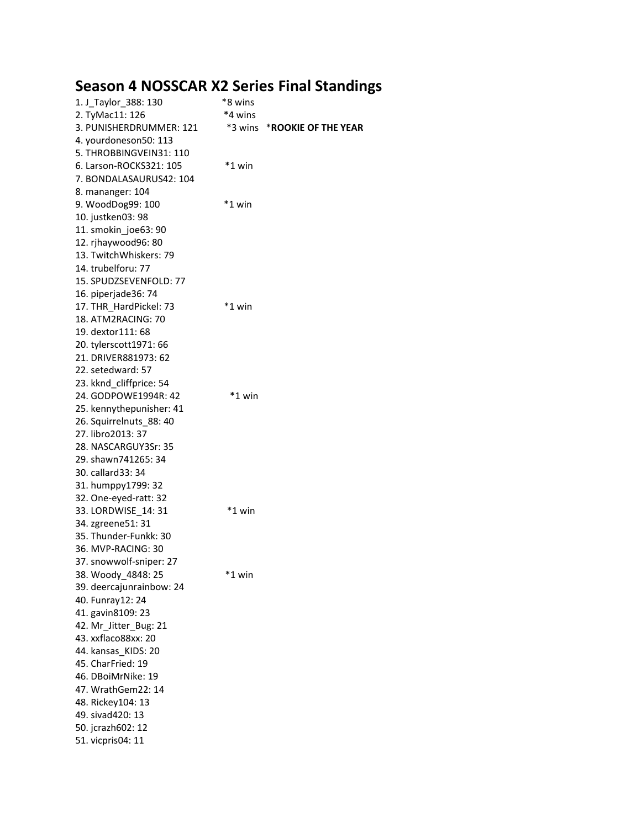# **Season 4 NOSSCAR X2 Series Final Standings**

| 1. J_Taylor_388: 130     | *8 wins  |                            |
|--------------------------|----------|----------------------------|
| 2. TyMac11: 126          | *4 wins  |                            |
| 3. PUNISHERDRUMMER: 121  | *3 wins  | <b>*ROOKIE OF THE YEAR</b> |
| 4. yourdoneson50: 113    |          |                            |
| 5. THROBBINGVEIN31: 110  |          |                            |
| 6. Larson-ROCKS321: 105  | $*1$ win |                            |
| 7. BONDALASAURUS42: 104  |          |                            |
| 8. mananger: 104         |          |                            |
|                          | $*1$ win |                            |
| 9. WoodDog99: 100        |          |                            |
| 10. justken03: 98        |          |                            |
| 11. smokin_joe63: 90     |          |                            |
| 12. rjhaywood96: 80      |          |                            |
| 13. TwitchWhiskers: 79   |          |                            |
| 14. trubelforu: 77       |          |                            |
| 15. SPUDZSEVENFOLD: 77   |          |                            |
| 16. piperjade36: 74      |          |                            |
| 17. THR_HardPickel: 73   | *1 win   |                            |
| 18. ATM2RACING: 70       |          |                            |
| 19. dextor 111: 68       |          |                            |
| 20. tylerscott1971: 66   |          |                            |
| 21. DRIVER881973: 62     |          |                            |
| 22. setedward: 57        |          |                            |
| 23. kknd_cliffprice: 54  |          |                            |
| 24. GODPOWE1994R: 42     | $*1$ win |                            |
| 25. kennythepunisher: 41 |          |                            |
| 26. Squirrelnuts 88: 40  |          |                            |
| 27. libro2013: 37        |          |                            |
| 28. NASCARGUY3Sr: 35     |          |                            |
| 29. shawn741265: 34      |          |                            |
| 30. callard 33: 34       |          |                            |
| 31. humppy1799: 32       |          |                            |
| 32. One-eyed-ratt: 32    |          |                            |
|                          | *1 win   |                            |
| 33. LORDWISE_14: 31      |          |                            |
| 34. zgreene51: 31        |          |                            |
| 35. Thunder-Funkk: 30    |          |                            |
| 36. MVP-RACING: 30       |          |                            |
| 37. snowwolf-sniper: 27  |          |                            |
| 38. Woody_4848: 25       | *1 win   |                            |
| 39. deercajunrainbow: 24 |          |                            |
| 40. Funray12: 24         |          |                            |
| 41. gavin8109: 23        |          |                            |
| 42. Mr_Jitter_Bug: 21    |          |                            |
| 43. xxflaco88xx: 20      |          |                            |
| 44. kansas_KIDS: 20      |          |                            |
| 45. CharFried: 19        |          |                            |
| 46. DBoiMrNike: 19       |          |                            |
| 47. WrathGem22: 14       |          |                            |
| 48. Rickey104: 13        |          |                            |
| 49. sivad420: 13         |          |                            |
| 50. jcrazh602: 12        |          |                            |
| 51. vicpris04: 11        |          |                            |
|                          |          |                            |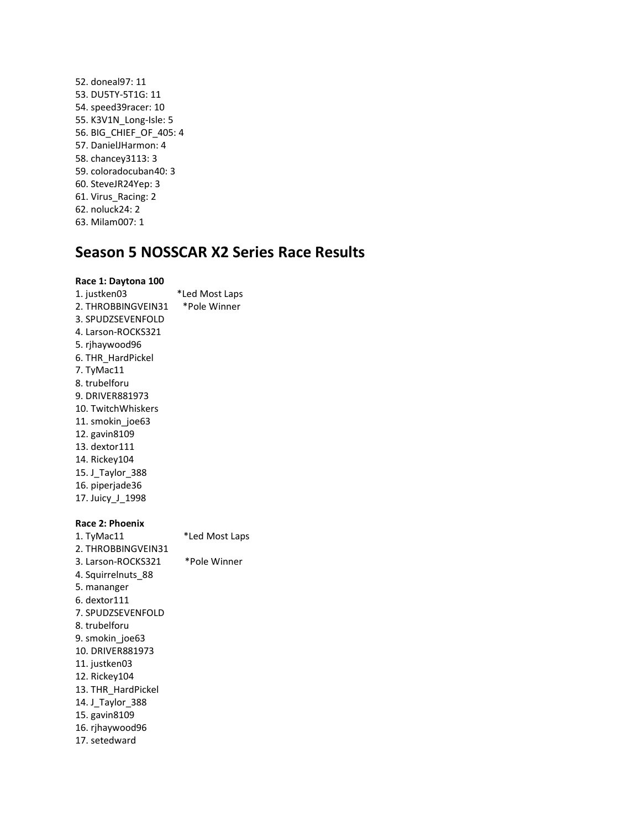52. doneal97: 11 53. DU5TY-5T1G: 11 54. speed39racer: 10 55. K3V1N\_Long-Isle: 5 56. BIG\_CHIEF\_OF\_405: 4 57. DanielJHarmon: 4 58. chancey3113: 3 59. coloradocuban40: 3 60. SteveJR24Yep: 3 61. Virus\_Racing: 2 62. noluck24: 2 63. Milam007: 1

### **Season 5 NOSSCAR X2 Series Race Results**

### **Race 1: Daytona 100**

- 1. justken03 \*Led Most Laps 2. THROBBINGVEIN31 \*Pole Winner 3. SPUDZSEVENFOLD 4. Larson-ROCKS321 5. rjhaywood96 6. THR\_HardPickel 7. TyMac11 8. trubelforu 9. DRIVER881973 10. TwitchWhiskers 11. smokin joe63 12. gavin8109 13. dextor111 14. Rickey104 15. J\_Taylor\_388 16. piperjade36 17. Juicy\_J\_1998 **Race 2: Phoenix** 1. TyMac11 \*Led Most Laps 2. THROBBINGVEIN31 3. Larson-ROCKS321 \*Pole Winner 4. Squirrelnuts\_88 5. mananger 6. dextor111 7. SPUDZSEVENFOLD 8. trubelforu
- 9. smokin\_joe63 10. DRIVER881973
- 11. justken03
- 12. Rickey104
- 13. THR\_HardPickel
- 14. J\_Taylor\_388
- 15. gavin8109
- 16. rjhaywood96
- 17. setedward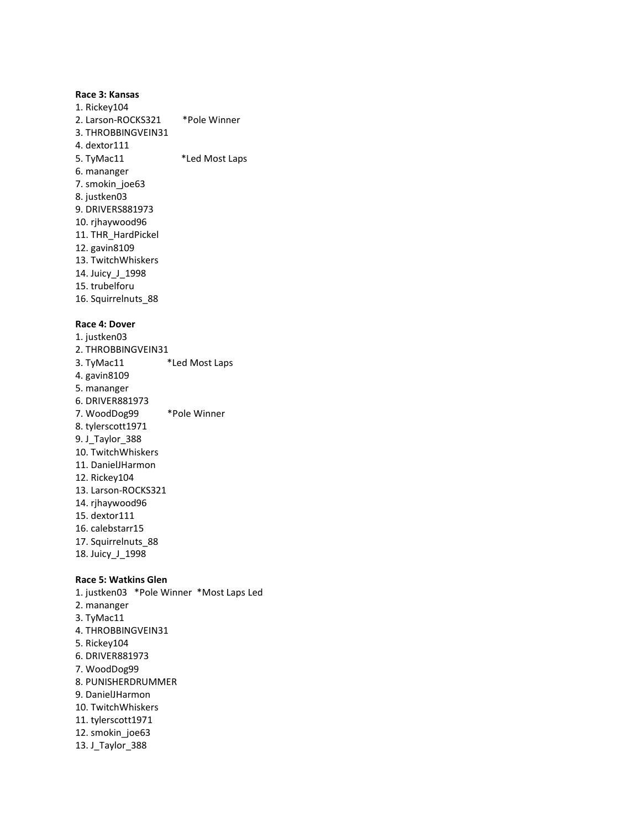### **Race 3: Kansas**

1. Rickey104 2. Larson-ROCKS321 \*Pole Winner 3. THROBBINGVEIN31 4. dextor111 5. TyMac11 \*Led Most Laps 6. mananger 7. smokin\_joe63 8. justken03 9. DRIVERS881973 10. rjhaywood96 11. THR\_HardPickel 12. gavin8109 13. TwitchWhiskers 14. Juicy\_J\_1998 15. trubelforu 16. Squirrelnuts\_88

### **Race 4: Dover**

1. justken03 2. THROBBINGVEIN31 3. TyMac11 \*Led Most Laps 4. gavin8109 5. mananger 6. DRIVER881973 7. WoodDog99 \*Pole Winner 8. tylerscott1971 9. J\_Taylor\_388 10. TwitchWhiskers 11. DanielJHarmon 12. Rickey104 13. Larson-ROCKS321 14. rjhaywood96 15. dextor111 16. calebstarr15 17. Squirrelnuts\_88 18. Juicy\_J\_1998

### **Race 5: Watkins Glen**

1. justken03 \*Pole Winner \*Most Laps Led 2. mananger 3. TyMac11 4. THROBBINGVEIN31 5. Rickey104 6. DRIVER881973 7. WoodDog99 8. PUNISHERDRUMMER 9. DanielJHarmon 10. TwitchWhiskers 11. tylerscott1971 12. smokin\_joe63 13. J\_Taylor\_388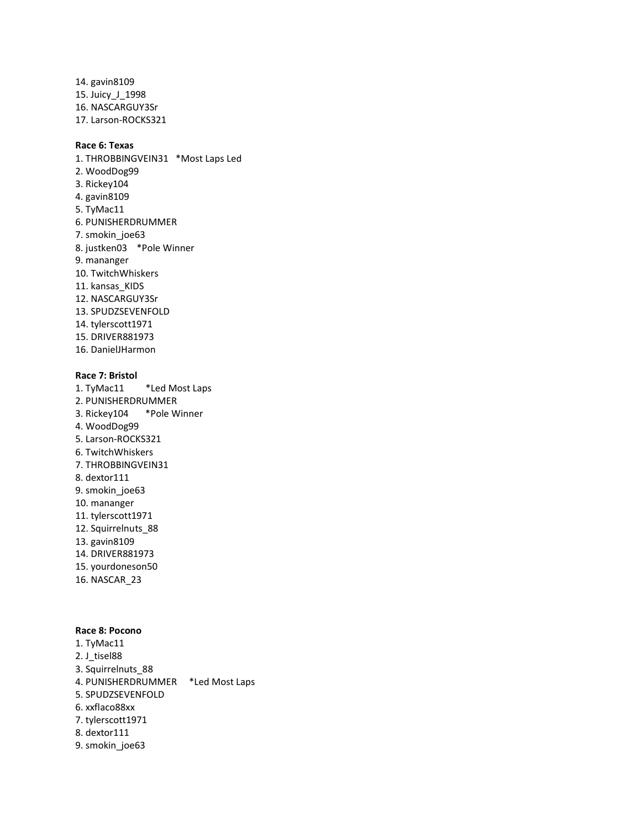14. gavin8109 15. Juicy\_J\_1998 16. NASCARGUY3Sr 17. Larson-ROCKS321

### **Race 6: Texas**

1. THROBBINGVEIN31 \*Most Laps Led 2. WoodDog99 3. Rickey104 4. gavin8109 5. TyMac11 6. PUNISHERDRUMMER 7. smokin\_joe63 8. justken03 \*Pole Winner 9. mananger 10. TwitchWhiskers 11. kansas\_KIDS 12. NASCARGUY3Sr 13. SPUDZSEVENFOLD 14. tylerscott1971 15. DRIVER881973 16. DanielJHarmon

### **Race 7: Bristol**

1. TyMac11 \*Led Most Laps 2. PUNISHERDRUMMER 3. Rickey104 \*Pole Winner 4. WoodDog99 5. Larson-ROCKS321 6. TwitchWhiskers 7. THROBBINGVEIN31 8. dextor111 9. smokin\_joe63 10. mananger 11. tylerscott1971 12. Squirrelnuts\_88 13. gavin8109 14. DRIVER881973 15. yourdoneson50 16. NASCAR\_23

### **Race 8: Pocono**

1. TyMac11 2. J\_tisel88 3. Squirrelnuts\_88 4. PUNISHERDRUMMER \*Led Most Laps 5. SPUDZSEVENFOLD 6. xxflaco88xx 7. tylerscott1971 8. dextor111 9. smokin\_joe63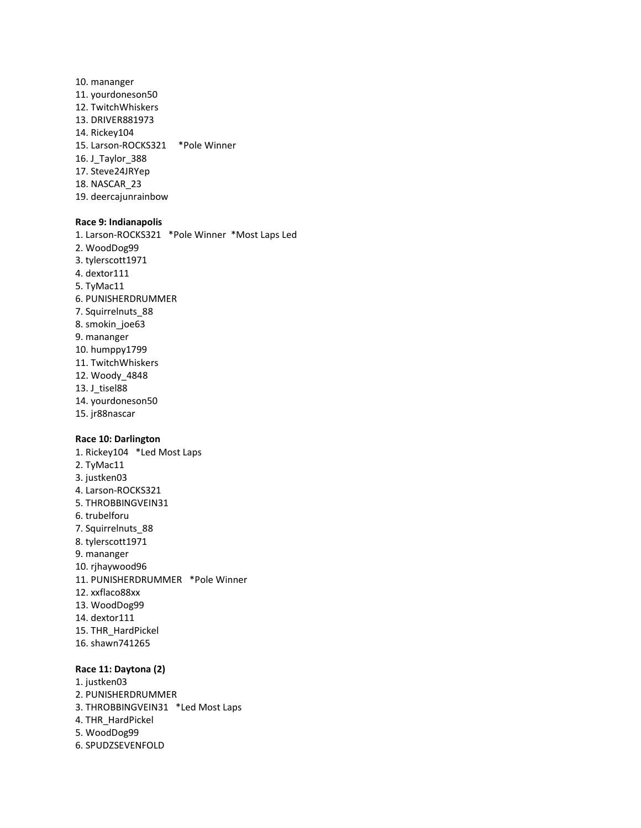10. mananger 11. yourdoneson50 12. TwitchWhiskers 13. DRIVER881973 14. Rickey104 15. Larson-ROCKS321 \*Pole Winner 16. J\_Taylor\_388 17. Steve24JRYep 18. NASCAR\_23 19. deercajunrainbow

### **Race 9: Indianapolis**

1. Larson-ROCKS321 \*Pole Winner \*Most Laps Led 2. WoodDog99 3. tylerscott1971 4. dextor111 5. TyMac11 6. PUNISHERDRUMMER 7. Squirrelnuts\_88 8. smokin\_joe63 9. mananger 10. humppy1799 11. TwitchWhiskers 12. Woody\_4848 13. J\_tisel88 14. yourdoneson50 15. jr88nascar

### **Race 10: Darlington**

1. Rickey104 \*Led Most Laps 2. TyMac11 3. justken03 4. Larson-ROCKS321 5. THROBBINGVEIN31 6. trubelforu 7. Squirrelnuts\_88 8. tylerscott1971 9. mananger 10. rjhaywood96 11. PUNISHERDRUMMER \*Pole Winner 12. xxflaco88xx 13. WoodDog99 14. dextor111 15. THR\_HardPickel 16. shawn741265

### **Race 11: Daytona (2)**

1. justken03 2. PUNISHERDRUMMER 3. THROBBINGVEIN31 \*Led Most Laps 4. THR\_HardPickel 5. WoodDog99 6. SPUDZSEVENFOLD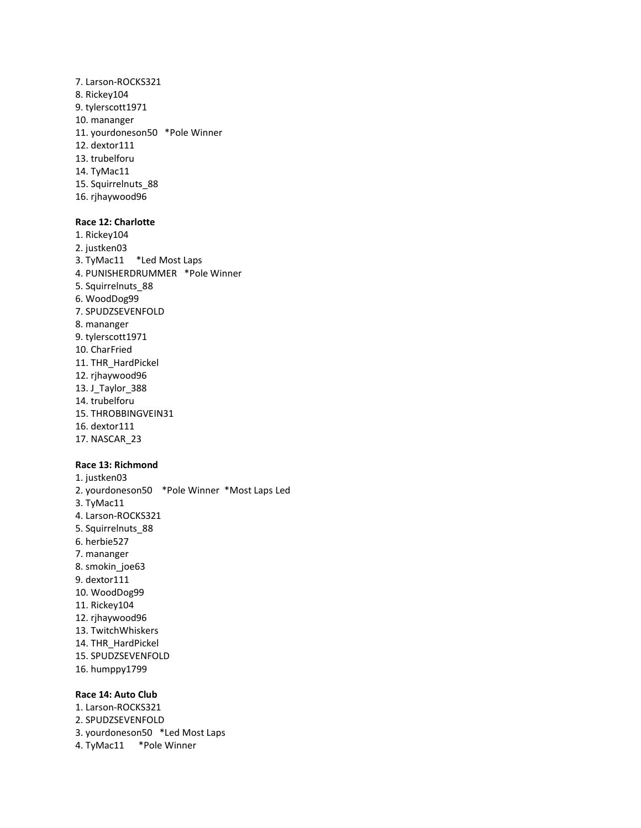7. Larson-ROCKS321 8. Rickey104 9. tylerscott1971 10. mananger 11. yourdoneson50 \*Pole Winner 12. dextor111 13. trubelforu 14. TyMac11 15. Squirrelnuts\_88 16. rjhaywood96

### **Race 12: Charlotte**

1. Rickey104 2. justken03 3. TyMac11 \*Led Most Laps 4. PUNISHERDRUMMER \*Pole Winner 5. Squirrelnuts\_88 6. WoodDog99 7. SPUDZSEVENFOLD 8. mananger 9. tylerscott1971 10. CharFried 11. THR\_HardPickel 12. rjhaywood96 13. J\_Taylor\_388 14. trubelforu 15. THROBBINGVEIN31 16. dextor111 17. NASCAR\_23

### **Race 13: Richmond**

1. justken03 2. yourdoneson50 \*Pole Winner \*Most Laps Led 3. TyMac11 4. Larson-ROCKS321 5. Squirrelnuts\_88 6. herbie527 7. mananger 8. smokin\_joe63 9. dextor111 10. WoodDog99 11. Rickey104 12. rjhaywood96 13. TwitchWhiskers 14. THR\_HardPickel 15. SPUDZSEVENFOLD 16. humppy1799

### **Race 14: Auto Club**

- 1. Larson-ROCKS321 2. SPUDZSEVENFOLD 3. yourdoneson50 \*Led Most Laps
- 4. TyMac11 \*Pole Winner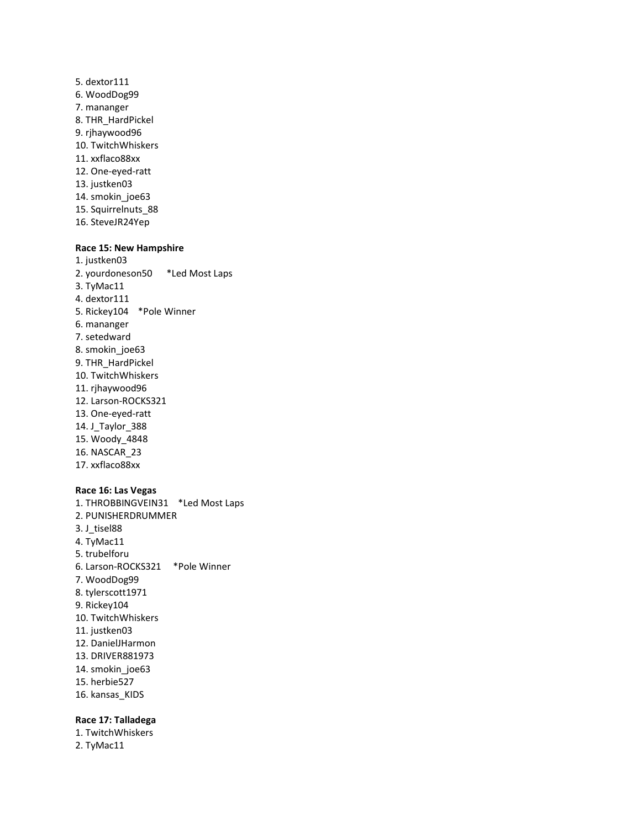- 5. dextor111 6. WoodDog99 7. mananger 8. THR\_HardPickel 9. rjhaywood96 10. TwitchWhiskers 11. xxflaco88xx 12. One-eyed-ratt 13. justken03 14. smokin\_joe63 15. Squirrelnuts\_88
- 16. SteveJR24Yep

### **Race 15: New Hampshire**

- 1. justken03 2. yourdoneson50 \*Led Most Laps 3. TyMac11 4. dextor111 5. Rickey104 \*Pole Winner 6. mananger 7. setedward 8. smokin\_joe63 9. THR\_HardPickel 10. TwitchWhiskers 11. rjhaywood96 12. Larson-ROCKS321 13. One-eyed-ratt 14. J\_Taylor\_388 15. Woody\_4848 16. NASCAR\_23 17. xxflaco88xx **Race 16: Las Vegas**
- 1. THROBBINGVEIN31 \*Led Most Laps 2. PUNISHERDRUMMER 3. J\_tisel88 4. TyMac11 5. trubelforu 6. Larson-ROCKS321 \*Pole Winner 7. WoodDog99 8. tylerscott1971 9. Rickey104 10. TwitchWhiskers 11. justken03 12. DanielJHarmon 13. DRIVER881973 14. smokin\_joe63 15. herbie527 16. kansas\_KIDS

#### **Race 17: Talladega**

1. TwitchWhiskers 2. TyMac11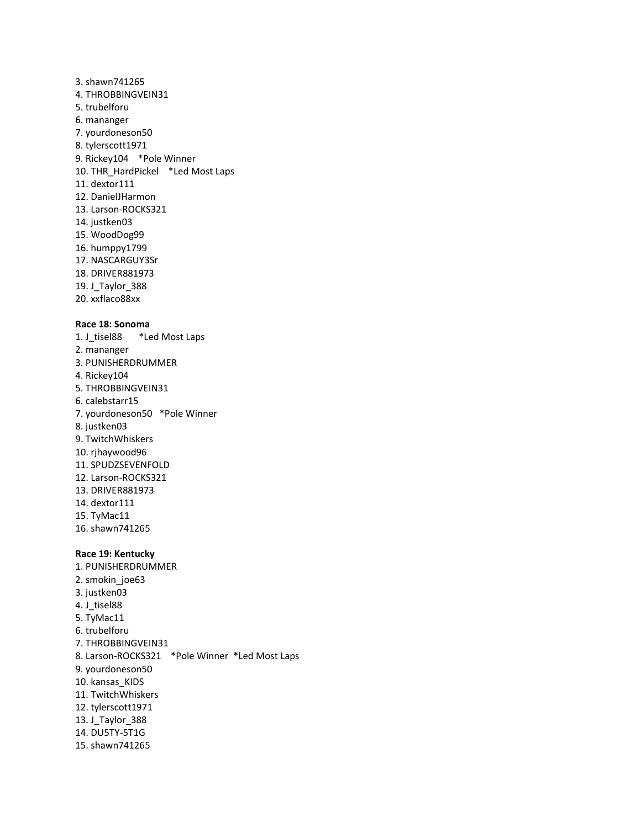3. shawn741265 4. THROBBINGVEIN31 5. trubelforu 6. mananger 7. yourdoneson50 8. tylerscott1971 9. Rickey104 \*Pole Winner 10. THR\_HardPickel \*Led Most Laps 11. dextor111 12. DanielJHarmon 13. Larson-ROCKS321 14. justken03 15. WoodDog99 16. humppy1799 17. NASCARGUY3Sr 18. DRIVER881973 19. J\_Taylor\_388 20. xxflaco88xx

### **Race 18: Sonoma**

1. J\_tisel88 \*Led Most Laps 2. mananger 3. PUNISHERDRUMMER 4. Rickey104 5. THROBBINGVEIN31 6. calebstarr15 7. yourdoneson50 \*Pole Winner 8. justken03 9. TwitchWhiskers 10. rjhaywood96 11. SPUDZSEVENFOLD 12. Larson-ROCKS321 13. DRIVER881973 14. dextor111 15. TyMac11 16. shawn741265 **Race 19: Kentucky** 1. PUNISHERDRUMMER 2. smokin\_joe63 3. justken03 4. J\_tisel88 5. TyMac11 6. trubelforu

7. THROBBINGVEIN31 8. Larson-ROCKS321 \*Pole Winner \*Led Most Laps 9. yourdoneson50 10. kansas\_KIDS 11. TwitchWhiskers 12. tylerscott1971 13. J\_Taylor\_388 14. DU5TY-5T1G 15. shawn741265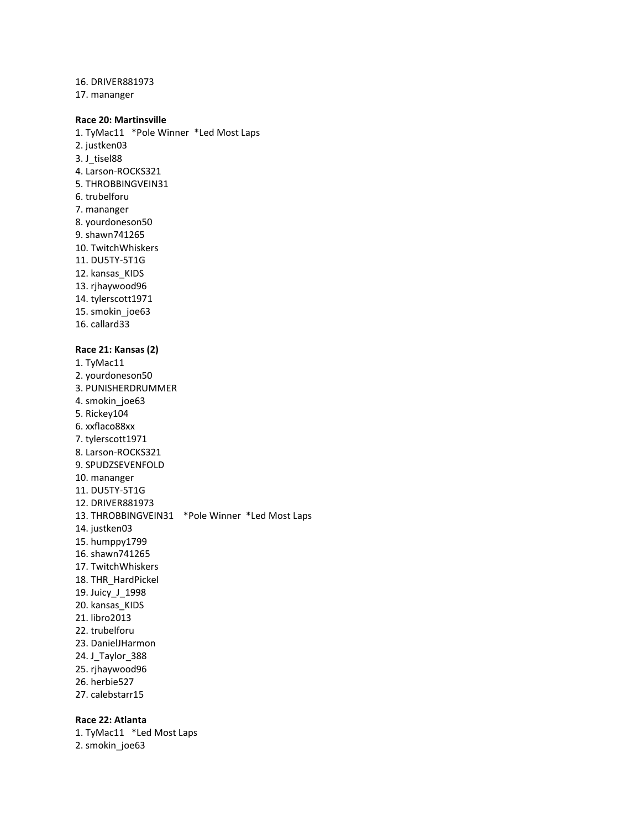16. DRIVER881973 17. mananger

### **Race 20: Martinsville**

1. TyMac11 \*Pole Winner \*Led Most Laps 2. justken03 3. J\_tisel88 4. Larson-ROCKS321 5. THROBBINGVEIN31 6. trubelforu 7. mananger 8. yourdoneson50 9. shawn741265 10. TwitchWhiskers 11. DU5TY-5T1G 12. kansas\_KIDS 13. rjhaywood96 14. tylerscott1971 15. smokin\_joe63 16. callard33 **Race 21: Kansas (2)** 1. TyMac11 2. yourdoneson50 3. PUNISHERDRUMMER

4. smokin\_joe63 5. Rickey104 6. xxflaco88xx 7. tylerscott1971 8. Larson-ROCKS321 9. SPUDZSEVENFOLD 10. mananger 11. DU5TY-5T1G 12. DRIVER881973 13. THROBBINGVEIN31 \*Pole Winner \*Led Most Laps 14. justken03 15. humppy1799 16. shawn741265 17. TwitchWhiskers 18. THR\_HardPickel 19. Juicy\_J\_1998 20. kansas\_KIDS 21. libro2013 22. trubelforu 23. DanielJHarmon 24. J\_Taylor\_388 25. rjhaywood96 26. herbie527 27. calebstarr15

### **Race 22: Atlanta**

1. TyMac11 \*Led Most Laps 2. smokin\_joe63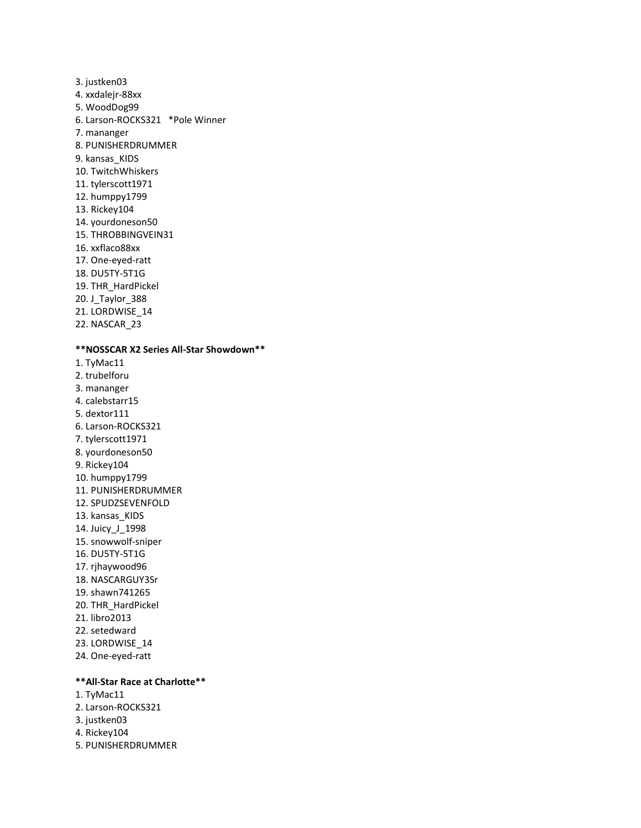3. justken03 4. xxdalejr-88xx 5. WoodDog99 6. Larson-ROCKS321 \*Pole Winner 7. mananger 8. PUNISHERDRUMMER 9. kansas\_KIDS 10. TwitchWhiskers 11. tylerscott1971 12. humppy1799 13. Rickey104 14. yourdoneson50 15. THROBBINGVEIN31 16. xxflaco88xx 17. One-eyed-ratt 18. DU5TY-5T1G 19. THR\_HardPickel 20. J\_Taylor\_388 21. LORDWISE\_14 22. NASCAR\_23 **\*\*NOSSCAR X2 Series All-Star Showdown\*\*** 1. TyMac11 2. trubelforu 3. mananger 4. calebstarr15 5. dextor111 6. Larson-ROCKS321 7. tylerscott1971 8. yourdoneson50 9. Rickey104 10. humppy1799 11. PUNISHERDRUMMER 12. SPUDZSEVENFOLD 13. kansas\_KIDS 14. Juicy\_J\_1998 15. snowwolf-sniper 16. DU5TY-5T1G 17. rjhaywood96 18. NASCARGUY3Sr 19. shawn741265 20. THR\_HardPickel 21. libro2013 22. setedward 23. LORDWISE\_14 24. One-eyed-ratt

### **\*\*All-Star Race at Charlotte\*\***

- 1. TyMac11
- 2. Larson-ROCKS321
- 3. justken03
- 4. Rickey104
- 5. PUNISHERDRUMMER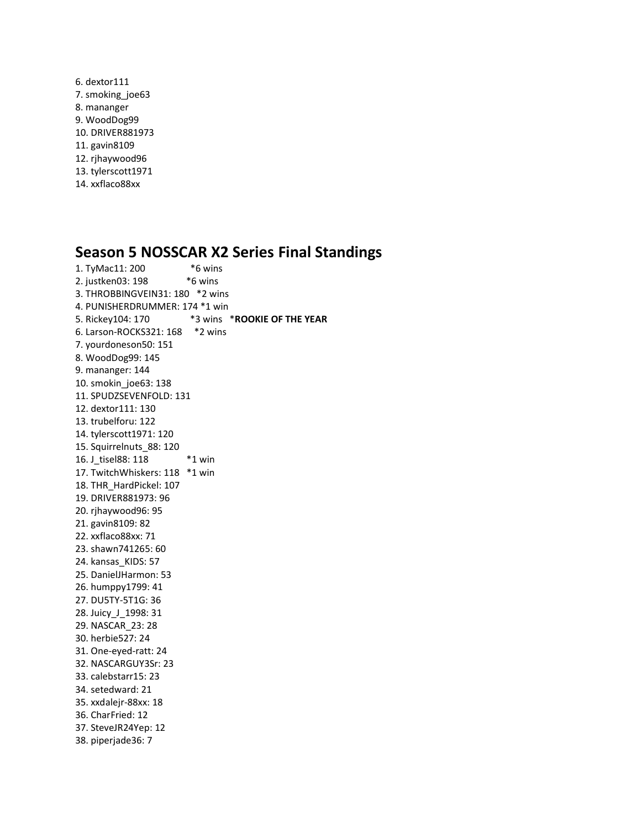6. dextor111 7. smoking\_joe63 8. mananger 9. WoodDog99 10. DRIVER881973 11. gavin8109 12. rjhaywood96 13. tylerscott1971 14. xxflaco88xx

### **Season 5 NOSSCAR X2 Series Final Standings**

1. TyMac11: 200 \*6 wins 2. justken03: 198 \*6 wins 3. THROBBINGVEIN31: 180 \*2 wins 4. PUNISHERDRUMMER: 174 \*1 win 5. Rickey104: 170 \*3 wins \***ROOKIE OF THE YEAR** 6. Larson-ROCKS321: 168 \*2 wins 7. yourdoneson50: 151 8. WoodDog99: 145 9. mananger: 144 10. smokin\_joe63: 138 11. SPUDZSEVENFOLD: 131 12. dextor111: 130 13. trubelforu: 122 14. tylerscott1971: 120 15. Squirrelnuts\_88: 120 16. J\_tisel88: 118 \*1 win 17. TwitchWhiskers: 118 \*1 win 18. THR\_HardPickel: 107 19. DRIVER881973: 96 20. rjhaywood96: 95 21. gavin8109: 82 22. xxflaco88xx: 71 23. shawn741265: 60 24. kansas\_KIDS: 57 25. DanielJHarmon: 53 26. humppy1799: 41 27. DU5TY-5T1G: 36 28. Juicy\_J\_1998: 31 29. NASCAR\_23: 28 30. herbie527: 24 31. One-eyed-ratt: 24 32. NASCARGUY3Sr: 23 33. calebstarr15: 23 34. setedward: 21 35. xxdalejr-88xx: 18 36. CharFried: 12 37. SteveJR24Yep: 12 38. piperjade36: 7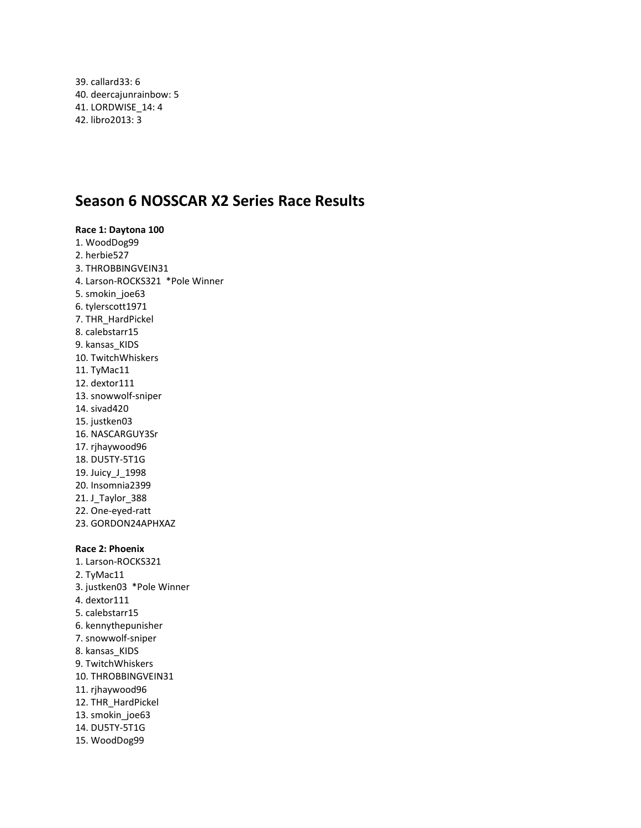39. callard33: 6 40. deercajunrainbow: 5 41. LORDWISE\_14: 4 42. libro2013: 3

### **Season 6 NOSSCAR X2 Series Race Results**

### **Race 1: Daytona 100** 1. WoodDog99 2. herbie527 3. THROBBINGVEIN31 4. Larson-ROCKS321 \*Pole Winner 5. smokin\_joe63 6. tylerscott1971 7. THR\_HardPickel 8. calebstarr15 9. kansas\_KIDS 10. TwitchWhiskers 11. TyMac11 12. dextor111 13. snowwolf-sniper 14. sivad420 15. justken03 16. NASCARGUY3Sr 17. rjhaywood96 18. DU5TY-5T1G 19. Juicy\_J\_1998 20. Insomnia2399 21. J\_Taylor\_388 22. One-eyed-ratt 23. GORDON24APHXAZ **Race 2: Phoenix** 1. Larson-ROCKS321 2. TyMac11 3. justken03 \*Pole Winner 4. dextor111 5. calebstarr15 6. kennythepunisher

- 7. snowwolf-sniper 8. kansas\_KIDS
- 9. TwitchWhiskers
- 10. THROBBINGVEIN31
- 11. rjhaywood96
- 12. THR\_HardPickel
- 13. smokin\_joe63
- 14. DU5TY-5T1G
- 15. WoodDog99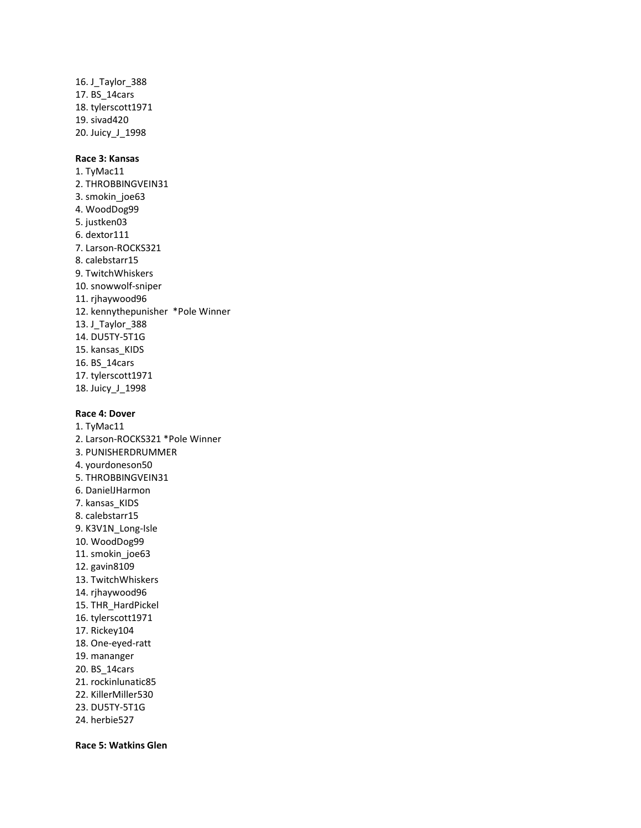16. J\_Taylor\_388 17. BS\_14cars 18. tylerscott1971 19. sivad420 20. Juicy\_J\_1998

# **Race 3: Kansas**

1. TyMac11 2. THROBBINGVEIN31 3. smokin\_joe63 4. WoodDog99 5. justken03 6. dextor111 7. Larson-ROCKS321 8. calebstarr15 9. TwitchWhiskers 10. snowwolf-sniper 11. rjhaywood96 12. kennythepunisher \*Pole Winner 13. J\_Taylor\_388 14. DU5TY-5T1G 15. kansas\_KIDS 16. BS\_14cars 17. tylerscott1971 18. Juicy\_J\_1998

#### **Race 4: Dover**

1. TyMac11 2. Larson-ROCKS321 \*Pole Winner 3. PUNISHERDRUMMER 4. yourdoneson50 5. THROBBINGVEIN31 6. DanielJHarmon 7. kansas\_KIDS 8. calebstarr15 9. K3V1N\_Long-Isle 10. WoodDog99 11. smokin\_joe63 12. gavin8109 13. TwitchWhiskers 14. rjhaywood96 15. THR\_HardPickel 16. tylerscott1971 17. Rickey104 18. One-eyed-ratt 19. mananger 20. BS\_14cars 21. rockinlunatic85 22. KillerMiller530 23. DU5TY-5T1G

24. herbie527

**Race 5: Watkins Glen**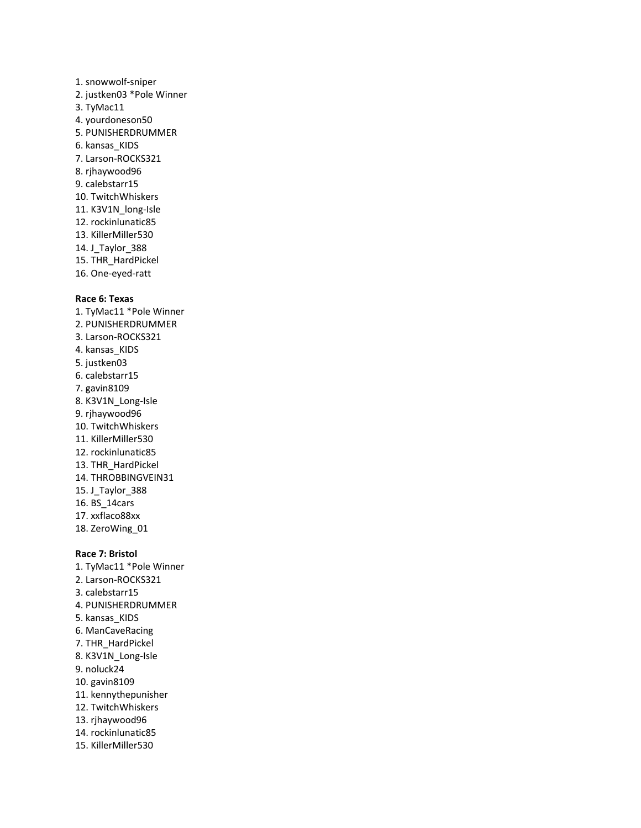# 1. snowwolf-sniper 2. justken03 \*Pole Winner 3. TyMac11 4. yourdoneson50 5. PUNISHERDRUMMER 6. kansas\_KIDS 7. Larson-ROCKS321 8. rjhaywood96 9. calebstarr15 10. TwitchWhiskers 11. K3V1N\_long-Isle 12. rockinlunatic85 13. KillerMiller530 14. J\_Taylor\_388 15. THR\_HardPickel 16. One-eyed-ratt

#### **Race 6: Texas**

1. TyMac11 \*Pole Winner 2. PUNISHERDRUMMER 3. Larson-ROCKS321 4. kansas KIDS 5. justken03 6. calebstarr15 7. gavin8109 8. K3V1N\_Long-Isle 9. rjhaywood96 10. TwitchWhiskers 11. KillerMiller530 12. rockinlunatic85 13. THR\_HardPickel 14. THROBBINGVEIN31 15. J\_Taylor\_388 16. BS\_14cars 17. xxflaco88xx 18. ZeroWing\_01

# **Race 7: Bristol**

1. TyMac11 \*Pole Winner 2. Larson-ROCKS321 3. calebstarr15 4. PUNISHERDRUMMER 5. kansas\_KIDS 6. ManCaveRacing 7. THR\_HardPickel 8. K3V1N\_Long-Isle 9. noluck24 10. gavin8109 11. kennythepunisher 12. TwitchWhiskers 13. rjhaywood96 14. rockinlunatic85 15. KillerMiller530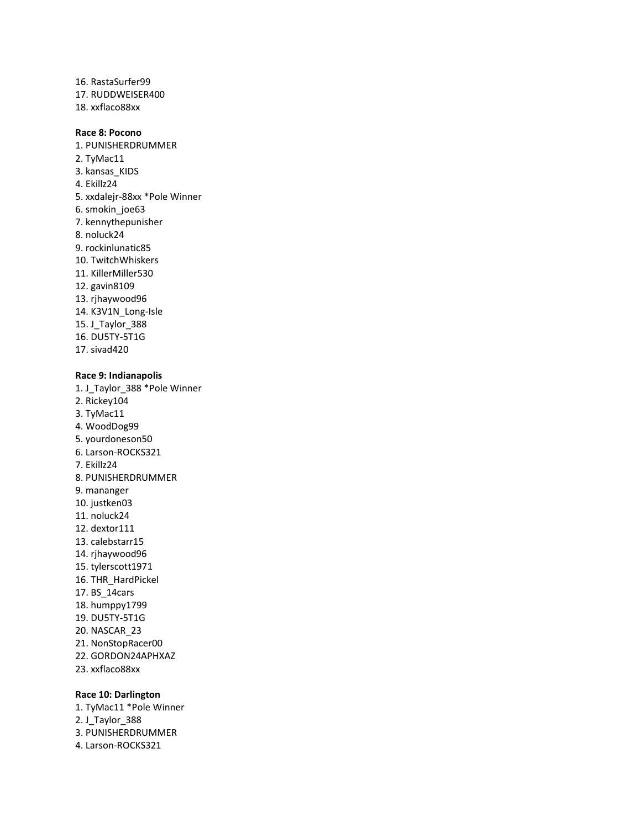16. RastaSurfer99 17. RUDDWEISER400 18. xxflaco88xx

### **Race 8: Pocono**

1. PUNISHERDRUMMER 2. TyMac11 3. kansas\_KIDS 4. Ekillz24 5. xxdalejr-88xx \*Pole Winner 6. smokin\_joe63 7. kennythepunisher 8. noluck24 9. rockinlunatic85 10. TwitchWhiskers 11. KillerMiller530 12. gavin8109 13. rjhaywood96 14. K3V1N\_Long-Isle 15. J\_Taylor\_388 16. DU5TY-5T1G 17. sivad420

#### **Race 9: Indianapolis**

1. J\_Taylor\_388 \*Pole Winner 2. Rickey104 3. TyMac11 4. WoodDog99 5. yourdoneson50 6. Larson-ROCKS321 7. Ekillz24 8. PUNISHERDRUMMER 9. mananger 10. justken03 11. noluck24 12. dextor111 13. calebstarr15 14. rjhaywood96 15. tylerscott1971 16. THR\_HardPickel 17. BS\_14cars 18. humppy1799 19. DU5TY-5T1G 20. NASCAR\_23 21. NonStopRacer00 22. GORDON24APHXAZ 23. xxflaco88xx

### **Race 10: Darlington**

1. TyMac11 \*Pole Winner 2. J Taylor 388 3. PUNISHERDRUMMER 4. Larson-ROCKS321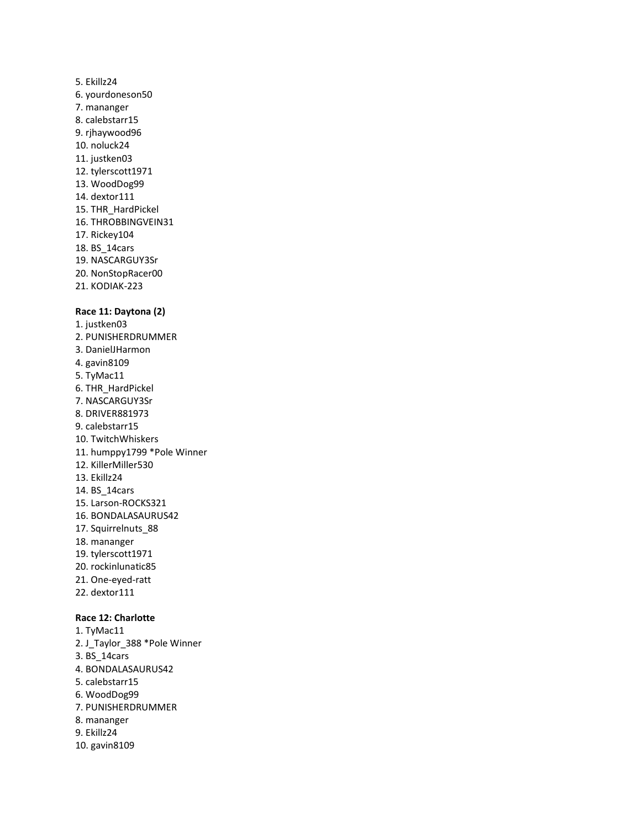# 5. Ekillz24 6. yourdoneson50 7. mananger 8. calebstarr15 9. rjhaywood96 10. noluck24 11. justken03 12. tylerscott1971 13. WoodDog99 14. dextor111 15. THR\_HardPickel 16. THROBBINGVEIN31 17. Rickey104 18. BS\_14cars 19. NASCARGUY3Sr 20. NonStopRacer00 21. KODIAK-223

# **Race 11: Daytona (2)**

- 1. justken03 2. PUNISHERDRUMMER 3. DanielJHarmon 4. gavin8109 5. TyMac11 6. THR\_HardPickel 7. NASCARGUY3Sr 8. DRIVER881973 9. calebstarr15 10. TwitchWhiskers 11. humppy1799 \*Pole Winner 12. KillerMiller530 13. Ekillz24 14. BS\_14cars 15. Larson-ROCKS321 16. BONDALASAURUS42 17. Squirrelnuts\_88 18. mananger 19. tylerscott1971 20. rockinlunatic85 21. One-eyed-ratt 22. dextor111 **Race 12: Charlotte** 1. TyMac11 2. J\_Taylor\_388 \*Pole Winner
- 3. BS\_14cars 4. BONDALASAURUS42 5. calebstarr15 6. WoodDog99 7. PUNISHERDRUMMER 8. mananger 9. Ekillz24 10. gavin8109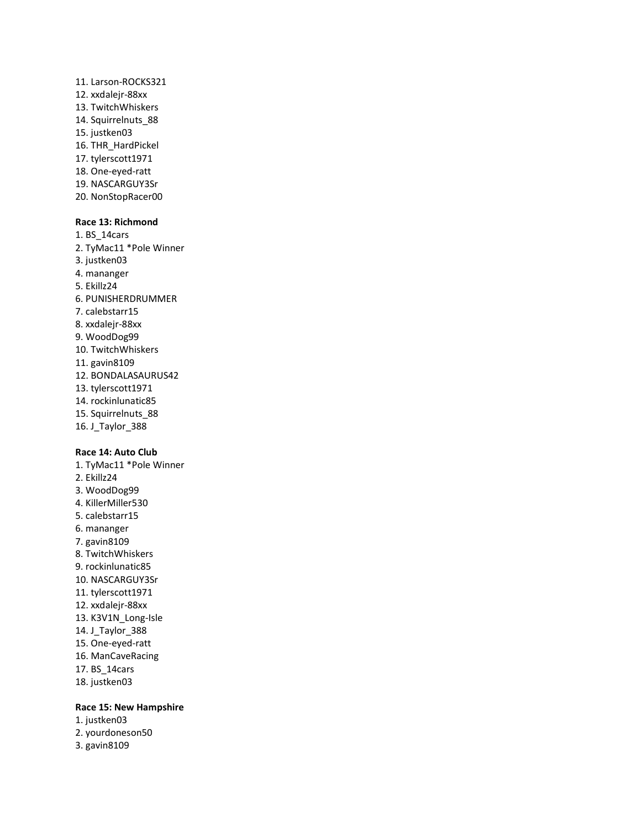- 11. Larson-ROCKS321 12. xxdalejr-88xx 13. TwitchWhiskers 14. Squirrelnuts\_88 15. justken03 16. THR\_HardPickel 17. tylerscott1971 18. One-eyed-ratt 19. NASCARGUY3Sr
- 20. NonStopRacer00

# **Race 13: Richmond**

1. BS\_14cars 2. TyMac11 \*Pole Winner 3. justken03 4. mananger 5. Ekillz24 6. PUNISHERDRUMMER 7. calebstarr15 8. xxdalejr-88xx 9. WoodDog99 10. TwitchWhiskers 11. gavin8109 12. BONDALASAURUS42 13. tylerscott1971 14. rockinlunatic85 15. Squirrelnuts\_88 16. J\_Taylor\_388

## **Race 14: Auto Club**

1. TyMac11 \*Pole Winner 2. Ekillz24 3. WoodDog99 4. KillerMiller530 5. calebstarr15 6. mananger 7. gavin8109 8. TwitchWhiskers 9. rockinlunatic85 10. NASCARGUY3Sr 11. tylerscott1971 12. xxdalejr-88xx 13. K3V1N\_Long-Isle 14. J\_Taylor\_388 15. One-eyed-ratt 16. ManCaveRacing 17. BS\_14cars 18. justken03

# **Race 15: New Hampshire**

- 1. justken03
- 2. yourdoneson50
- 3. gavin8109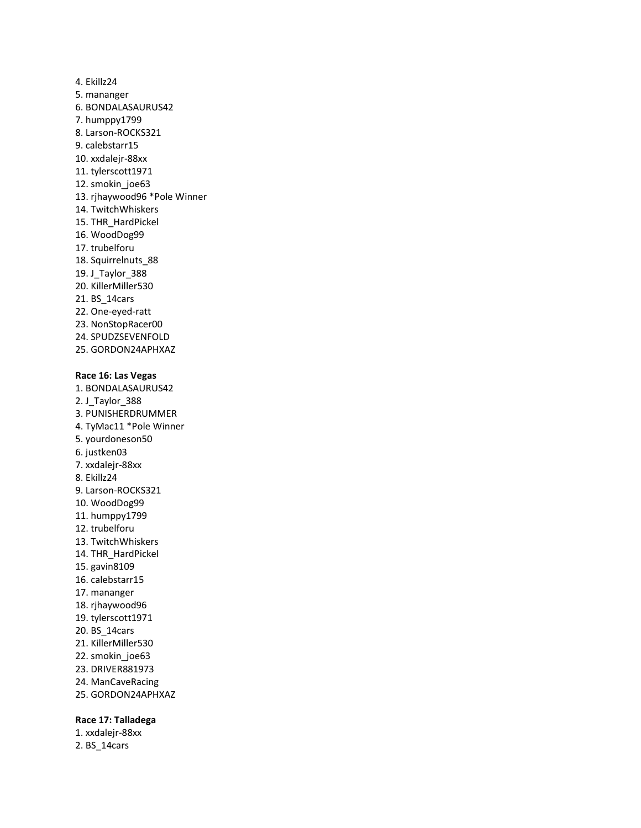4. Ekillz24 5. mananger 6. BONDALASAURUS42 7. humppy1799 8. Larson-ROCKS321 9. calebstarr15 10. xxdalejr-88xx 11. tylerscott1971 12. smokin\_joe63 13. rjhaywood96 \*Pole Winner 14. TwitchWhiskers 15. THR\_HardPickel 16. WoodDog99 17. trubelforu 18. Squirrelnuts\_88 19. J\_Taylor\_388 20. KillerMiller530 21. BS\_14cars 22. One-eyed-ratt 23. NonStopRacer00 24. SPUDZSEVENFOLD 25. GORDON24APHXAZ

#### **Race 16: Las Vegas**

1. BONDALASAURUS42 2. J\_Taylor\_388 3. PUNISHERDRUMMER 4. TyMac11 \*Pole Winner 5. yourdoneson50 6. justken03 7. xxdalejr-88xx 8. Ekillz24 9. Larson-ROCKS321 10. WoodDog99 11. humppy1799 12. trubelforu 13. TwitchWhiskers 14. THR\_HardPickel 15. gavin8109 16. calebstarr15 17. mananger 18. rjhaywood96 19. tylerscott1971 20. BS\_14cars 21. KillerMiller530 22. smokin\_joe63 23. DRIVER881973 24. ManCaveRacing 25. GORDON24APHXAZ

### **Race 17: Talladega**

1. xxdalejr-88xx 2. BS\_14cars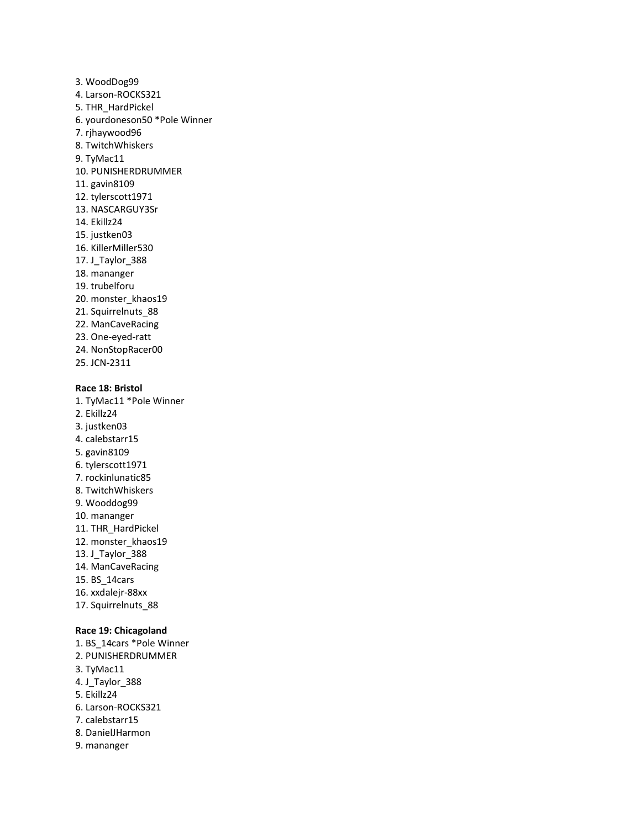3. WoodDog99 4. Larson-ROCKS321 5. THR\_HardPickel 6. yourdoneson50 \*Pole Winner 7. rjhaywood96 8. TwitchWhiskers 9. TyMac11 10. PUNISHERDRUMMER 11. gavin8109 12. tylerscott1971 13. NASCARGUY3Sr 14. Ekillz24 15. justken03 16. KillerMiller530 17. J\_Taylor\_388 18. mananger 19. trubelforu 20. monster\_khaos19 21. Squirrelnuts 88 22. ManCaveRacing 23. One-eyed-ratt 24. NonStopRacer00 25. JCN-2311

# **Race 18: Bristol**

1. TyMac11 \*Pole Winner

- 2. Ekillz24
- 3. justken03 4. calebstarr15
- 5. gavin8109
- 6. tylerscott1971
- 7. rockinlunatic85
- 8. TwitchWhiskers
- 9. Wooddog99
- 10. mananger
- 11. THR\_HardPickel
- 12. monster\_khaos19
- 13. J\_Taylor\_388
- 14. ManCaveRacing
- 15. BS\_14cars
- 16. xxdalejr-88xx
- 17. Squirrelnuts\_88

#### **Race 19: Chicagoland**

1. BS\_14cars \*Pole Winner 2. PUNISHERDRUMMER 3. TyMac11 4. J\_Taylor\_388 5. Ekillz24 6. Larson-ROCKS321 7. calebstarr15 8. DanielJHarmon 9. mananger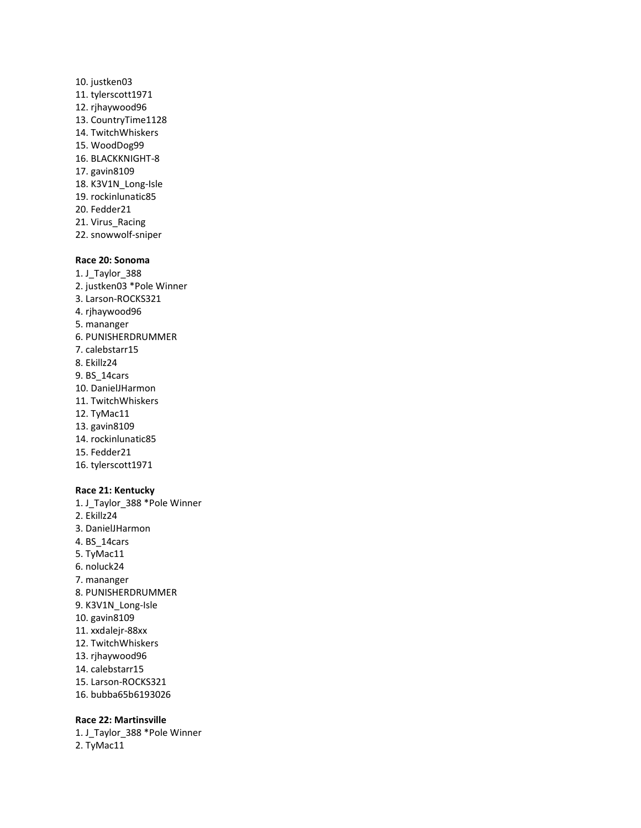10. justken03 11. tylerscott1971 12. rjhaywood96 13. CountryTime1128 14. TwitchWhiskers 15. WoodDog99 16. BLACKKNIGHT-8 17. gavin8109 18. K3V1N\_Long-Isle 19. rockinlunatic85 20. Fedder21 21. Virus\_Racing 22. snowwolf-sniper

# **Race 20: Sonoma**

1. J\_Taylor\_388 2. justken03 \*Pole Winner 3. Larson-ROCKS321 4. rjhaywood96 5. mananger 6. PUNISHERDRUMMER 7. calebstarr15 8. Ekillz24 9. BS\_14cars 10. DanielJHarmon 11. TwitchWhiskers 12. TyMac11 13. gavin8109 14. rockinlunatic85 15. Fedder21 16. tylerscott1971

#### **Race 21: Kentucky**

1. J\_Taylor\_388 \*Pole Winner 2. Ekillz24 3. DanielJHarmon 4. BS\_14cars 5. TyMac11 6. noluck24 7. mananger 8. PUNISHERDRUMMER 9. K3V1N\_Long-Isle 10. gavin8109 11. xxdalejr-88xx 12. TwitchWhiskers 13. rjhaywood96 14. calebstarr15 15. Larson-ROCKS321

16. bubba65b6193026

#### **Race 22: Martinsville**

1. J\_Taylor\_388 \*Pole Winner 2. TyMac11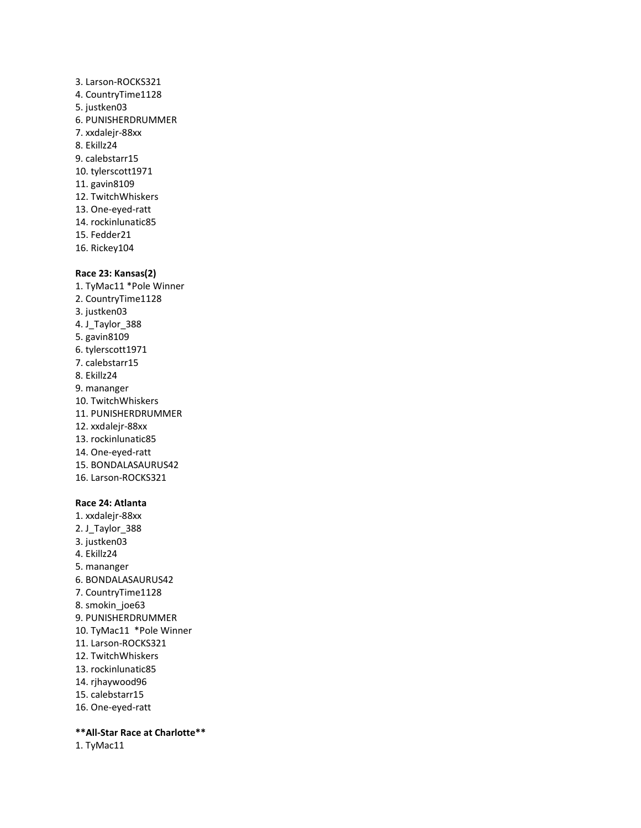3. Larson-ROCKS321 4. CountryTime1128 5. justken03 6. PUNISHERDRUMMER 7. xxdalejr-88xx 8. Ekillz24 9. calebstarr15 10. tylerscott1971 11. gavin8109 12. TwitchWhiskers 13. One-eyed-ratt 14. rockinlunatic85 15. Fedder21 16. Rickey104

# **Race 23: Kansas(2)**

1. TyMac11 \*Pole Winner 2. CountryTime1128 3. justken03 4. J\_Taylor\_388 5. gavin8109 6. tylerscott1971 7. calebstarr15 8. Ekillz24 9. mananger 10. TwitchWhiskers 11. PUNISHERDRUMMER 12. xxdalejr-88xx 13. rockinlunatic85 14. One-eyed-ratt 15. BONDALASAURUS42 16. Larson-ROCKS321

# **Race 24: Atlanta**

- 1. xxdalejr-88xx 2. J\_Taylor\_388 3. justken03 4. Ekillz24 5. mananger 6. BONDALASAURUS42 7. CountryTime1128 8. smokin\_joe63 9. PUNISHERDRUMMER 10. TyMac11 \*Pole Winner 11. Larson-ROCKS321 12. TwitchWhiskers 13. rockinlunatic85 14. rjhaywood96 15. calebstarr15
- 16. One-eyed-ratt

# **\*\*All-Star Race at Charlotte\*\***

1. TyMac11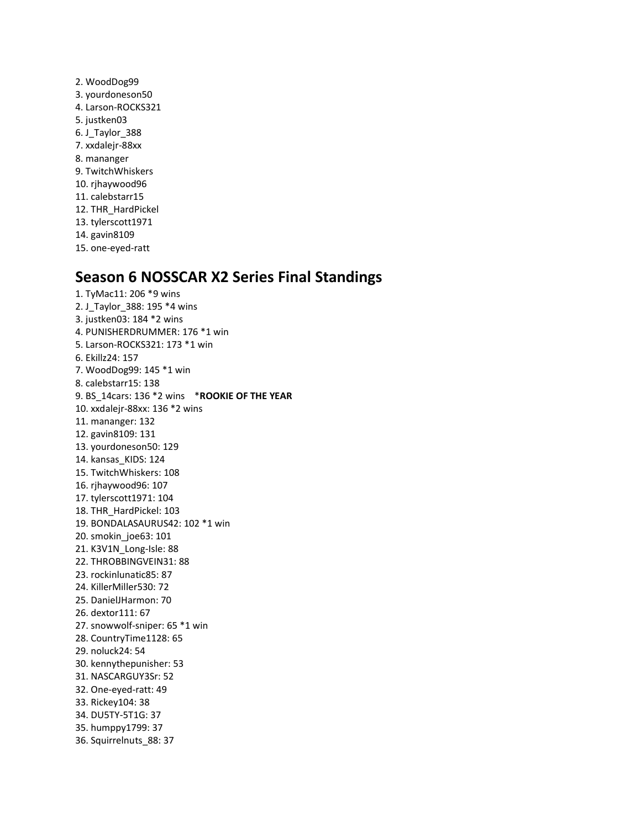2. WoodDog99 3. yourdoneson50 4. Larson-ROCKS321 5. justken03 6. J\_Taylor\_388 7. xxdalejr-88xx 8. mananger 9. TwitchWhiskers 10. rjhaywood96 11. calebstarr15 12. THR\_HardPickel 13. tylerscott1971 14. gavin8109 15. one-eyed-ratt

# **Season 6 NOSSCAR X2 Series Final Standings**

1. TyMac11: 206 \*9 wins 2. J\_Taylor\_388: 195 \*4 wins 3. justken03: 184 \*2 wins 4. PUNISHERDRUMMER: 176 \*1 win 5. Larson-ROCKS321: 173 \*1 win 6. Ekillz24: 157 7. WoodDog99: 145 \*1 win 8. calebstarr15: 138 9. BS\_14cars: 136 \*2 wins \***ROOKIE OF THE YEAR** 10. xxdalejr-88xx: 136 \*2 wins 11. mananger: 132 12. gavin8109: 131 13. yourdoneson50: 129 14. kansas\_KIDS: 124 15. TwitchWhiskers: 108 16. rjhaywood96: 107 17. tylerscott1971: 104 18. THR\_HardPickel: 103 19. BONDALASAURUS42: 102 \*1 win 20. smokin\_joe63: 101 21. K3V1N\_Long-Isle: 88 22. THROBBINGVEIN31: 88 23. rockinlunatic85: 87 24. KillerMiller530: 72 25. DanielJHarmon: 70 26. dextor111: 67 27. snowwolf-sniper: 65 \*1 win 28. CountryTime1128: 65 29. noluck24: 54 30. kennythepunisher: 53 31. NASCARGUY3Sr: 52 32. One-eyed-ratt: 49 33. Rickey104: 38 34. DU5TY-5T1G: 37 35. humppy1799: 37 36. Squirrelnuts\_88: 37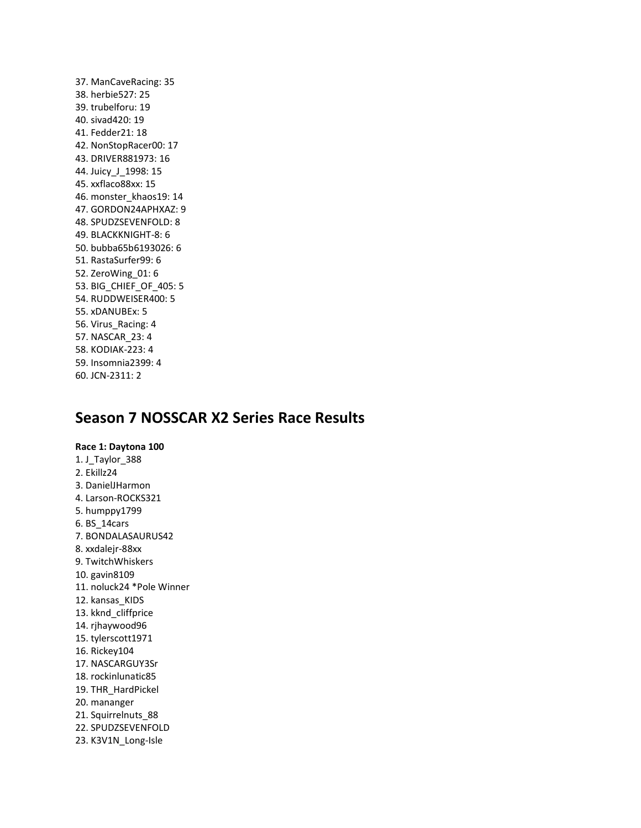37. ManCaveRacing: 35 38. herbie527: 25 39. trubelforu: 19 40. sivad420: 19 41. Fedder21: 18 42. NonStopRacer00: 17 43. DRIVER881973: 16 44. Juicy\_J\_1998: 15 45. xxflaco88xx: 15 46. monster\_khaos19: 14 47. GORDON24APHXAZ: 9 48. SPUDZSEVENFOLD: 8 49. BLACKKNIGHT-8: 6 50. bubba65b6193026: 6 51. RastaSurfer99: 6 52. ZeroWing\_01: 6 53. BIG\_CHIEF\_OF\_405: 5 54. RUDDWEISER400: 5 55. xDANUBEx: 5 56. Virus\_Racing: 4 57. NASCAR\_23: 4 58. KODIAK-223: 4 59. Insomnia2399: 4 60. JCN-2311: 2

# **Season 7 NOSSCAR X2 Series Race Results**

**Race 1: Daytona 100** 1. J\_Taylor\_388 2. Ekillz24 3. DanielJHarmon 4. Larson-ROCKS321 5. humppy1799 6. BS\_14cars 7. BONDALASAURUS42 8. xxdalejr-88xx 9. TwitchWhiskers 10. gavin8109 11. noluck24 \*Pole Winner 12. kansas KIDS 13. kknd\_cliffprice 14. rjhaywood96 15. tylerscott1971 16. Rickey104 17. NASCARGUY3Sr 18. rockinlunatic85 19. THR\_HardPickel 20. mananger 21. Squirrelnuts\_88 22. SPUDZSEVENFOLD 23. K3V1N\_Long-Isle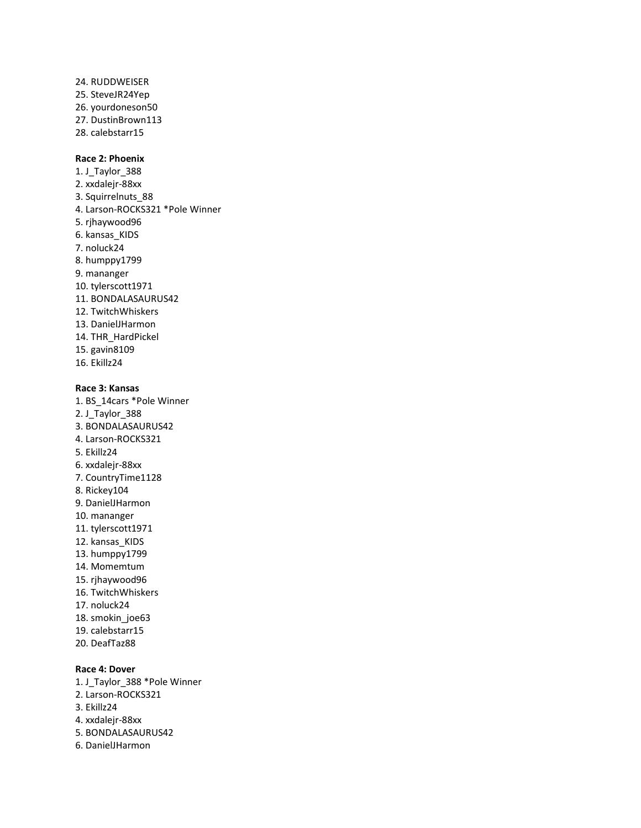24. RUDDWEISER 25. SteveJR24Yep 26. yourdoneson50 27. DustinBrown113 28. calebstarr15

# **Race 2: Phoenix**

1. J\_Taylor\_388 2. xxdalejr-88xx 3. Squirrelnuts\_88 4. Larson-ROCKS321 \*Pole Winner 5. rjhaywood96 6. kansas\_KIDS 7. noluck24 8. humppy1799 9. mananger 10. tylerscott1971 11. BONDALASAURUS42 12. TwitchWhiskers 13. DanielJHarmon 14. THR\_HardPickel 15. gavin8109 16. Ekillz24

#### **Race 3: Kansas**

1. BS\_14cars \*Pole Winner 2. J\_Taylor\_388 3. BONDALASAURUS42 4. Larson-ROCKS321 5. Ekillz24 6. xxdalejr-88xx 7. CountryTime1128 8. Rickey104 9. DanielJHarmon 10. mananger 11. tylerscott1971 12. kansas\_KIDS 13. humppy1799 14. Momemtum 15. rjhaywood96 16. TwitchWhiskers 17. noluck24 18. smokin\_joe63 19. calebstarr15 20. DeafTaz88 **Race 4: Dover** 1. J\_Taylor\_388 \*Pole Winner

- 2. Larson-ROCKS321
- 3. Ekillz24
- 4. xxdalejr-88xx
- 5. BONDALASAURUS42
- 6. DanielJHarmon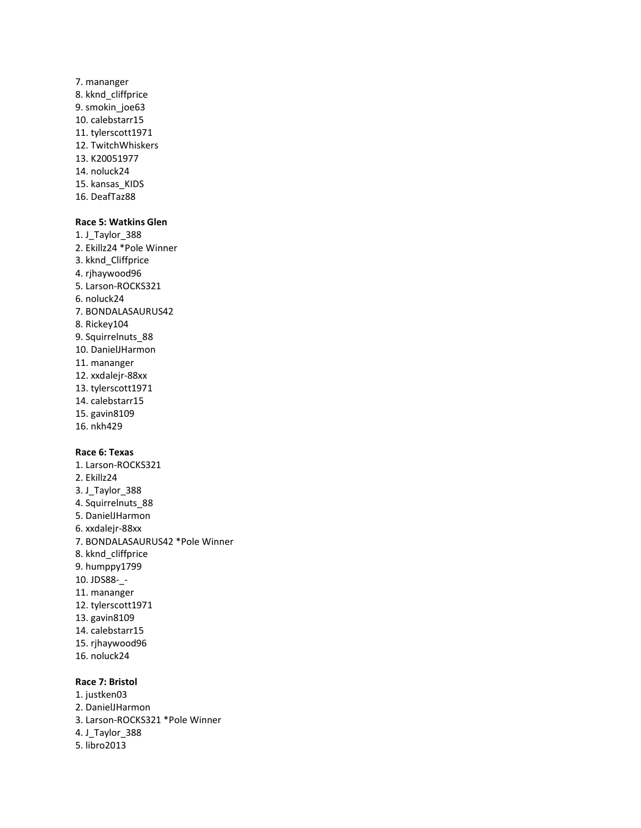7. mananger 8. kknd\_cliffprice 9. smokin\_joe63 10. calebstarr15 11. tylerscott1971 12. TwitchWhiskers 13. K20051977 14. noluck24 15. kansas\_KIDS 16. DeafTaz88

### **Race 5: Watkins Glen**

1. J\_Taylor\_388 2. Ekillz24 \*Pole Winner 3. kknd\_Cliffprice 4. rjhaywood96 5. Larson-ROCKS321 6. noluck24 7. BONDALASAURUS42 8. Rickey104 9. Squirrelnuts\_88 10. DanielJHarmon 11. mananger 12. xxdalejr-88xx 13. tylerscott1971 14. calebstarr15 15. gavin8109

16. nkh429

#### **Race 6: Texas**

1. Larson-ROCKS321 2. Ekillz24 3. J\_Taylor\_388 4. Squirrelnuts\_88 5. DanielJHarmon 6. xxdalejr-88xx 7. BONDALASAURUS42 \*Pole Winner 8. kknd\_cliffprice 9. humppy1799 10. JDS88-\_- 11. mananger 12. tylerscott1971 13. gavin8109 14. calebstarr15 15. rjhaywood96 16. noluck24

#### **Race 7: Bristol**

- 1. justken03
- 2. DanielJHarmon
- 3. Larson-ROCKS321 \*Pole Winner
- 4. J\_Taylor\_388
- 5. libro2013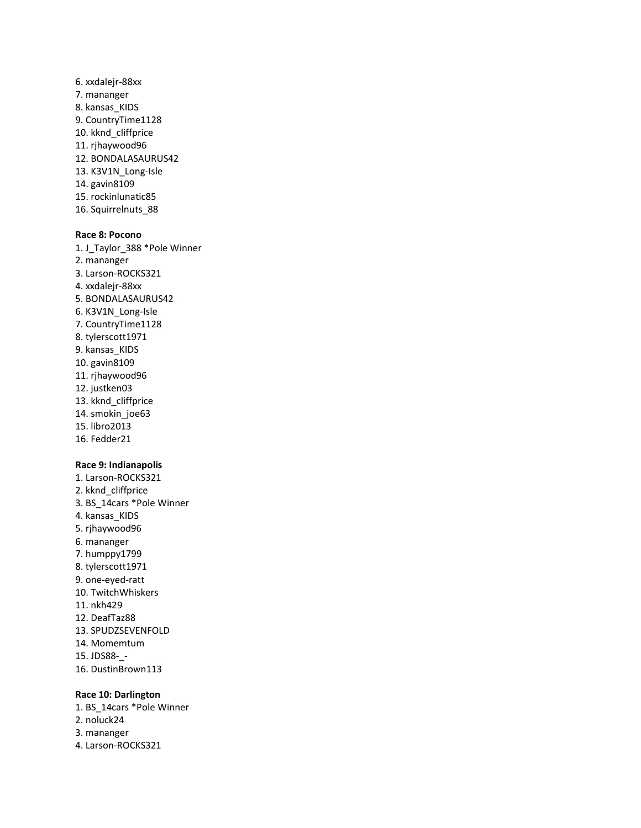6. xxdalejr-88xx 7. mananger 8. kansas\_KIDS 9. CountryTime1128 10. kknd\_cliffprice 11. rjhaywood96 12. BONDALASAURUS42 13. K3V1N\_Long-Isle 14. gavin8109 15. rockinlunatic85 16. Squirrelnuts\_88

#### **Race 8: Pocono**

1. J\_Taylor\_388 \*Pole Winner 2. mananger 3. Larson-ROCKS321 4. xxdalejr-88xx 5. BONDALASAURUS42 6. K3V1N\_Long-Isle 7. CountryTime1128 8. tylerscott1971 9. kansas\_KIDS 10. gavin8109 11. rjhaywood96 12. justken03 13. kknd\_cliffprice 14. smokin\_joe63 15. libro2013 16. Fedder21

# **Race 9: Indianapolis**

1. Larson-ROCKS321 2. kknd\_cliffprice 3. BS\_14cars \*Pole Winner 4. kansas\_KIDS 5. rjhaywood96 6. mananger 7. humppy1799 8. tylerscott1971 9. one-eyed-ratt 10. TwitchWhiskers 11. nkh429 12. DeafTaz88 13. SPUDZSEVENFOLD 14. Momemtum 15. JDS88-\_- 16. DustinBrown113

#### **Race 10: Darlington**

1. BS\_14cars \*Pole Winner 2. noluck24 3. mananger

4. Larson-ROCKS321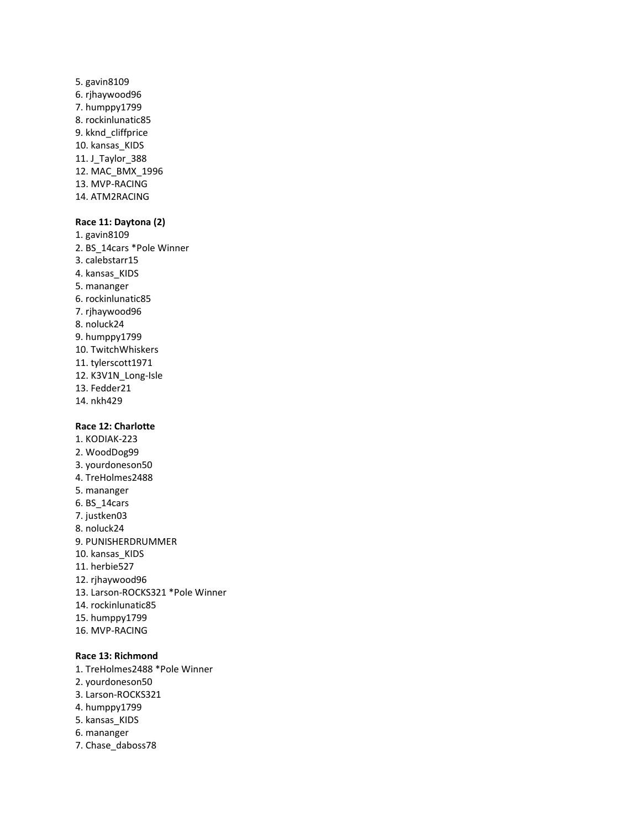5. gavin8109 6. rjhaywood96 7. humppy1799 8. rockinlunatic85 9. kknd\_cliffprice 10. kansas\_KIDS 11. J\_Taylor\_388 12. MAC\_BMX\_1996 13. MVP-RACING 14. ATM2RACING

### **Race 11: Daytona (2)**

1. gavin8109 2. BS\_14cars \*Pole Winner 3. calebstarr15 4. kansas KIDS 5. mananger 6. rockinlunatic85 7. rjhaywood96 8. noluck24 9. humppy1799 10. TwitchWhiskers 11. tylerscott1971 12. K3V1N\_Long-Isle 13. Fedder21 14. nkh429

# **Race 12: Charlotte**

1. KODIAK-223 2. WoodDog99 3. yourdoneson50 4. TreHolmes2488 5. mananger 6. BS\_14cars 7. justken03 8. noluck24 9. PUNISHERDRUMMER 10. kansas\_KIDS 11. herbie527 12. rjhaywood96 13. Larson-ROCKS321 \*Pole Winner 14. rockinlunatic85 15. humppy1799 16. MVP-RACING

# **Race 13: Richmond**

- 1. TreHolmes2488 \*Pole Winner 2. yourdoneson50 3. Larson-ROCKS321 4. humppy1799 5. kansas\_KIDS 6. mananger
- 
- 7. Chase\_daboss78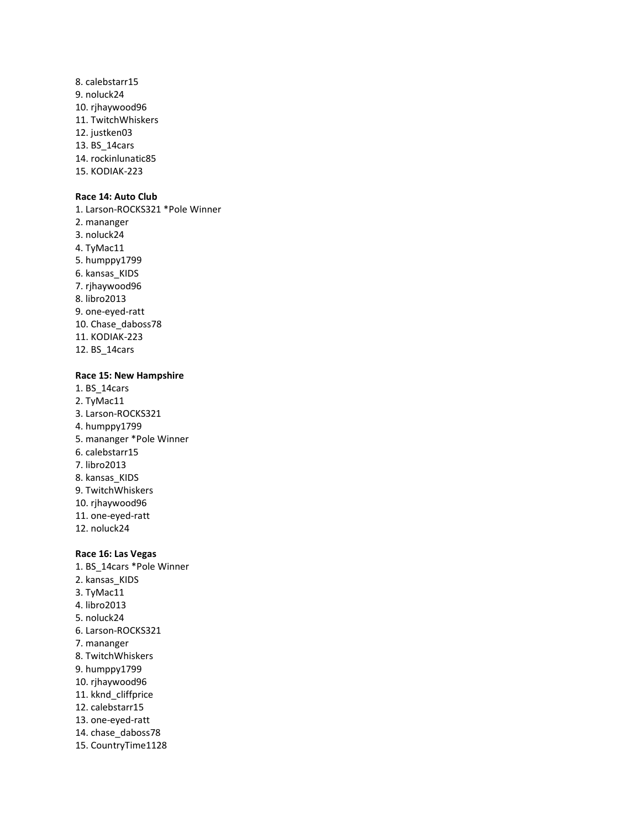8. calebstarr15 9. noluck24 10. rjhaywood96 11. TwitchWhiskers 12. justken03 13. BS\_14cars 14. rockinlunatic85 15. KODIAK-223

# **Race 14: Auto Club**

1. Larson-ROCKS321 \*Pole Winner 2. mananger 3. noluck24 4. TyMac11 5. humppy1799 6. kansas\_KIDS 7. rjhaywood96 8. libro2013 9. one-eyed-ratt 10. Chase\_daboss78 11. KODIAK-223 12. BS\_14cars

#### **Race 15: New Hampshire**

1. BS\_14cars 2. TyMac11 3. Larson-ROCKS321 4. humppy1799 5. mananger \*Pole Winner 6. calebstarr15 7. libro2013 8. kansas\_KIDS 9. TwitchWhiskers 10. rjhaywood96 11. one-eyed-ratt 12. noluck24

#### **Race 16: Las Vegas**

1. BS\_14cars \*Pole Winner 2. kansas\_KIDS 3. TyMac11 4. libro2013 5. noluck24 6. Larson-ROCKS321 7. mananger 8. TwitchWhiskers 9. humppy1799 10. rjhaywood96 11. kknd\_cliffprice 12. calebstarr15 13. one-eyed-ratt 14. chase\_daboss78 15. CountryTime1128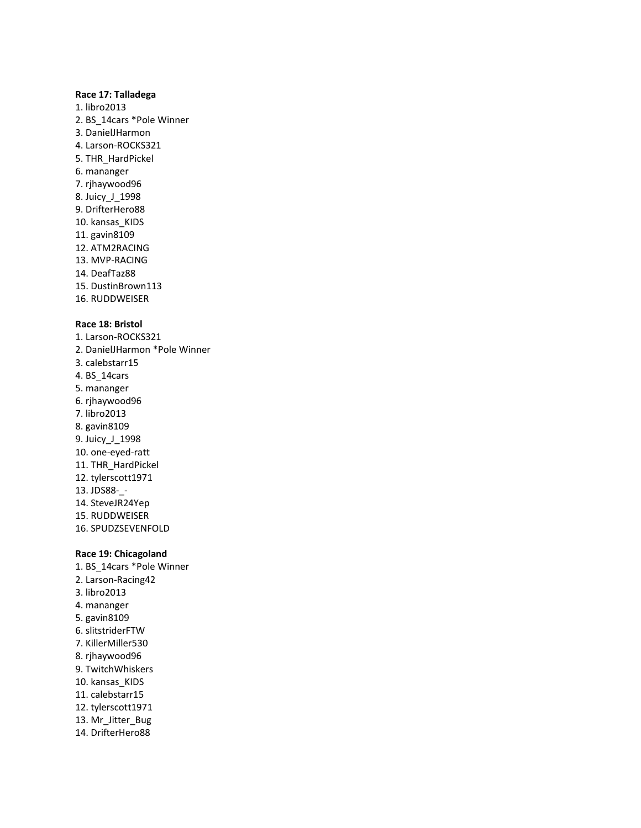## **Race 17: Talladega**

1. libro2013 2. BS\_14cars \*Pole Winner 3. DanielJHarmon 4. Larson-ROCKS321 5. THR\_HardPickel 6. mananger 7. rjhaywood96 8. Juicy\_J\_1998 9. DrifterHero88 10. kansas\_KIDS 11. gavin8109 12. ATM2RACING 13. MVP-RACING 14. DeafTaz88 15. DustinBrown113 16. RUDDWEISER

# **Race 18: Bristol**

1. Larson-ROCKS321 2. DanielJHarmon \*Pole Winner 3. calebstarr15 4. BS\_14cars 5. mananger 6. rjhaywood96 7. libro2013 8. gavin8109 9. Juicy\_J\_1998 10. one-eyed-ratt 11. THR\_HardPickel 12. tylerscott1971 13. JDS88-\_- 14. SteveJR24Yep 15. RUDDWEISER 16. SPUDZSEVENFOLD

# **Race 19: Chicagoland**

1. BS\_14cars \*Pole Winner 2. Larson-Racing42 3. libro2013 4. mananger 5. gavin8109 6. slitstriderFTW 7. KillerMiller530 8. rjhaywood96 9. TwitchWhiskers 10. kansas\_KIDS 11. calebstarr15 12. tylerscott1971 13. Mr\_Jitter\_Bug 14. DrifterHero88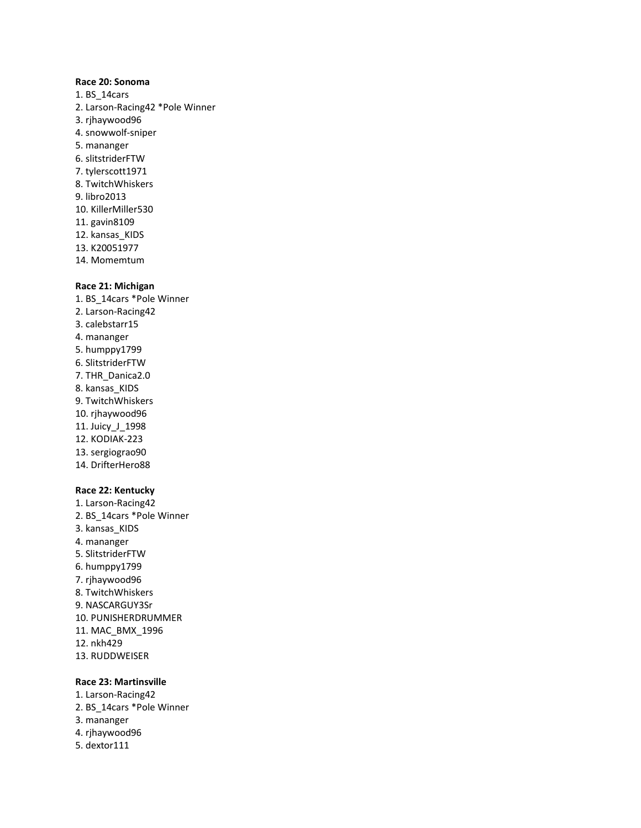#### **Race 20: Sonoma**

- 1. BS\_14cars 2. Larson-Racing42 \*Pole Winner 3. rjhaywood96 4. snowwolf-sniper 5. mananger 6. slitstriderFTW 7. tylerscott1971 8. TwitchWhiskers 9. libro2013 10. KillerMiller530 11. gavin8109 12. kansas\_KIDS 13. K20051977
- 14. Momemtum

#### **Race 21: Michigan**

1. BS\_14cars \*Pole Winner 2. Larson-Racing42 3. calebstarr15 4. mananger 5. humppy1799 6. SlitstriderFTW 7. THR\_Danica2.0 8. kansas\_KIDS 9. TwitchWhiskers 10. rjhaywood96 11. Juicy\_J\_1998 12. KODIAK-223 13. sergiograo90 14. DrifterHero88

## **Race 22: Kentucky**

1. Larson-Racing42 2. BS\_14cars \*Pole Winner 3. kansas\_KIDS 4. mananger 5. SlitstriderFTW 6. humppy1799 7. rjhaywood96 8. TwitchWhiskers 9. NASCARGUY3Sr 10. PUNISHERDRUMMER 11. MAC\_BMX\_1996 12. nkh429 13. RUDDWEISER

#### **Race 23: Martinsville**

- 1. Larson-Racing42 2. BS\_14cars \*Pole Winner
- 3. mananger
- 4. rjhaywood96
- 5. dextor111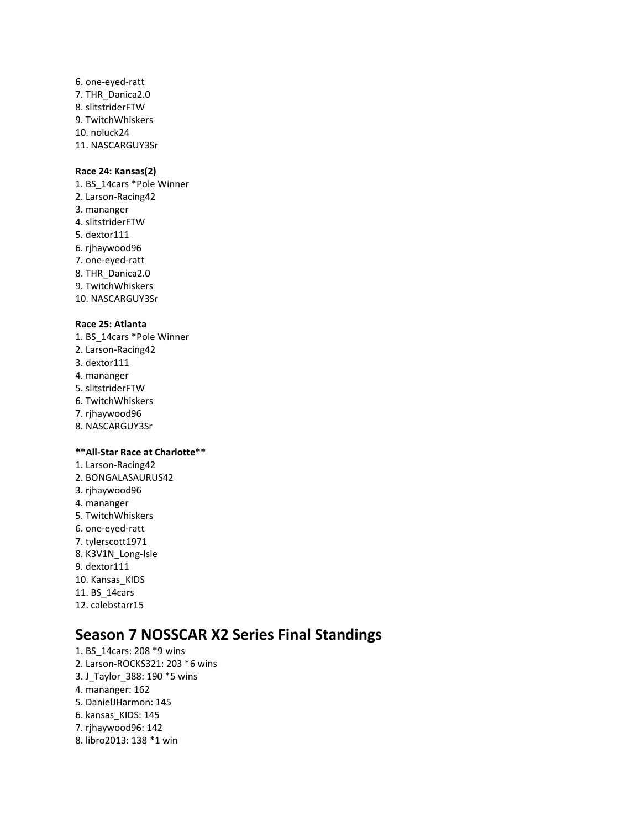6. one-eyed-ratt 7. THR\_Danica2.0 8. slitstriderFTW 9. TwitchWhiskers 10. noluck24 11. NASCARGUY3Sr

# **Race 24: Kansas(2)**

1. BS\_14cars \*Pole Winner 2. Larson-Racing42 3. mananger 4. slitstriderFTW 5. dextor111 6. rjhaywood96 7. one-eyed-ratt 8. THR\_Danica2.0 9. TwitchWhiskers 10. NASCARGUY3Sr

# **Race 25: Atlanta**

- 1. BS\_14cars \*Pole Winner
- 2. Larson-Racing42
- 3. dextor111
- 4. mananger
- 5. slitstriderFTW
- 6. TwitchWhiskers
- 7. rjhaywood96
- 8. NASCARGUY3Sr

# **\*\*All-Star Race at Charlotte\*\***

- 1. Larson-Racing42
- 2. BONGALASAURUS42
- 3. rjhaywood96
- 4. mananger
- 5. TwitchWhiskers
- 6. one-eyed-ratt
- 7. tylerscott1971
- 8. K3V1N\_Long-Isle
- 9. dextor111
- 10. Kansas\_KIDS
- 11. BS\_14cars
- 12. calebstarr15

# **Season 7 NOSSCAR X2 Series Final Standings**

1. BS\_14cars: 208 \*9 wins 2. Larson-ROCKS321: 203 \*6 wins 3. J\_Taylor\_388: 190 \*5 wins 4. mananger: 162 5. DanielJHarmon: 145 6. kansas\_KIDS: 145 7. rjhaywood96: 142 8. libro2013: 138 \*1 win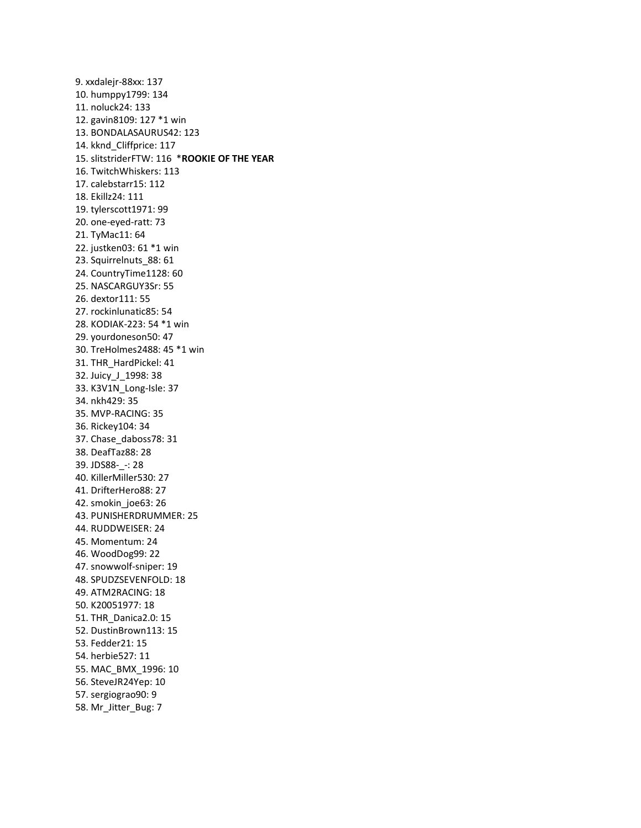9. xxdalejr-88xx: 137 10. humppy1799: 134 11. noluck24: 133 12. gavin8109: 127 \*1 win 13. BONDALASAURUS42: 123 14. kknd\_Cliffprice: 117 15. slitstriderFTW: 116 \***ROOKIE OF THE YEAR** 16. TwitchWhiskers: 113 17. calebstarr15: 112 18. Ekillz24: 111 19. tylerscott1971: 99 20. one-eyed-ratt: 73 21. TyMac11: 64 22. justken03: 61 \*1 win 23. Squirrelnuts\_88: 61 24. CountryTime1128: 60 25. NASCARGUY3Sr: 55 26. dextor111: 55 27. rockinlunatic85: 54 28. KODIAK-223: 54 \*1 win 29. yourdoneson50: 47 30. TreHolmes2488: 45 \*1 win 31. THR\_HardPickel: 41 32. Juicy\_J\_1998: 38 33. K3V1N\_Long-Isle: 37 34. nkh429: 35 35. MVP-RACING: 35 36. Rickey104: 34 37. Chase\_daboss78: 31 38. DeafTaz88: 28 39. JDS88-\_-: 28 40. KillerMiller530: 27 41. DrifterHero88: 27 42. smokin\_joe63: 26 43. PUNISHERDRUMMER: 25 44. RUDDWEISER: 24 45. Momentum: 24 46. WoodDog99: 22 47. snowwolf-sniper: 19 48. SPUDZSEVENFOLD: 18 49. ATM2RACING: 18 50. K20051977: 18 51. THR\_Danica2.0: 15 52. DustinBrown113: 15 53. Fedder21: 15 54. herbie527: 11 55. MAC\_BMX\_1996: 10 56. SteveJR24Yep: 10 57. sergiograo90: 9 58. Mr\_Jitter\_Bug: 7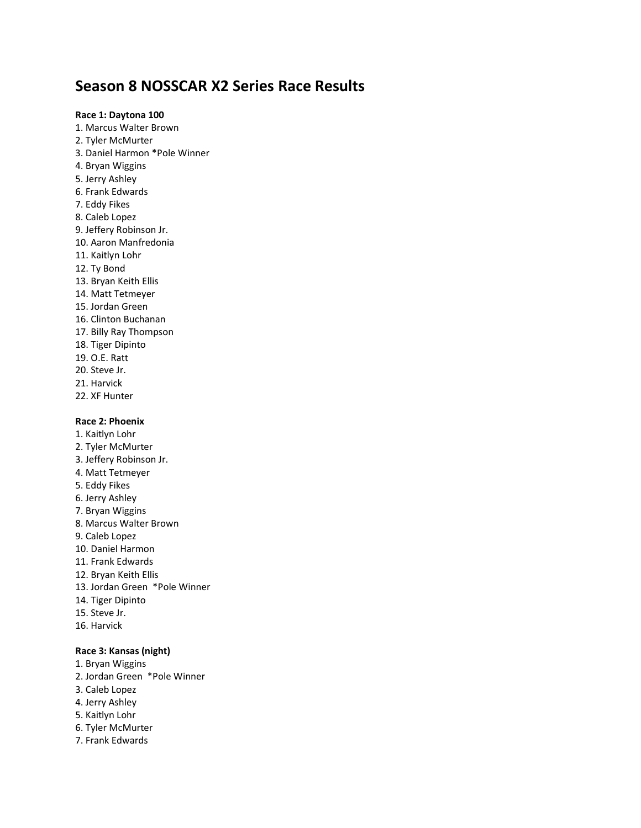# **Season 8 NOSSCAR X2 Series Race Results**

**Race 1: Daytona 100** 1. Marcus Walter Brown 2. Tyler McMurter 3. Daniel Harmon \*Pole Winner 4. Bryan Wiggins 5. Jerry Ashley 6. Frank Edwards 7. Eddy Fikes 8. Caleb Lopez 9. Jeffery Robinson Jr. 10. Aaron Manfredonia 11. Kaitlyn Lohr 12. Ty Bond 13. Bryan Keith Ellis 14. Matt Tetmeyer 15. Jordan Green 16. Clinton Buchanan 17. Billy Ray Thompson 18. Tiger Dipinto 19. O.E. Ratt 20. Steve Jr. 21. Harvick 22. XF Hunter

# **Race 2: Phoenix**

1. Kaitlyn Lohr 2. Tyler McMurter 3. Jeffery Robinson Jr. 4. Matt Tetmeyer 5. Eddy Fikes 6. Jerry Ashley 7. Bryan Wiggins 8. Marcus Walter Brown 9. Caleb Lopez 10. Daniel Harmon 11. Frank Edwards 12. Bryan Keith Ellis 13. Jordan Green \*Pole Winner 14. Tiger Dipinto 15. Steve Jr. 16. Harvick

# **Race 3: Kansas (night)**

- 1. Bryan Wiggins
- 2. Jordan Green \*Pole Winner
- 3. Caleb Lopez
- 4. Jerry Ashley
- 5. Kaitlyn Lohr
- 6. Tyler McMurter
- 7. Frank Edwards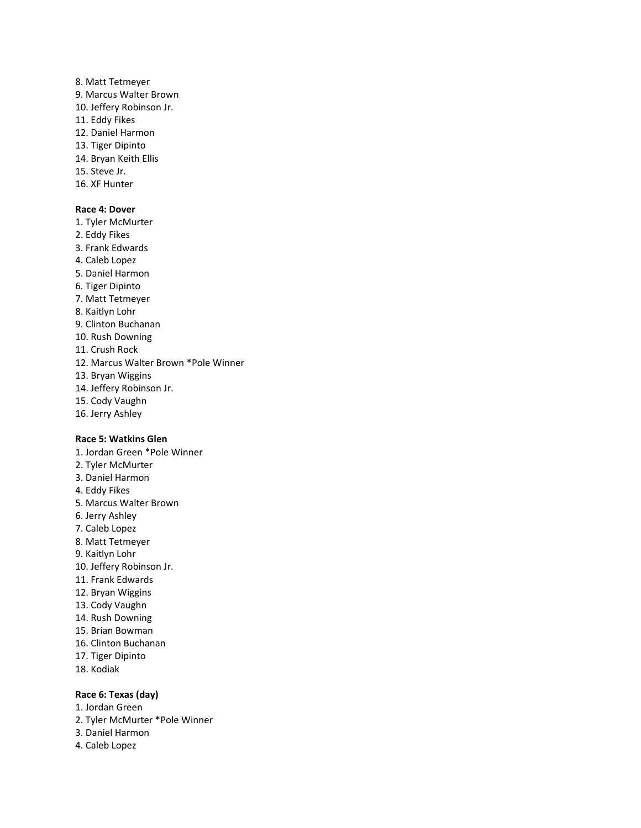8. Matt Tetmeyer 9. Marcus Walter Brown 10. Jeffery Robinson Jr. 11. Eddy Fikes 12. Daniel Harmon 13. Tiger Dipinto 14. Bryan Keith Ellis 15. Steve Jr. 16. XF Hunter

# **Race 4: Dover**

1. Tyler McMurter 2. Eddy Fikes 3. Frank Edwards 4. Caleb Lopez 5. Daniel Harmon 6. Tiger Dipinto 7. Matt Tetmeyer 8. Kaitlyn Lohr 9. Clinton Buchanan 10. Rush Downing 11. Crush Rock 12. Marcus Walter Brown \*Pole Winner 13. Bryan Wiggins 14. Jeffery Robinson Jr. 15. Cody Vaughn 16. Jerry Ashley

#### **Race 5: Watkins Glen**

1. Jordan Green \*Pole Winner 2. Tyler McMurter 3. Daniel Harmon 4. Eddy Fikes 5. Marcus Walter Brown 6. Jerry Ashley 7. Caleb Lopez 8. Matt Tetmeyer 9. Kaitlyn Lohr 10. Jeffery Robinson Jr. 11. Frank Edwards 12. Bryan Wiggins 13. Cody Vaughn 14. Rush Downing 15. Brian Bowman 16. Clinton Buchanan 17. Tiger Dipinto 18. Kodiak

# **Race 6: Texas (day)**

- 1. Jordan Green
- 2. Tyler McMurter \*Pole Winner
- 3. Daniel Harmon
- 4. Caleb Lopez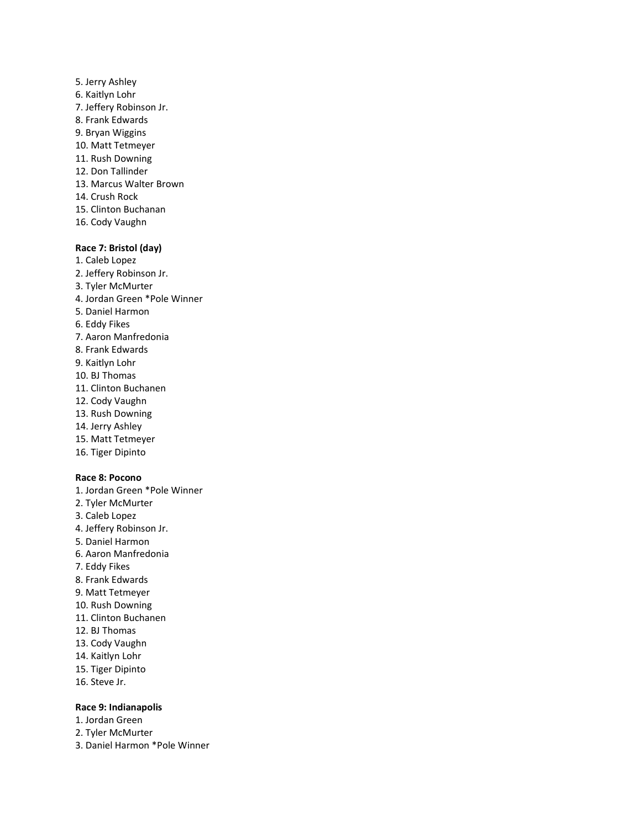- 5. Jerry Ashley 6. Kaitlyn Lohr 7. Jeffery Robinson Jr. 8. Frank Edwards 9. Bryan Wiggins 10. Matt Tetmeyer 11. Rush Downing 12. Don Tallinder 13. Marcus Walter Brown 14. Crush Rock 15. Clinton Buchanan
- 16. Cody Vaughn

# **Race 7: Bristol (day)**

- 1. Caleb Lopez 2. Jeffery Robinson Jr. 3. Tyler McMurter 4. Jordan Green \*Pole Winner 5. Daniel Harmon 6. Eddy Fikes 7. Aaron Manfredonia 8. Frank Edwards 9. Kaitlyn Lohr 10. BJ Thomas 11. Clinton Buchanen 12. Cody Vaughn 13. Rush Downing 14. Jerry Ashley 15. Matt Tetmeyer 16. Tiger Dipinto **Race 8: Pocono** 1. Jordan Green \*Pole Winner 2. Tyler McMurter
- 3. Caleb Lopez
- 4. Jeffery Robinson Jr.
- 5. Daniel Harmon
- 6. Aaron Manfredonia
- 7. Eddy Fikes
- 8. Frank Edwards
- 9. Matt Tetmeyer
- 10. Rush Downing
- 11. Clinton Buchanen
- 12. BJ Thomas
- 13. Cody Vaughn
- 14. Kaitlyn Lohr
- 15. Tiger Dipinto
- 16. Steve Jr.

# **Race 9: Indianapolis**

- 1. Jordan Green
- 2. Tyler McMurter
- 3. Daniel Harmon \*Pole Winner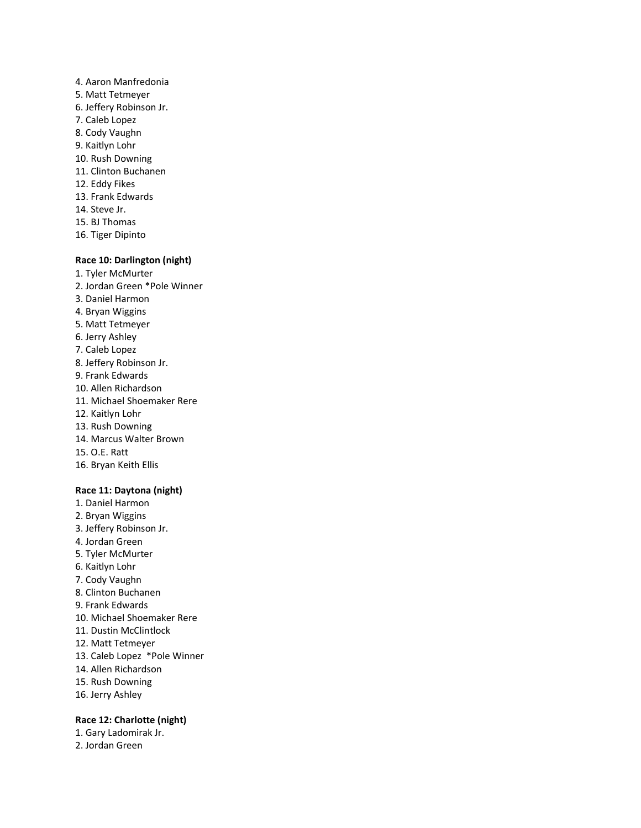- 4. Aaron Manfredonia 5. Matt Tetmeyer 6. Jeffery Robinson Jr. 7. Caleb Lopez 8. Cody Vaughn 9. Kaitlyn Lohr 10. Rush Downing 11. Clinton Buchanen 12. Eddy Fikes 13. Frank Edwards 14. Steve Jr.
- 15. BJ Thomas 16. Tiger Dipinto

## **Race 10: Darlington (night)**

- 1. Tyler McMurter
- 2. Jordan Green \*Pole Winner
- 3. Daniel Harmon
- 4. Bryan Wiggins
- 5. Matt Tetmeyer
- 6. Jerry Ashley
- 7. Caleb Lopez
- 8. Jeffery Robinson Jr.
- 9. Frank Edwards
- 10. Allen Richardson
- 11. Michael Shoemaker Rere
- 12. Kaitlyn Lohr
- 13. Rush Downing
- 14. Marcus Walter Brown
- 15. O.E. Ratt
- 16. Bryan Keith Ellis

#### **Race 11: Daytona (night)**

- 1. Daniel Harmon 2. Bryan Wiggins 3. Jeffery Robinson Jr. 4. Jordan Green 5. Tyler McMurter 6. Kaitlyn Lohr 7. Cody Vaughn 8. Clinton Buchanen 9. Frank Edwards 10. Michael Shoemaker Rere 11. Dustin McClintlock 12. Matt Tetmeyer 13. Caleb Lopez \*Pole Winner 14. Allen Richardson 15. Rush Downing
- 16. Jerry Ashley

# **Race 12: Charlotte (night)**

1. Gary Ladomirak Jr. 2. Jordan Green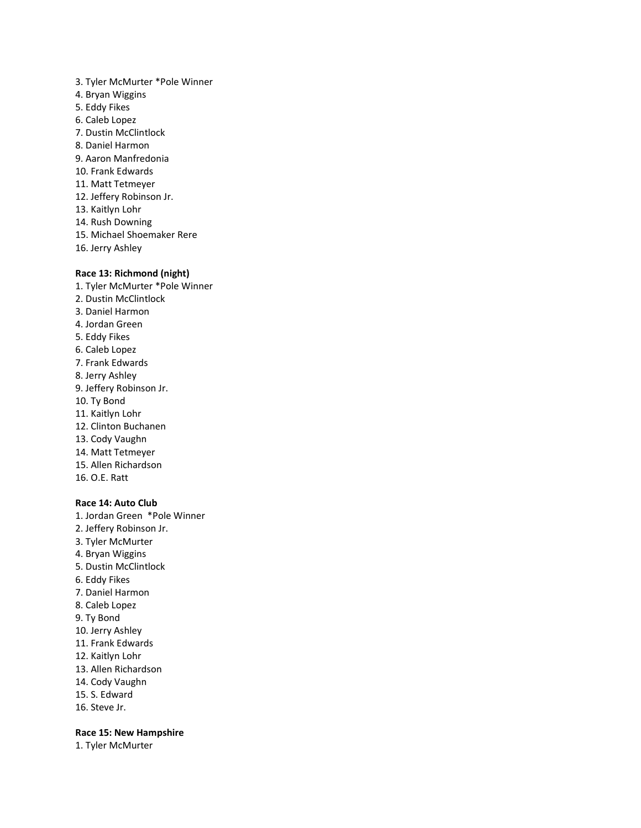3. Tyler McMurter \*Pole Winner 4. Bryan Wiggins 5. Eddy Fikes 6. Caleb Lopez 7. Dustin McClintlock 8. Daniel Harmon 9. Aaron Manfredonia 10. Frank Edwards 11. Matt Tetmeyer 12. Jeffery Robinson Jr. 13. Kaitlyn Lohr 14. Rush Downing 15. Michael Shoemaker Rere 16. Jerry Ashley

## **Race 13: Richmond (night)**

1. Tyler McMurter \*Pole Winner 2. Dustin McClintlock 3. Daniel Harmon 4. Jordan Green 5. Eddy Fikes 6. Caleb Lopez 7. Frank Edwards 8. Jerry Ashley 9. Jeffery Robinson Jr. 10. Ty Bond 11. Kaitlyn Lohr 12. Clinton Buchanen 13. Cody Vaughn 14. Matt Tetmeyer 15. Allen Richardson 16. O.E. Ratt

# **Race 14: Auto Club**

- 1. Jordan Green \*Pole Winner
- 2. Jeffery Robinson Jr.
- 3. Tyler McMurter
- 4. Bryan Wiggins
- 5. Dustin McClintlock
- 6. Eddy Fikes
- 7. Daniel Harmon
- 8. Caleb Lopez
- 9. Ty Bond
- 10. Jerry Ashley
- 11. Frank Edwards
- 12. Kaitlyn Lohr
- 13. Allen Richardson
- 14. Cody Vaughn
- 15. S. Edward
- 16. Steve Jr.

# **Race 15: New Hampshire**

1. Tyler McMurter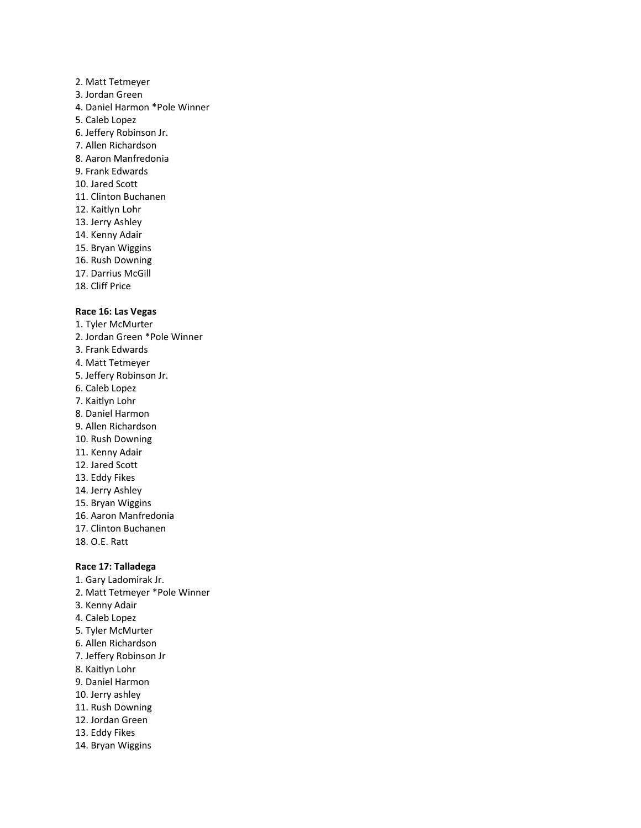- 2. Matt Tetmeyer 3. Jordan Green 4. Daniel Harmon \*Pole Winner 5. Caleb Lopez 6. Jeffery Robinson Jr. 7. Allen Richardson 8. Aaron Manfredonia 9. Frank Edwards 10. Jared Scott 11. Clinton Buchanen 12. Kaitlyn Lohr 13. Jerry Ashley 14. Kenny Adair 15. Bryan Wiggins 16. Rush Downing 17. Darrius McGill
- 18. Cliff Price

#### **Race 16: Las Vegas**

- 1. Tyler McMurter 2. Jordan Green \*Pole Winner 3. Frank Edwards 4. Matt Tetmeyer 5. Jeffery Robinson Jr. 6. Caleb Lopez 7. Kaitlyn Lohr 8. Daniel Harmon 9. Allen Richardson 10. Rush Downing 11. Kenny Adair 12. Jared Scott 13. Eddy Fikes 14. Jerry Ashley 15. Bryan Wiggins 16. Aaron Manfredonia 17. Clinton Buchanen 18. O.E. Ratt **Race 17: Talladega**
- 
- 1. Gary Ladomirak Jr.
- 2. Matt Tetmeyer \*Pole Winner
- 3. Kenny Adair
- 4. Caleb Lopez
- 5. Tyler McMurter
- 6. Allen Richardson
- 7. Jeffery Robinson Jr
- 8. Kaitlyn Lohr
- 9. Daniel Harmon
- 10. Jerry ashley
- 11. Rush Downing
- 12. Jordan Green
- 13. Eddy Fikes
- 14. Bryan Wiggins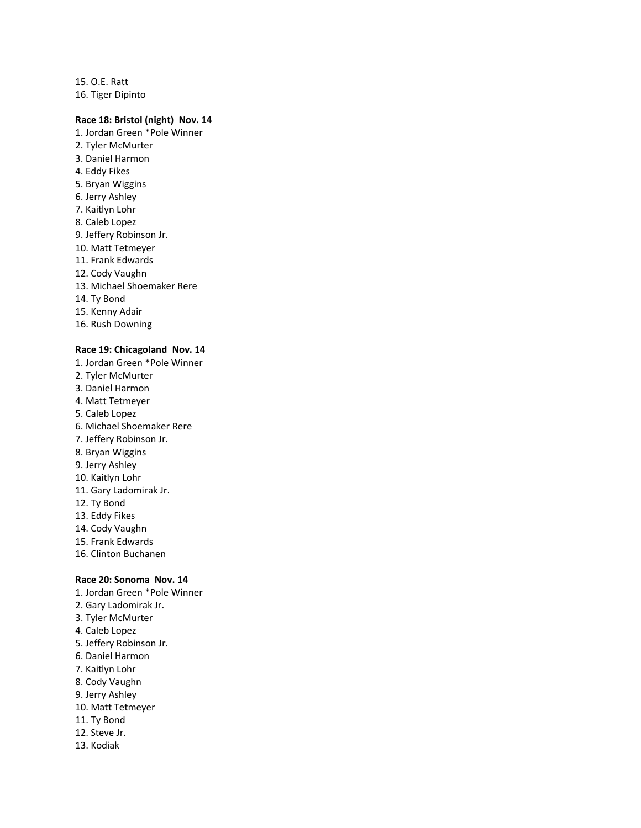15. O.E. Ratt 16. Tiger Dipinto

# **Race 18: Bristol (night) Nov. 14**

- 1. Jordan Green \*Pole Winner 2. Tyler McMurter 3. Daniel Harmon 4. Eddy Fikes 5. Bryan Wiggins 6. Jerry Ashley 7. Kaitlyn Lohr 8. Caleb Lopez 9. Jeffery Robinson Jr. 10. Matt Tetmeyer 11. Frank Edwards 12. Cody Vaughn 13. Michael Shoemaker Rere 14. Ty Bond 15. Kenny Adair
- 16. Rush Downing

#### **Race 19: Chicagoland Nov. 14**

- 1. Jordan Green \*Pole Winner 2. Tyler McMurter
- 3. Daniel Harmon
- 4. Matt Tetmeyer
- 5. Caleb Lopez
- 6. Michael Shoemaker Rere
- 7. Jeffery Robinson Jr.
- 8. Bryan Wiggins
- 9. Jerry Ashley
- 10. Kaitlyn Lohr
- 11. Gary Ladomirak Jr.
- 12. Ty Bond
- 13. Eddy Fikes
- 14. Cody Vaughn
- 15. Frank Edwards
- 16. Clinton Buchanen

### **Race 20: Sonoma Nov. 14**

- 1. Jordan Green \*Pole Winner
- 2. Gary Ladomirak Jr.
- 3. Tyler McMurter
- 4. Caleb Lopez
- 5. Jeffery Robinson Jr.
- 6. Daniel Harmon
- 7. Kaitlyn Lohr
- 8. Cody Vaughn
- 9. Jerry Ashley
- 10. Matt Tetmeyer
- 11. Ty Bond
- 12. Steve Jr.
- 13. Kodiak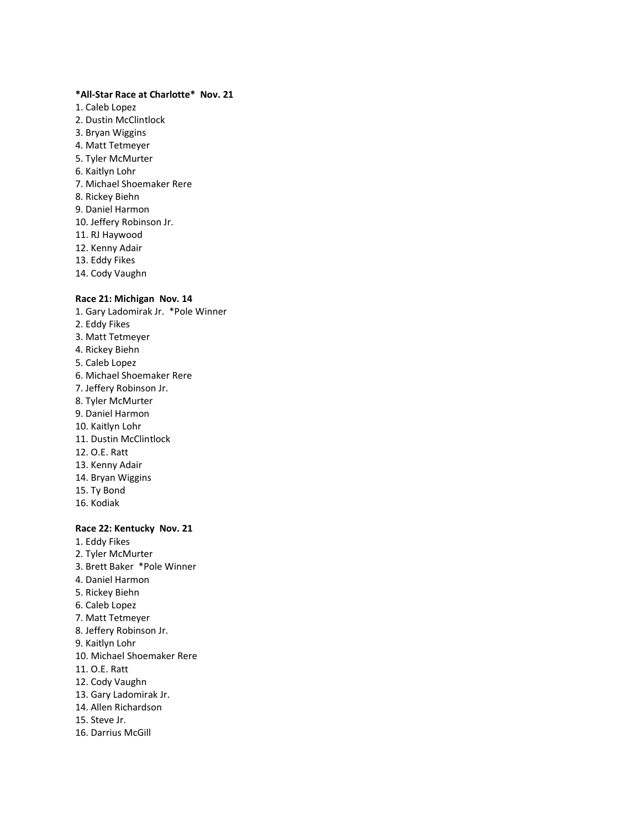### **\*All-Star Race at Charlotte\* Nov. 21**

- 1. Caleb Lopez
- 2. Dustin McClintlock
- 3. Bryan Wiggins
- 4. Matt Tetmeyer
- 5. Tyler McMurter
- 6. Kaitlyn Lohr
- 7. Michael Shoemaker Rere
- 8. Rickey Biehn
- 9. Daniel Harmon
- 10. Jeffery Robinson Jr.
- 11. RJ Haywood
- 12. Kenny Adair
- 13. Eddy Fikes
- 14. Cody Vaughn

# **Race 21: Michigan Nov. 14**

- 1. Gary Ladomirak Jr. \*Pole Winner 2. Eddy Fikes 3. Matt Tetmeyer
- 4. Rickey Biehn
- 5. Caleb Lopez
- 6. Michael Shoemaker Rere
- 7. Jeffery Robinson Jr.
- 8. Tyler McMurter
- 9. Daniel Harmon
- 10. Kaitlyn Lohr
- 11. Dustin McClintlock
- 12. O.E. Ratt
- 13. Kenny Adair
- 14. Bryan Wiggins
- 15. Ty Bond
- 16. Kodiak

# **Race 22: Kentucky Nov. 21**

- 1. Eddy Fikes 2. Tyler McMurter
- 3. Brett Baker \*Pole Winner
- 4. Daniel Harmon
- 5. Rickey Biehn
- 6. Caleb Lopez
- 7. Matt Tetmeyer
- 8. Jeffery Robinson Jr.
- 9. Kaitlyn Lohr
- 10. Michael Shoemaker Rere
- 11. O.E. Ratt
- 12. Cody Vaughn
- 13. Gary Ladomirak Jr.
- 14. Allen Richardson
- 15. Steve Jr.
- 16. Darrius McGill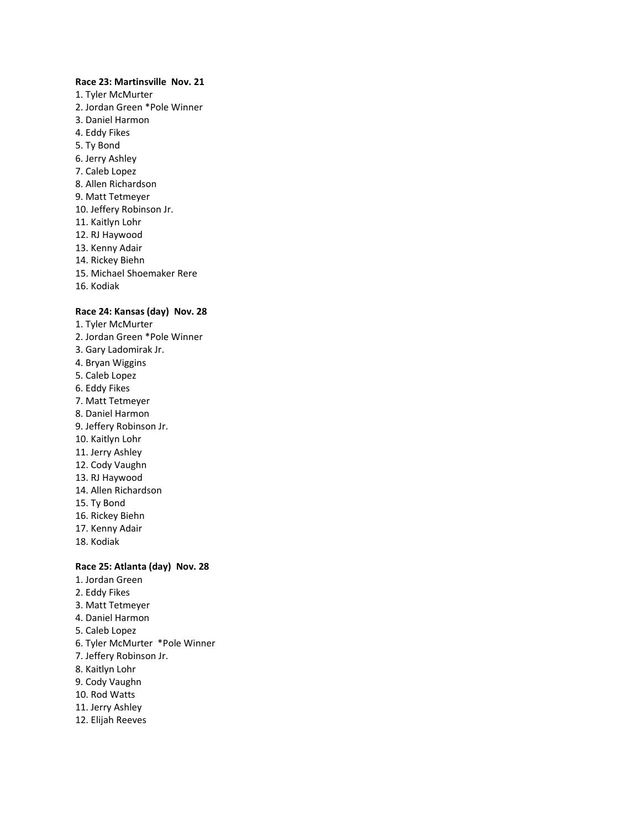#### **Race 23: Martinsville Nov. 21**

- 1. Tyler McMurter
- 2. Jordan Green \*Pole Winner
- 3. Daniel Harmon
- 4. Eddy Fikes
- 5. Ty Bond
- 6. Jerry Ashley
- 7. Caleb Lopez
- 8. Allen Richardson
- 9. Matt Tetmeyer
- 10. Jeffery Robinson Jr.
- 11. Kaitlyn Lohr
- 12. RJ Haywood
- 13. Kenny Adair
- 14. Rickey Biehn
- 15. Michael Shoemaker Rere
- 16. Kodiak

# **Race 24: Kansas (day) Nov. 28**

- 1. Tyler McMurter
- 2. Jordan Green \*Pole Winner
- 3. Gary Ladomirak Jr.
- 4. Bryan Wiggins
- 5. Caleb Lopez
- 6. Eddy Fikes
- 7. Matt Tetmeyer
- 8. Daniel Harmon
- 9. Jeffery Robinson Jr.
- 10. Kaitlyn Lohr
- 11. Jerry Ashley
- 12. Cody Vaughn
- 13. RJ Haywood
- 14. Allen Richardson
- 15. Ty Bond
- 16. Rickey Biehn
- 17. Kenny Adair
- 18. Kodiak

# **Race 25: Atlanta (day) Nov. 28**

- 1. Jordan Green
- 2. Eddy Fikes
- 3. Matt Tetmeyer
- 4. Daniel Harmon
- 5. Caleb Lopez
- 6. Tyler McMurter \*Pole Winner
- 7. Jeffery Robinson Jr.
- 8. Kaitlyn Lohr
- 9. Cody Vaughn
- 10. Rod Watts
- 11. Jerry Ashley
- 12. Elijah Reeves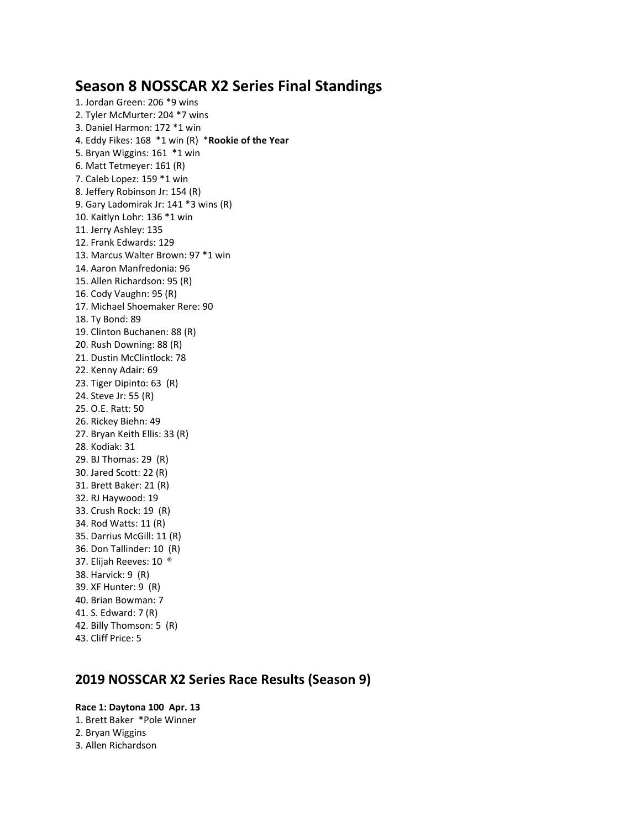# **Season 8 NOSSCAR X2 Series Final Standings**

1. Jordan Green: 206 \*9 wins 2. Tyler McMurter: 204 \*7 wins 3. Daniel Harmon: 172 \*1 win 4. Eddy Fikes: 168 \*1 win (R) \***Rookie of the Year** 5. Bryan Wiggins: 161 \*1 win 6. Matt Tetmeyer: 161 (R) 7. Caleb Lopez: 159 \*1 win 8. Jeffery Robinson Jr: 154 (R) 9. Gary Ladomirak Jr: 141 \*3 wins (R) 10. Kaitlyn Lohr: 136 \*1 win 11. Jerry Ashley: 135 12. Frank Edwards: 129 13. Marcus Walter Brown: 97 \*1 win 14. Aaron Manfredonia: 96 15. Allen Richardson: 95 (R) 16. Cody Vaughn: 95 (R) 17. Michael Shoemaker Rere: 90 18. Ty Bond: 89 19. Clinton Buchanen: 88 (R) 20. Rush Downing: 88 (R) 21. Dustin McClintlock: 78 22. Kenny Adair: 69 23. Tiger Dipinto: 63 (R) 24. Steve Jr: 55 (R) 25. O.E. Ratt: 50 26. Rickey Biehn: 49 27. Bryan Keith Ellis: 33 (R) 28. Kodiak: 31 29. BJ Thomas: 29 (R) 30. Jared Scott: 22 (R) 31. Brett Baker: 21 (R) 32. RJ Haywood: 19 33. Crush Rock: 19 (R) 34. Rod Watts: 11 (R) 35. Darrius McGill: 11 (R) 36. Don Tallinder: 10 (R) 37. Elijah Reeves: 10 ® 38. Harvick: 9 (R) 39. XF Hunter: 9 (R) 40. Brian Bowman: 7 41. S. Edward: 7 (R) 42. Billy Thomson: 5 (R) 43. Cliff Price: 5

# **2019 NOSSCAR X2 Series Race Results (Season 9)**

**Race 1: Daytona 100 Apr. 13** 1. Brett Baker \*Pole Winner 2. Bryan Wiggins 3. Allen Richardson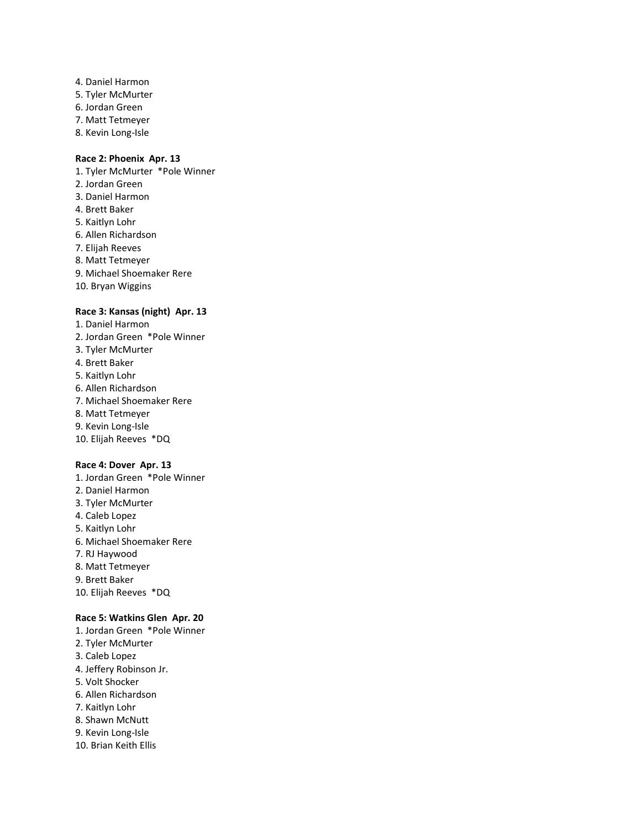- 4. Daniel Harmon
- 5. Tyler McMurter
- 6. Jordan Green
- 7. Matt Tetmeyer
- 8. Kevin Long-Isle

# **Race 2: Phoenix Apr. 13**

- 1. Tyler McMurter \*Pole Winner
- 2. Jordan Green
- 3. Daniel Harmon
- 4. Brett Baker
- 5. Kaitlyn Lohr
- 6. Allen Richardson
- 7. Elijah Reeves
- 8. Matt Tetmeyer
- 9. Michael Shoemaker Rere
- 10. Bryan Wiggins

# **Race 3: Kansas (night) Apr. 13**

- 1. Daniel Harmon
- 2. Jordan Green \*Pole Winner
- 3. Tyler McMurter
- 4. Brett Baker
- 5. Kaitlyn Lohr
- 6. Allen Richardson
- 7. Michael Shoemaker Rere
- 8. Matt Tetmeyer
- 9. Kevin Long-Isle
- 10. Elijah Reeves \*DQ

# **Race 4: Dover Apr. 13**

1. Jordan Green \*Pole Winner 2. Daniel Harmon 3. Tyler McMurter 4. Caleb Lopez 5. Kaitlyn Lohr 6. Michael Shoemaker Rere 7. RJ Haywood 8. Matt Tetmeyer 9. Brett Baker 10. Elijah Reeves \*DQ

### **Race 5: Watkins Glen Apr. 20**

- 1. Jordan Green \*Pole Winner
- 2. Tyler McMurter
- 3. Caleb Lopez
- 4. Jeffery Robinson Jr.
- 5. Volt Shocker
- 6. Allen Richardson
- 7. Kaitlyn Lohr
- 8. Shawn McNutt
- 9. Kevin Long-Isle
- 10. Brian Keith Ellis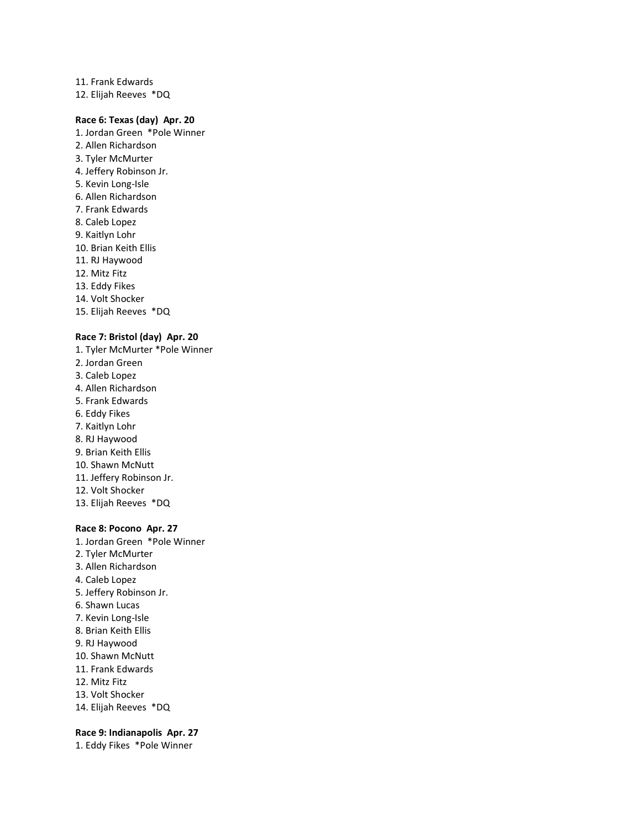11. Frank Edwards 12. Elijah Reeves \*DQ

# **Race 6: Texas (day) Apr. 20**

- 1. Jordan Green \*Pole Winner 2. Allen Richardson 3. Tyler McMurter 4. Jeffery Robinson Jr. 5. Kevin Long-Isle 6. Allen Richardson 7. Frank Edwards 8. Caleb Lopez 9. Kaitlyn Lohr 10. Brian Keith Ellis 11. RJ Haywood 12. Mitz Fitz 13. Eddy Fikes 14. Volt Shocker 15. Elijah Reeves \*DQ
- 

### **Race 7: Bristol (day) Apr. 20**

1. Tyler McMurter \*Pole Winner 2. Jordan Green 3. Caleb Lopez 4. Allen Richardson 5. Frank Edwards 6. Eddy Fikes 7. Kaitlyn Lohr 8. RJ Haywood 9. Brian Keith Ellis 10. Shawn McNutt 11. Jeffery Robinson Jr. 12. Volt Shocker 13. Elijah Reeves \*DQ

#### **Race 8: Pocono Apr. 27**

1. Jordan Green \*Pole Winner 2. Tyler McMurter 3. Allen Richardson 4. Caleb Lopez 5. Jeffery Robinson Jr. 6. Shawn Lucas 7. Kevin Long-Isle 8. Brian Keith Ellis 9. RJ Haywood 10. Shawn McNutt 11. Frank Edwards 12. Mitz Fitz 13. Volt Shocker 14. Elijah Reeves \*DQ

# **Race 9: Indianapolis Apr. 27**

1. Eddy Fikes \*Pole Winner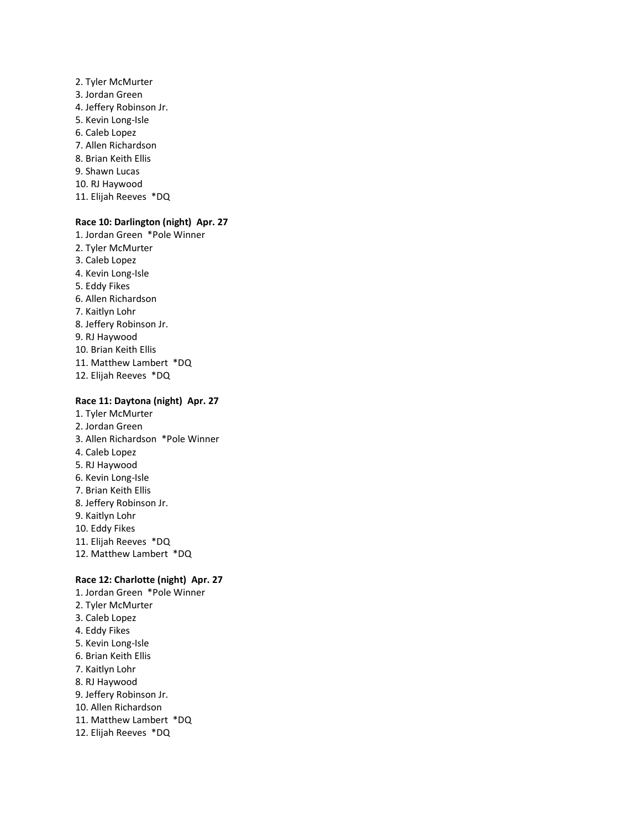- 2. Tyler McMurter 3. Jordan Green 4. Jeffery Robinson Jr. 5. Kevin Long-Isle 6. Caleb Lopez 7. Allen Richardson 8. Brian Keith Ellis 9. Shawn Lucas 10. RJ Haywood
- 11. Elijah Reeves \*DQ

# **Race 10: Darlington (night) Apr. 27**

1. Jordan Green \*Pole Winner 2. Tyler McMurter 3. Caleb Lopez 4. Kevin Long-Isle 5. Eddy Fikes 6. Allen Richardson 7. Kaitlyn Lohr 8. Jeffery Robinson Jr. 9. RJ Haywood 10. Brian Keith Ellis 11. Matthew Lambert \*DQ 12. Elijah Reeves \*DQ

#### **Race 11: Daytona (night) Apr. 27**

1. Tyler McMurter 2. Jordan Green 3. Allen Richardson \*Pole Winner 4. Caleb Lopez 5. RJ Haywood 6. Kevin Long-Isle 7. Brian Keith Ellis 8. Jeffery Robinson Jr. 9. Kaitlyn Lohr 10. Eddy Fikes 11. Elijah Reeves \*DQ 12. Matthew Lambert \*DQ

# **Race 12: Charlotte (night) Apr. 27**

1. Jordan Green \*Pole Winner 2. Tyler McMurter 3. Caleb Lopez 4. Eddy Fikes 5. Kevin Long-Isle 6. Brian Keith Ellis 7. Kaitlyn Lohr 8. RJ Haywood 9. Jeffery Robinson Jr. 10. Allen Richardson 11. Matthew Lambert \*DQ 12. Elijah Reeves \*DQ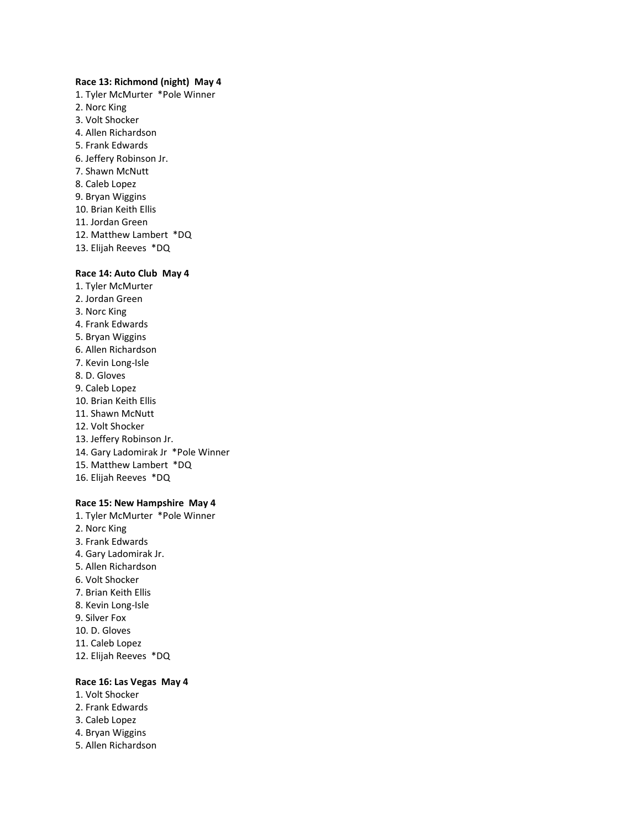#### **Race 13: Richmond (night) May 4**

1. Tyler McMurter \*Pole Winner 2. Norc King 3. Volt Shocker 4. Allen Richardson 5. Frank Edwards 6. Jeffery Robinson Jr. 7. Shawn McNutt 8. Caleb Lopez 9. Bryan Wiggins 10. Brian Keith Ellis 11. Jordan Green 12. Matthew Lambert \*DQ 13. Elijah Reeves \*DQ

#### **Race 14: Auto Club May 4**

- 1. Tyler McMurter 2. Jordan Green 3. Norc King 4. Frank Edwards 5. Bryan Wiggins
- 6. Allen Richardson
- 7. Kevin Long-Isle
- 8. D. Gloves
- 9. Caleb Lopez
- 10. Brian Keith Ellis
- 11. Shawn McNutt
- 12. Volt Shocker
- 13. Jeffery Robinson Jr.
- 14. Gary Ladomirak Jr \*Pole Winner
- 15. Matthew Lambert \*DQ
- 16. Elijah Reeves \*DQ

# **Race 15: New Hampshire May 4**

1. Tyler McMurter \*Pole Winner 2. Norc King 3. Frank Edwards 4. Gary Ladomirak Jr. 5. Allen Richardson 6. Volt Shocker 7. Brian Keith Ellis 8. Kevin Long-Isle 9. Silver Fox 10. D. Gloves 11. Caleb Lopez 12. Elijah Reeves \*DQ

#### **Race 16: Las Vegas May 4**

- 1. Volt Shocker
- 2. Frank Edwards
- 3. Caleb Lopez
- 4. Bryan Wiggins
- 5. Allen Richardson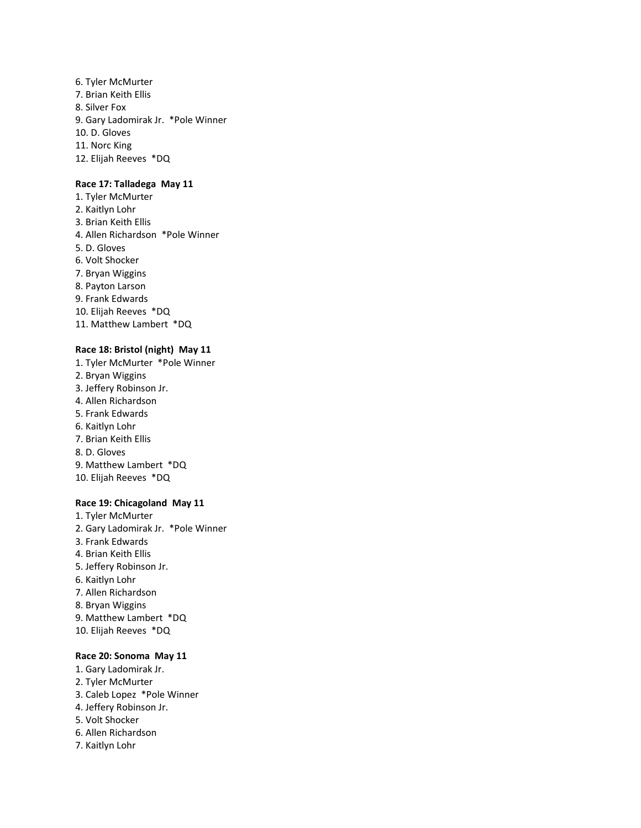6. Tyler McMurter 7. Brian Keith Ellis 8. Silver Fox 9. Gary Ladomirak Jr. \*Pole Winner 10. D. Gloves 11. Norc King 12. Elijah Reeves \*DQ

# **Race 17: Talladega May 11**

1. Tyler McMurter 2. Kaitlyn Lohr 3. Brian Keith Ellis 4. Allen Richardson \*Pole Winner 5. D. Gloves 6. Volt Shocker 7. Bryan Wiggins 8. Payton Larson 9. Frank Edwards 10. Elijah Reeves \*DQ 11. Matthew Lambert \*DQ

#### **Race 18: Bristol (night) May 11**

1. Tyler McMurter \*Pole Winner 2. Bryan Wiggins 3. Jeffery Robinson Jr. 4. Allen Richardson 5. Frank Edwards 6. Kaitlyn Lohr 7. Brian Keith Ellis 8. D. Gloves 9. Matthew Lambert \*DQ 10. Elijah Reeves \*DQ **Race 19: Chicagoland May 11**

1. Tyler McMurter 2. Gary Ladomirak Jr. \*Pole Winner 3. Frank Edwards 4. Brian Keith Ellis 5. Jeffery Robinson Jr. 6. Kaitlyn Lohr 7. Allen Richardson 8. Bryan Wiggins 9. Matthew Lambert \*DQ 10. Elijah Reeves \*DQ

# **Race 20: Sonoma May 11**

- 1. Gary Ladomirak Jr.
- 2. Tyler McMurter
- 3. Caleb Lopez \*Pole Winner
- 4. Jeffery Robinson Jr.
- 5. Volt Shocker
- 6. Allen Richardson
- 7. Kaitlyn Lohr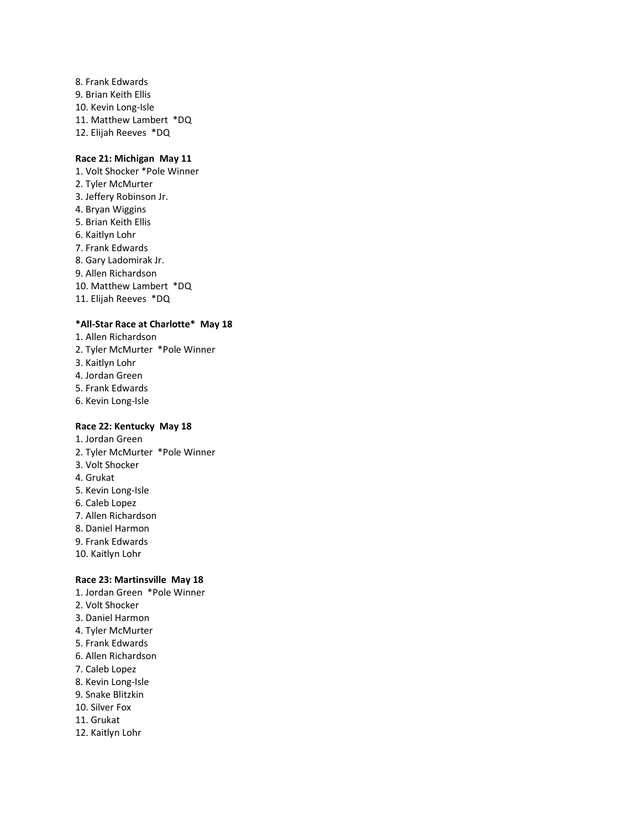8. Frank Edwards 9. Brian Keith Ellis 10. Kevin Long-Isle 11. Matthew Lambert \*DQ 12. Elijah Reeves \*DQ

# **Race 21: Michigan May 11**

- 1. Volt Shocker \*Pole Winner 2. Tyler McMurter 3. Jeffery Robinson Jr. 4. Bryan Wiggins 5. Brian Keith Ellis 6. Kaitlyn Lohr 7. Frank Edwards 8. Gary Ladomirak Jr. 9. Allen Richardson
- 10. Matthew Lambert \*DQ
- 11. Elijah Reeves \*DQ

# **\*All-Star Race at Charlotte\* May 18**

- 1. Allen Richardson
- 2. Tyler McMurter \*Pole Winner
- 3. Kaitlyn Lohr
- 4. Jordan Green
- 5. Frank Edwards
- 6. Kevin Long-Isle

# **Race 22: Kentucky May 18**

- 1. Jordan Green
- 2. Tyler McMurter \*Pole Winner
- 3. Volt Shocker
- 4. Grukat
- 5. Kevin Long-Isle
- 6. Caleb Lopez
- 7. Allen Richardson
- 8. Daniel Harmon
- 9. Frank Edwards
- 10. Kaitlyn Lohr

# **Race 23: Martinsville May 18**

- 1. Jordan Green \*Pole Winner
- 2. Volt Shocker
- 3. Daniel Harmon
- 4. Tyler McMurter
- 5. Frank Edwards
- 6. Allen Richardson
- 7. Caleb Lopez
- 8. Kevin Long-Isle
- 9. Snake Blitzkin
- 10. Silver Fox
- 11. Grukat
- 12. Kaitlyn Lohr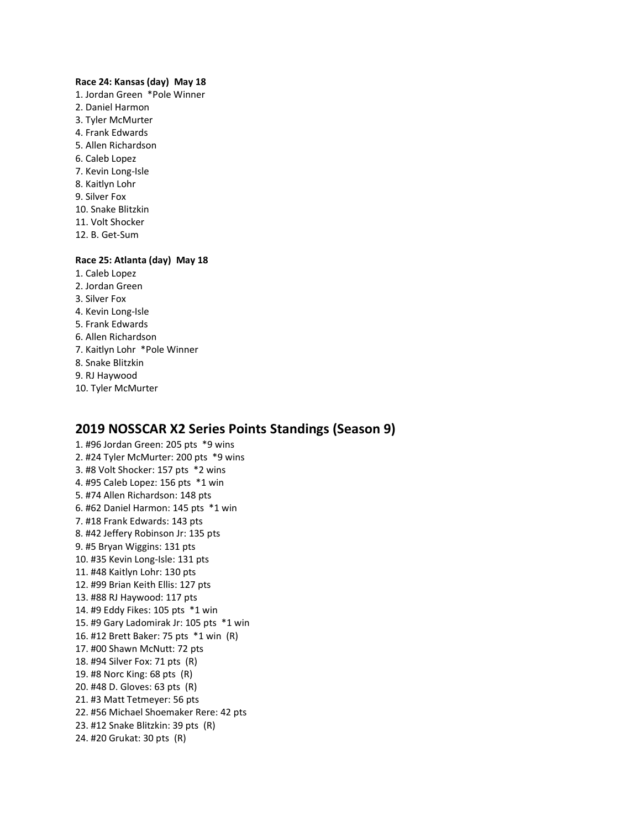#### **Race 24: Kansas (day) May 18**

1. Jordan Green \*Pole Winner 2. Daniel Harmon 3. Tyler McMurter 4. Frank Edwards 5. Allen Richardson 6. Caleb Lopez 7. Kevin Long-Isle 8. Kaitlyn Lohr 9. Silver Fox 10. Snake Blitzkin 11. Volt Shocker 12. B. Get-Sum

# **Race 25: Atlanta (day) May 18**

- 1. Caleb Lopez
- 2. Jordan Green
- 3. Silver Fox
- 4. Kevin Long-Isle
- 5. Frank Edwards
- 6. Allen Richardson
- 7. Kaitlyn Lohr \*Pole Winner
- 8. Snake Blitzkin
- 9. RJ Haywood
- 10. Tyler McMurter

## **2019 NOSSCAR X2 Series Points Standings (Season 9)**

1. #96 Jordan Green: 205 pts \*9 wins 2. #24 Tyler McMurter: 200 pts \*9 wins 3. #8 Volt Shocker: 157 pts \*2 wins 4. #95 Caleb Lopez: 156 pts \*1 win 5. #74 Allen Richardson: 148 pts 6. #62 Daniel Harmon: 145 pts \*1 win 7. #18 Frank Edwards: 143 pts 8. #42 Jeffery Robinson Jr: 135 pts 9. #5 Bryan Wiggins: 131 pts 10. #35 Kevin Long-Isle: 131 pts 11. #48 Kaitlyn Lohr: 130 pts 12. #99 Brian Keith Ellis: 127 pts 13. #88 RJ Haywood: 117 pts 14. #9 Eddy Fikes: 105 pts \*1 win 15. #9 Gary Ladomirak Jr: 105 pts \*1 win 16. #12 Brett Baker: 75 pts \*1 win (R) 17. #00 Shawn McNutt: 72 pts 18. #94 Silver Fox: 71 pts (R) 19. #8 Norc King: 68 pts (R) 20. #48 D. Gloves: 63 pts (R) 21. #3 Matt Tetmeyer: 56 pts 22. #56 Michael Shoemaker Rere: 42 pts 23. #12 Snake Blitzkin: 39 pts (R) 24. #20 Grukat: 30 pts (R)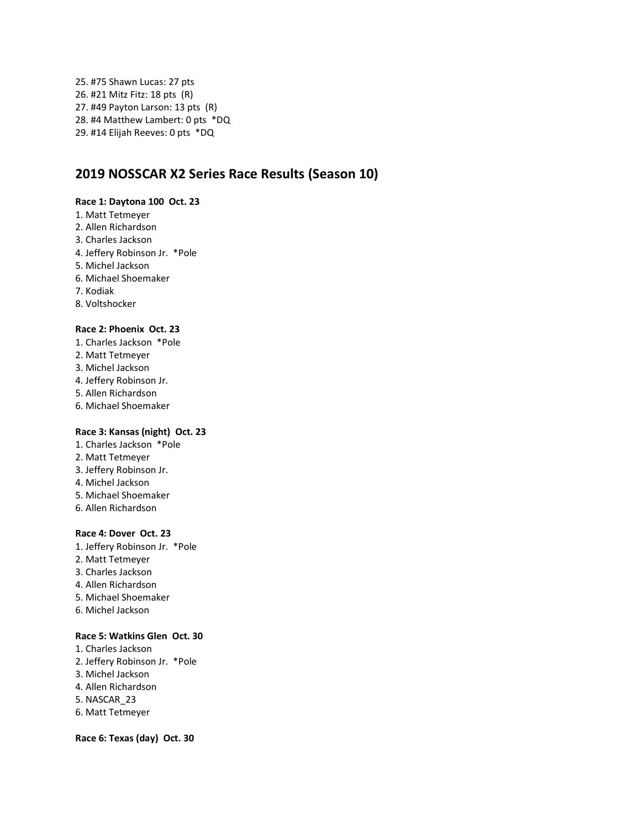25. #75 Shawn Lucas: 27 pts 26. #21 Mitz Fitz: 18 pts (R) 27. #49 Payton Larson: 13 pts (R) 28. #4 Matthew Lambert: 0 pts \*DQ 29. #14 Elijah Reeves: 0 pts \*DQ

# **2019 NOSSCAR X2 Series Race Results (Season 10)**

### **Race 1: Daytona 100 Oct. 23**

- 1. Matt Tetmeyer
- 2. Allen Richardson
- 3. Charles Jackson
- 4. Jeffery Robinson Jr. \*Pole
- 5. Michel Jackson
- 6. Michael Shoemaker
- 7. Kodiak
- 8. Voltshocker

### **Race 2: Phoenix Oct. 23**

- 1. Charles Jackson \*Pole
- 2. Matt Tetmeyer
- 3. Michel Jackson
- 4. Jeffery Robinson Jr.
- 5. Allen Richardson
- 6. Michael Shoemaker

### **Race 3: Kansas (night) Oct. 23**

- 1. Charles Jackson \*Pole
- 2. Matt Tetmeyer
- 3. Jeffery Robinson Jr.
- 4. Michel Jackson
- 5. Michael Shoemaker
- 6. Allen Richardson

### **Race 4: Dover Oct. 23**

- 1. Jeffery Robinson Jr. \*Pole
- 2. Matt Tetmeyer
- 3. Charles Jackson
- 4. Allen Richardson
- 5. Michael Shoemaker
- 6. Michel Jackson

### **Race 5: Watkins Glen Oct. 30**

- 1. Charles Jackson
- 2. Jeffery Robinson Jr. \*Pole
- 3. Michel Jackson
- 4. Allen Richardson
- 5. NASCAR\_23
- 6. Matt Tetmeyer

**Race 6: Texas (day) Oct. 30**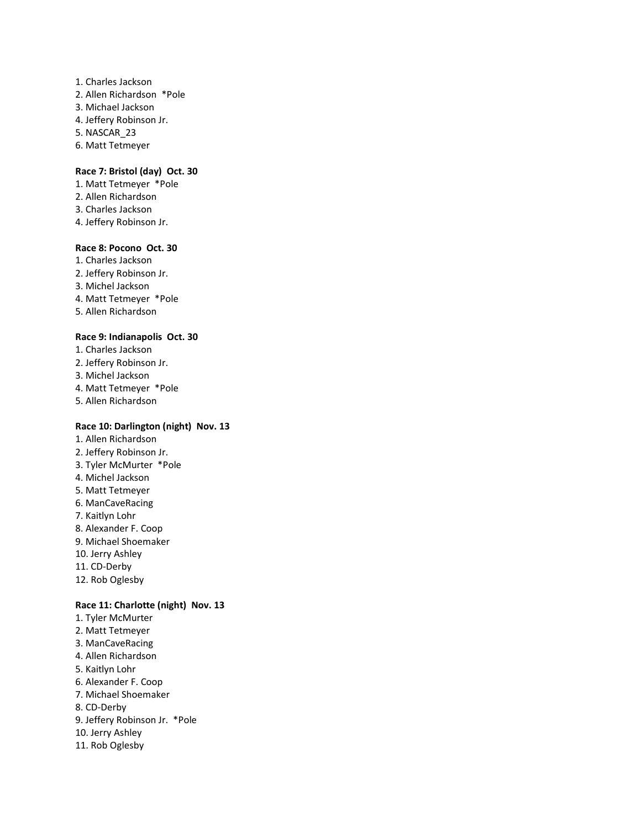- 1. Charles Jackson
- 2. Allen Richardson \*Pole
- 3. Michael Jackson
- 4. Jeffery Robinson Jr.
- 5. NASCAR\_23
- 6. Matt Tetmeyer

#### **Race 7: Bristol (day) Oct. 30**

- 1. Matt Tetmeyer \*Pole
- 2. Allen Richardson
- 3. Charles Jackson
- 4. Jeffery Robinson Jr.

### **Race 8: Pocono Oct. 30**

- 1. Charles Jackson 2. Jeffery Robinson Jr. 3. Michel Jackson 4. Matt Tetmeyer \*Pole
- 5. Allen Richardson

#### **Race 9: Indianapolis Oct. 30**

- 1. Charles Jackson
- 2. Jeffery Robinson Jr.
- 3. Michel Jackson
- 4. Matt Tetmeyer \*Pole
- 5. Allen Richardson

### **Race 10: Darlington (night) Nov. 13**

1. Allen Richardson 2. Jeffery Robinson Jr. 3. Tyler McMurter \*Pole 4. Michel Jackson 5. Matt Tetmeyer 6. ManCaveRacing 7. Kaitlyn Lohr 8. Alexander F. Coop 9. Michael Shoemaker 10. Jerry Ashley 11. CD-Derby 12. Rob Oglesby

### **Race 11: Charlotte (night) Nov. 13**

1. Tyler McMurter 2. Matt Tetmeyer 3. ManCaveRacing 4. Allen Richardson 5. Kaitlyn Lohr 6. Alexander F. Coop 7. Michael Shoemaker 8. CD-Derby 9. Jeffery Robinson Jr. \*Pole 10. Jerry Ashley 11. Rob Oglesby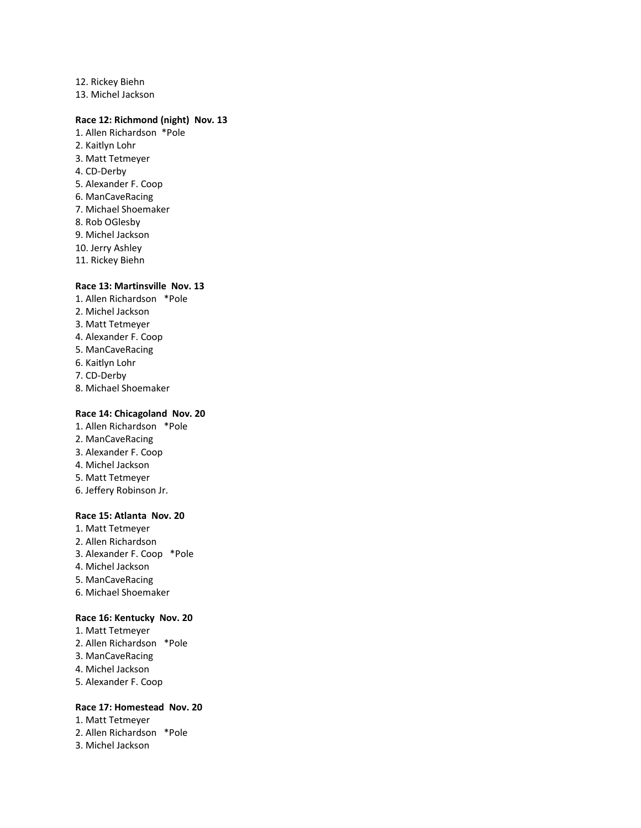12. Rickey Biehn 13. Michel Jackson

#### **Race 12: Richmond (night) Nov. 13**

- 1. Allen Richardson \*Pole 2. Kaitlyn Lohr 3. Matt Tetmeyer 4. CD-Derby
- 
- 5. Alexander F. Coop 6. ManCaveRacing
- 7. Michael Shoemaker
- 8. Rob OGlesby
- 9. Michel Jackson
- 10. Jerry Ashley
- 11. Rickey Biehn

#### **Race 13: Martinsville Nov. 13**

- 1. Allen Richardson \*Pole
- 2. Michel Jackson
- 3. Matt Tetmeyer
- 4. Alexander F. Coop
- 5. ManCaveRacing
- 6. Kaitlyn Lohr
- 7. CD-Derby
- 8. Michael Shoemaker

### **Race 14: Chicagoland Nov. 20**

- 1. Allen Richardson \*Pole
- 2. ManCaveRacing
- 3. Alexander F. Coop
- 4. Michel Jackson
- 5. Matt Tetmeyer
- 6. Jeffery Robinson Jr.

#### **Race 15: Atlanta Nov. 20**

- 1. Matt Tetmeyer 2. Allen Richardson 3. Alexander F. Coop \*Pole 4. Michel Jackson 5. ManCaveRacing
- 6. Michael Shoemaker

#### **Race 16: Kentucky Nov. 20**

1. Matt Tetmeyer 2. Allen Richardson \*Pole 3. ManCaveRacing 4. Michel Jackson 5. Alexander F. Coop

#### **Race 17: Homestead Nov. 20**

- 1. Matt Tetmeyer
- 2. Allen Richardson \*Pole
- 3. Michel Jackson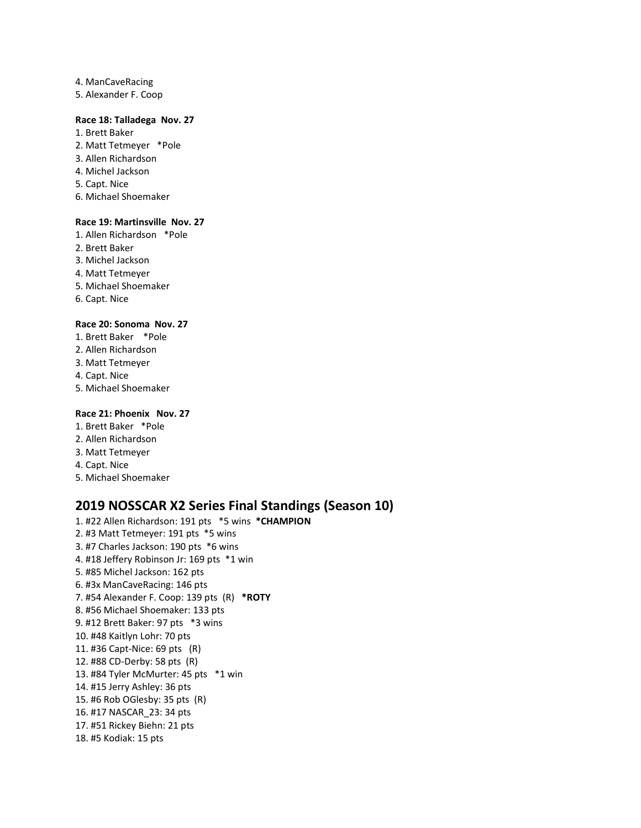- 4. ManCaveRacing 5. Alexander F. Coop
- 

### **Race 18: Talladega Nov. 27**

- 1. Brett Baker
- 2. Matt Tetmeyer \*Pole
- 3. Allen Richardson
- 4. Michel Jackson
- 5. Capt. Nice
- 6. Michael Shoemaker

#### **Race 19: Martinsville Nov. 27**

- 1. Allen Richardson \*Pole
- 2. Brett Baker
- 3. Michel Jackson
- 4. Matt Tetmeyer
- 5. Michael Shoemaker
- 6. Capt. Nice

#### **Race 20: Sonoma Nov. 27**

- 1. Brett Baker \*Pole
- 2. Allen Richardson
- 3. Matt Tetmeyer
- 4. Capt. Nice
- 5. Michael Shoemaker

### **Race 21: Phoenix Nov. 27**

- 1. Brett Baker \*Pole
- 2. Allen Richardson
- 3. Matt Tetmeyer
- 4. Capt. Nice
- 5. Michael Shoemaker

# **2019 NOSSCAR X2 Series Final Standings (Season 10)**

1. #22 Allen Richardson: 191 pts \*5 wins **\*CHAMPION** 2. #3 Matt Tetmeyer: 191 pts \*5 wins 3. #7 Charles Jackson: 190 pts \*6 wins 4. #18 Jeffery Robinson Jr: 169 pts \*1 win 5. #85 Michel Jackson: 162 pts 6. #3x ManCaveRacing: 146 pts 7. #54 Alexander F. Coop: 139 pts (R) **\*ROTY** 8. #56 Michael Shoemaker: 133 pts 9. #12 Brett Baker: 97 pts \*3 wins 10. #48 Kaitlyn Lohr: 70 pts 11. #36 Capt-Nice: 69 pts (R) 12. #88 CD-Derby: 58 pts (R) 13. #84 Tyler McMurter: 45 pts \*1 win 14. #15 Jerry Ashley: 36 pts 15. #6 Rob OGlesby: 35 pts (R) 16. #17 NASCAR\_23: 34 pts 17. #51 Rickey Biehn: 21 pts 18. #5 Kodiak: 15 pts